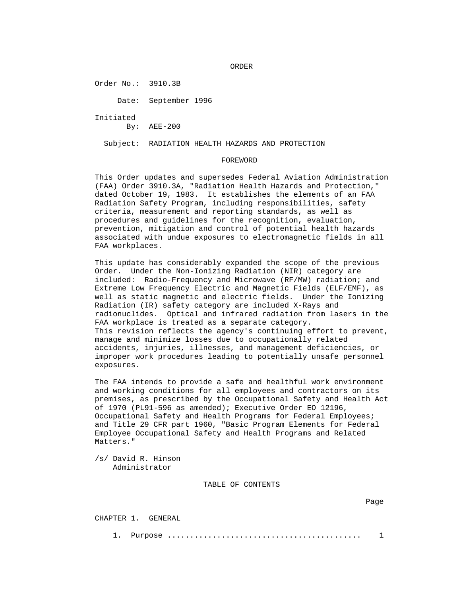ORDER

Order No.: 3910.3B

Date: September 1996

Initiated

By: AEE-200

Subject: RADIATION HEALTH HAZARDS AND PROTECTION

#### FOREWORD

 This Order updates and supersedes Federal Aviation Administration (FAA) Order 3910.3A, "Radiation Health Hazards and Protection," dated October 19, 1983. It establishes the elements of an FAA Radiation Safety Program, including responsibilities, safety criteria, measurement and reporting standards, as well as procedures and guidelines for the recognition, evaluation, prevention, mitigation and control of potential health hazards associated with undue exposures to electromagnetic fields in all FAA workplaces.

 This update has considerably expanded the scope of the previous Order. Under the Non-Ionizing Radiation (NIR) category are included: Radio-Frequency and Microwave (RF/MW) radiation; and Extreme Low Frequency Electric and Magnetic Fields (ELF/EMF), as well as static magnetic and electric fields. Under the Ionizing Radiation (IR) safety category are included X-Rays and radionuclides. Optical and infrared radiation from lasers in the FAA workplace is treated as a separate category. This revision reflects the agency's continuing effort to prevent, manage and minimize losses due to occupationally related accidents, injuries, illnesses, and management deficiencies, or improper work procedures leading to potentially unsafe personnel exposures.

 The FAA intends to provide a safe and healthful work environment and working conditions for all employees and contractors on its premises, as prescribed by the Occupational Safety and Health Act of 1970 (PL91-596 as amended); Executive Order EO 12196, Occupational Safety and Health Programs for Federal Employees; and Title 29 CFR part 1960, "Basic Program Elements for Federal Employee Occupational Safety and Health Programs and Related Matters."

 /s/ David R. Hinson Administrator

TABLE OF CONTENTS

CHAPTER 1. GENERAL

1. Purpose ........................................... 1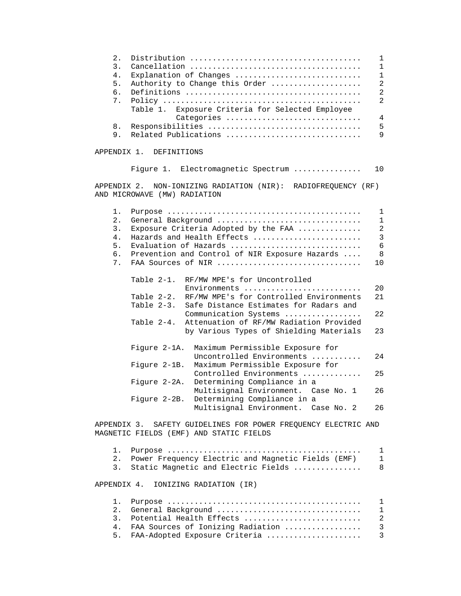| 2.<br>3.<br>4.<br>5.<br>б.<br>7. | Explanation of Changes<br>Authority to Change this Order<br>Exposure Criteria for Selected Employee<br>Table 1.<br>Categories | 1<br>1<br>$\mathbf{1}$<br>$\overline{a}$<br>$\overline{a}$<br>$\overline{2}$<br>$\sqrt{4}$ |
|----------------------------------|-------------------------------------------------------------------------------------------------------------------------------|--------------------------------------------------------------------------------------------|
| 8.                               | Responsibilities                                                                                                              | 5                                                                                          |
| 9.                               | Related Publications                                                                                                          | 9                                                                                          |
| APPENDIX 1.                      | DEFINITIONS                                                                                                                   |                                                                                            |
|                                  | Figure 1. Electromagnetic Spectrum                                                                                            | 10                                                                                         |
| APPENDIX 2.                      | NON-IONIZING RADIATION (NIR): RADIOFREQUENCY (RF)<br>AND MICROWAVE (MW) RADIATION                                             |                                                                                            |
| 1.                               |                                                                                                                               | 1                                                                                          |
| 2.                               | General Background                                                                                                            | $\mathbf 1$                                                                                |
| 3.                               | Exposure Criteria Adopted by the FAA                                                                                          | $\overline{a}$                                                                             |
| 4.                               | Hazards and Health Effects                                                                                                    | 3                                                                                          |
| 5.                               | Evaluation of Hazards                                                                                                         | $\epsilon$                                                                                 |
| б.                               | Prevention and Control of NIR Exposure Hazards                                                                                | 8                                                                                          |
| 7.                               | FAA Sources of NIR                                                                                                            | 10                                                                                         |
|                                  | Table 2-1.<br>RF/MW MPE's for Uncontrolled<br>$Environments$                                                                  | 20                                                                                         |
|                                  | RF/MW MPE's for Controlled Environments<br>Table 2-2.                                                                         | 21                                                                                         |
|                                  | Table $2-3$ .<br>Safe Distance Estimates for Radars and                                                                       |                                                                                            |
|                                  | Communication Systems                                                                                                         | 22                                                                                         |
|                                  | Attenuation of RF/MW Radiation Provided<br>Table 2-4.                                                                         |                                                                                            |
|                                  | by Various Types of Shielding Materials                                                                                       | 23                                                                                         |
|                                  | Figure 2-1A.<br>Maximum Permissible Exposure for<br>Uncontrolled Environments                                                 | 24                                                                                         |
|                                  | Maximum Permissible Exposure for<br>Figure 2-1B.<br>Controlled Environments                                                   | 25                                                                                         |
|                                  | Determining Compliance in a<br>Figure 2-2A.<br>Multisignal Environment. Case No. 1                                            | 26                                                                                         |
|                                  | Determining Compliance in a<br>Figure 2-2B.                                                                                   |                                                                                            |
|                                  | Multisignal Environment. Case No. 2                                                                                           | 26                                                                                         |
|                                  | חזה מדחזה וא התוקדת המשלח המשלח המשלח המשלח המשלחה המשלח המשלח המשלח המשלח המשלח המשלח המשלח המשלח ה                          |                                                                                            |

 APPENDIX 3. SAFETY GUIDELINES FOR POWER FREQUENCY ELECTRIC AND MAGNETIC FIELDS (EMF) AND STATIC FIELDS

| 2.             | Power Frequency Electric and Magnetic Fields (EMF) |                |
|----------------|----------------------------------------------------|----------------|
|                | 3. Static Magnetic and Electric Fields             | 8              |
|                | APPENDIX 4. IONIZING RADIATION (IR)                |                |
|                |                                                    |                |
| 2.1            | General Background                                 |                |
| $\mathbf{3}$   | Potential Health Effects                           | $\mathfrak{D}$ |
|                |                                                    |                |
| 4 <sup>1</sup> |                                                    |                |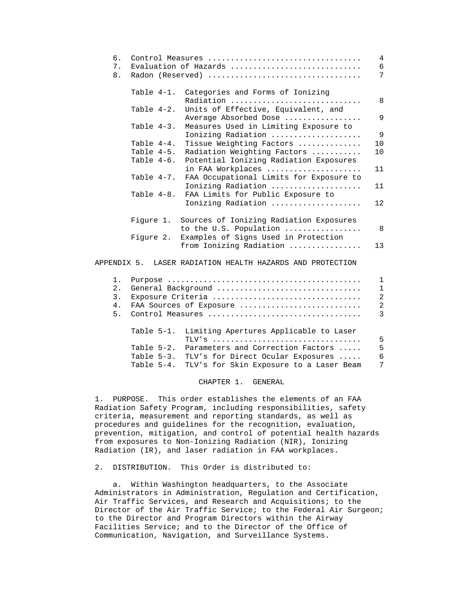| б.<br>7.<br>8. |                                                                                                                                                                                                                                                                                                                                    | Control Measures<br>Evaluation of Hazards $\ldots, \ldots, \ldots, \ldots, \ldots, \ldots, \ldots$<br>Radon (Reserved) | 4<br>6<br>7 |
|----------------|------------------------------------------------------------------------------------------------------------------------------------------------------------------------------------------------------------------------------------------------------------------------------------------------------------------------------------|------------------------------------------------------------------------------------------------------------------------|-------------|
|                | Table 4-1.                                                                                                                                                                                                                                                                                                                         | Categories and Forms of Ionizing                                                                                       | 8           |
|                | Table 4-2.                                                                                                                                                                                                                                                                                                                         | Radiation<br>Units of Effective, Equivalent, and                                                                       |             |
|                |                                                                                                                                                                                                                                                                                                                                    | Average Absorbed Dose                                                                                                  | 9           |
|                | Table 4-3.                                                                                                                                                                                                                                                                                                                         | Measures Used in Limiting Exposure to                                                                                  |             |
|                |                                                                                                                                                                                                                                                                                                                                    | Ionizing Radiation                                                                                                     | 9           |
|                | Table 4-4.                                                                                                                                                                                                                                                                                                                         | Tissue Weighting Factors                                                                                               | 10          |
|                | Table 4-5.                                                                                                                                                                                                                                                                                                                         | Radiation Weighting Factors                                                                                            | 10          |
|                | Table 4-6.                                                                                                                                                                                                                                                                                                                         | Potential Ionizing Radiation Exposures                                                                                 |             |
|                |                                                                                                                                                                                                                                                                                                                                    | in FAA Workplaces                                                                                                      | 11          |
|                | Table 4-7.                                                                                                                                                                                                                                                                                                                         | FAA Occupational Limits for Exposure to                                                                                |             |
|                |                                                                                                                                                                                                                                                                                                                                    | Ionizing Radiation                                                                                                     | 11          |
|                | Table 4-8.                                                                                                                                                                                                                                                                                                                         | FAA Limits for Public Exposure to                                                                                      |             |
|                |                                                                                                                                                                                                                                                                                                                                    | Ionizing Radiation                                                                                                     | 12          |
|                | Figure 1.                                                                                                                                                                                                                                                                                                                          | Sources of Ionizing Radiation Exposures                                                                                |             |
|                |                                                                                                                                                                                                                                                                                                                                    | to the U.S. Population                                                                                                 | 8           |
|                | Figure 2.                                                                                                                                                                                                                                                                                                                          | Examples of Signs Used in Protection                                                                                   |             |
|                |                                                                                                                                                                                                                                                                                                                                    | from Ionizing Radiation                                                                                                | 13          |
|                |                                                                                                                                                                                                                                                                                                                                    | APPENDIX 5. LASER RADIATION HEALTH HAZARDS AND PROTECTION                                                              |             |
|                |                                                                                                                                                                                                                                                                                                                                    |                                                                                                                        |             |
|                | $\mathbf{r}$ $\mathbf{r}$ $\mathbf{r}$ $\mathbf{r}$ $\mathbf{r}$ $\mathbf{r}$ $\mathbf{r}$ $\mathbf{r}$ $\mathbf{r}$ $\mathbf{r}$ $\mathbf{r}$ $\mathbf{r}$ $\mathbf{r}$ $\mathbf{r}$ $\mathbf{r}$ $\mathbf{r}$ $\mathbf{r}$ $\mathbf{r}$ $\mathbf{r}$ $\mathbf{r}$ $\mathbf{r}$ $\mathbf{r}$ $\mathbf{r}$ $\mathbf{r}$ $\mathbf{$ |                                                                                                                        |             |

| 2. |               | General Background                                 |               |
|----|---------------|----------------------------------------------------|---------------|
| 3. |               | Exposure Criteria                                  | 2             |
| 4. |               | FAA Sources of Exposure                            | 2             |
| 5. |               |                                                    | $\mathcal{R}$ |
|    |               | Table 5-1. Limiting Apertures Applicable to Laser  |               |
|    |               |                                                    | 5             |
|    | Table $5-2$ . | Parameters and Correction Factors                  | 5             |
|    |               | Table 5-3. TLV's for Direct Ocular Exposures       | 6             |
|    |               | Table 5-4. TLV's for Skin Exposure to a Laser Beam | 7             |
|    |               |                                                    |               |

#### CHAPTER 1. GENERAL

 1. PURPOSE. This order establishes the elements of an FAA Radiation Safety Program, including responsibilities, safety criteria, measurement and reporting standards, as well as procedures and guidelines for the recognition, evaluation, prevention, mitigation, and control of potential health hazards from exposures to Non-Ionizing Radiation (NIR), Ionizing Radiation (IR), and laser radiation in FAA workplaces.

2. DISTRIBUTION. This Order is distributed to:

 a. Within Washington headquarters, to the Associate Administrators in Administration, Regulation and Certification, Air Traffic Services, and Research and Acquisitions; to the Director of the Air Traffic Service; to the Federal Air Surgeon; to the Director and Program Directors within the Airway Facilities Service; and to the Director of the Office of Communication, Navigation, and Surveillance Systems.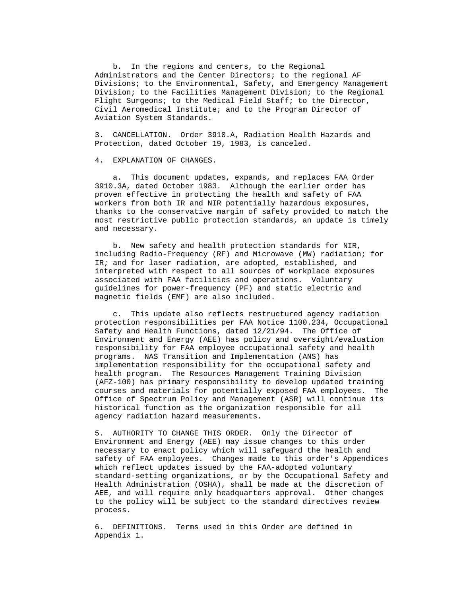b. In the regions and centers, to the Regional Administrators and the Center Directors; to the regional AF Divisions; to the Environmental, Safety, and Emergency Management Division; to the Facilities Management Division; to the Regional Flight Surgeons; to the Medical Field Staff; to the Director, Civil Aeromedical Institute; and to the Program Director of Aviation System Standards.

 3. CANCELLATION. Order 3910.A, Radiation Health Hazards and Protection, dated October 19, 1983, is canceled.

4. EXPLANATION OF CHANGES.

 a. This document updates, expands, and replaces FAA Order 3910.3A, dated October 1983. Although the earlier order has proven effective in protecting the health and safety of FAA workers from both IR and NIR potentially hazardous exposures, thanks to the conservative margin of safety provided to match the most restrictive public protection standards, an update is timely and necessary.

 b. New safety and health protection standards for NIR, including Radio-Frequency (RF) and Microwave (MW) radiation; for IR; and for laser radiation, are adopted, established, and interpreted with respect to all sources of workplace exposures associated with FAA facilities and operations. Voluntary guidelines for power-frequency (PF) and static electric and magnetic fields (EMF) are also included.

 c. This update also reflects restructured agency radiation protection responsibilities per FAA Notice 1100.234, Occupational Safety and Health Functions, dated 12/21/94. The Office of Environment and Energy (AEE) has policy and oversight/evaluation responsibility for FAA employee occupational safety and health programs. NAS Transition and Implementation (ANS) has implementation responsibility for the occupational safety and health program. The Resources Management Training Division (AFZ-100) has primary responsibility to develop updated training courses and materials for potentially exposed FAA employees. The Office of Spectrum Policy and Management (ASR) will continue its historical function as the organization responsible for all agency radiation hazard measurements.

 5. AUTHORITY TO CHANGE THIS ORDER. Only the Director of Environment and Energy (AEE) may issue changes to this order necessary to enact policy which will safeguard the health and safety of FAA employees. Changes made to this order's Appendices which reflect updates issued by the FAA-adopted voluntary standard-setting organizations, or by the Occupational Safety and Health Administration (OSHA), shall be made at the discretion of AEE, and will require only headquarters approval. Other changes to the policy will be subject to the standard directives review process.

 6. DEFINITIONS. Terms used in this Order are defined in Appendix 1.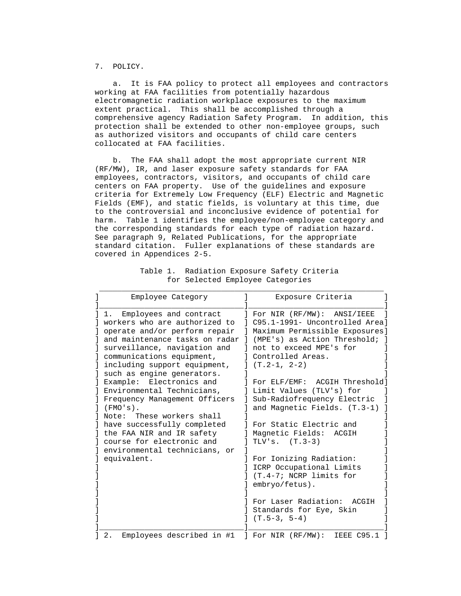7. POLICY.

 a. It is FAA policy to protect all employees and contractors working at FAA facilities from potentially hazardous electromagnetic radiation workplace exposures to the maximum extent practical. This shall be accomplished through a comprehensive agency Radiation Safety Program. In addition, this protection shall be extended to other non-employee groups, such as authorized visitors and occupants of child care centers collocated at FAA facilities.

 b. The FAA shall adopt the most appropriate current NIR (RF/MW), IR, and laser exposure safety standards for FAA employees, contractors, visitors, and occupants of child care centers on FAA property. Use of the guidelines and exposure criteria for Extremely Low Frequency (ELF) Electric and Magnetic Fields (EMF), and static fields, is voluntary at this time, due to the controversial and inconclusive evidence of potential for harm. Table 1 identifies the employee/non-employee category and the corresponding standards for each type of radiation hazard. See paragraph 9, Related Publications, for the appropriate standard citation. Fuller explanations of these standards are covered in Appendices 2-5.

| Employee Category                                                                                                                                                                                                                                             | Exposure Criteria                                                                                                                                                                                      |
|---------------------------------------------------------------------------------------------------------------------------------------------------------------------------------------------------------------------------------------------------------------|--------------------------------------------------------------------------------------------------------------------------------------------------------------------------------------------------------|
| Employees and contract<br>1.<br>workers who are authorized to<br>operate and/or perform repair<br>and maintenance tasks on radar 1<br>surveillance, navigation and<br>communications equipment,<br>including support equipment,<br>such as engine generators. | For NIR $(RF/MW)$ :<br>ANSI/IEEE<br>C95.1-1991- Uncontrolled Areal<br>Maximum Permissible Exposures]<br>(MPE's) as Action Threshold;<br>not to exceed MPE's for<br>Controlled Areas.<br>$(T.2-1, 2-2)$ |
| Electronics and<br>Example:<br>Environmental Technicians,<br>Frequency Management Officers<br>$(FMO'S)$ .<br>These workers shall<br>Note:                                                                                                                     | FOY ELF/EMF:<br>ACGIH Threshold]<br>Limit Values (TLV's) for<br>Sub-Radiofrequency Electric<br>and Magnetic Fields. (T.3-1)                                                                            |
| have successfully completed<br>the FAA NIR and IR safety<br>course for electronic and<br>environmental technicians, or                                                                                                                                        | For Static Electric and<br>Magnetic Fields:<br>ACGIH<br>TLV's. $(T.3-3)$                                                                                                                               |
| equivalent.                                                                                                                                                                                                                                                   | For Ionizing Radiation:<br>ICRP Occupational Limits<br>(T.4-7; NCRP limits for<br>embryo/fetus).                                                                                                       |
|                                                                                                                                                                                                                                                               | For Laser Radiation: ACGIH<br>Standards for Eye, Skin<br>$(T.5-3, 5-4)$                                                                                                                                |
| Employees described in #1<br>2.                                                                                                                                                                                                                               | ] For NIR (RF/MW):<br>IEEE C95.1                                                                                                                                                                       |

 Table 1. Radiation Exposure Safety Criteria for Selected Employee Categories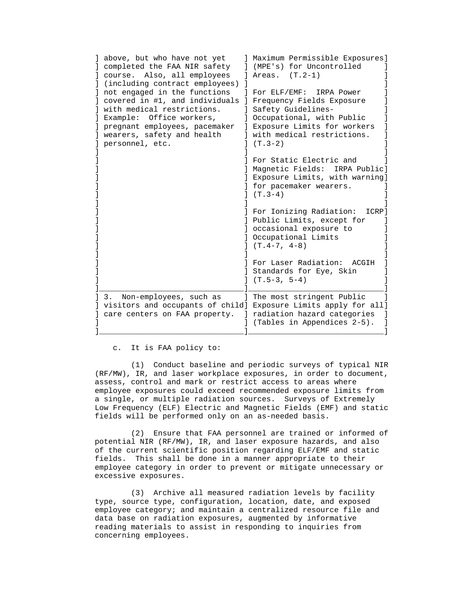| above, but who have not yet<br>completed the FAA NIR safety<br>course. Also, all employees<br>(including contract employees)<br>not engaged in the functions<br>covered in #1, and individuals<br>with medical restrictions. | ] Maximum Permissible Exposures]<br>(MPE's) for Uncontrolled<br>Areas. $(T.2-1)$<br>For ELF/EMF:<br>IRPA Power<br>Frequency Fields Exposure<br>Safety Guidelines- |
|------------------------------------------------------------------------------------------------------------------------------------------------------------------------------------------------------------------------------|-------------------------------------------------------------------------------------------------------------------------------------------------------------------|
| Example:<br>Office workers,<br>pregnant employees, pacemaker<br>wearers, safety and health<br>personnel, etc.                                                                                                                | Occupational, with Public<br>Exposure Limits for workers<br>$\mathbf{L}$<br>with medical restrictions.<br>$(T.3-2)$                                               |
|                                                                                                                                                                                                                              | For Static Electric and<br>Magnetic Fields: IRPA Public]<br>Exposure Limits, with warning]<br>for pacemaker wearers.<br>$J(T.3-4)$                                |
|                                                                                                                                                                                                                              | For Ionizing Radiation:<br>ICRP]<br>Public Limits, except for<br>] occasional exposure to<br>Cocupational Limits<br>$J (T.4-7, 4-8)$                              |
|                                                                                                                                                                                                                              | For Laser Radiation: ACGIH<br>Standards for Eye, Skin<br>$(T.5-3, 5-4)$                                                                                           |
| Non-employees, such as<br>3.<br>visitors and occupants of child]<br>care centers on FAA property.                                                                                                                            | ] The most stringent Public<br>Exposure Limits apply for all]<br>radiation hazard categories<br>(Tables in Appendices 2-5).                                       |

c. It is FAA policy to:

 (1) Conduct baseline and periodic surveys of typical NIR (RF/MW), IR, and laser workplace exposures, in order to document, assess, control and mark or restrict access to areas where employee exposures could exceed recommended exposure limits from a single, or multiple radiation sources. Surveys of Extremely Low Frequency (ELF) Electric and Magnetic Fields (EMF) and static fields will be performed only on an as-needed basis.

 (2) Ensure that FAA personnel are trained or informed of potential NIR (RF/MW), IR, and laser exposure hazards, and also of the current scientific position regarding ELF/EMF and static fields. This shall be done in a manner appropriate to their employee category in order to prevent or mitigate unnecessary or excessive exposures.

 (3) Archive all measured radiation levels by facility type, source type, configuration, location, date, and exposed employee category; and maintain a centralized resource file and data base on radiation exposures, augmented by informative reading materials to assist in responding to inquiries from concerning employees.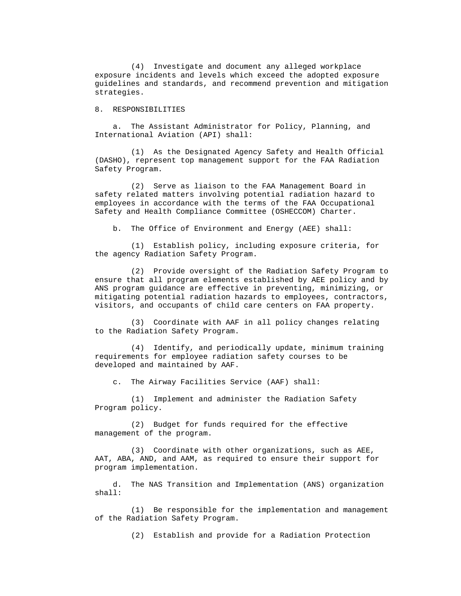(4) Investigate and document any alleged workplace exposure incidents and levels which exceed the adopted exposure guidelines and standards, and recommend prevention and mitigation strategies.

8. RESPONSIBILITIES

 a. The Assistant Administrator for Policy, Planning, and International Aviation (API) shall:

 (1) As the Designated Agency Safety and Health Official (DASHO), represent top management support for the FAA Radiation Safety Program.

 (2) Serve as liaison to the FAA Management Board in safety related matters involving potential radiation hazard to employees in accordance with the terms of the FAA Occupational Safety and Health Compliance Committee (OSHECCOM) Charter.

b. The Office of Environment and Energy (AEE) shall:

 (1) Establish policy, including exposure criteria, for the agency Radiation Safety Program.

 (2) Provide oversight of the Radiation Safety Program to ensure that all program elements established by AEE policy and by ANS program guidance are effective in preventing, minimizing, or mitigating potential radiation hazards to employees, contractors, visitors, and occupants of child care centers on FAA property.

 (3) Coordinate with AAF in all policy changes relating to the Radiation Safety Program.

 (4) Identify, and periodically update, minimum training requirements for employee radiation safety courses to be developed and maintained by AAF.

c. The Airway Facilities Service (AAF) shall:

 (1) Implement and administer the Radiation Safety Program policy.

 (2) Budget for funds required for the effective management of the program.

 (3) Coordinate with other organizations, such as AEE, AAT, ABA, AND, and AAM, as required to ensure their support for program implementation.

 d. The NAS Transition and Implementation (ANS) organization shall:

 (1) Be responsible for the implementation and management of the Radiation Safety Program.

(2) Establish and provide for a Radiation Protection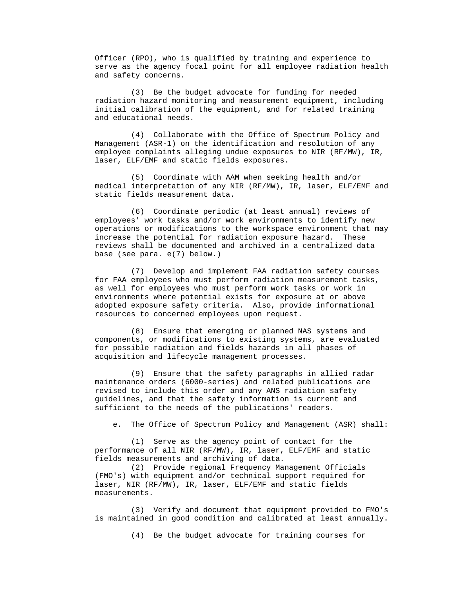Officer (RPO), who is qualified by training and experience to serve as the agency focal point for all employee radiation health and safety concerns.

 (3) Be the budget advocate for funding for needed radiation hazard monitoring and measurement equipment, including initial calibration of the equipment, and for related training and educational needs.

 (4) Collaborate with the Office of Spectrum Policy and Management (ASR-1) on the identification and resolution of any employee complaints alleging undue exposures to NIR (RF/MW), IR, laser, ELF/EMF and static fields exposures.

 (5) Coordinate with AAM when seeking health and/or medical interpretation of any NIR (RF/MW), IR, laser, ELF/EMF and static fields measurement data.

 (6) Coordinate periodic (at least annual) reviews of employees' work tasks and/or work environments to identify new operations or modifications to the workspace environment that may increase the potential for radiation exposure hazard. These reviews shall be documented and archived in a centralized data base (see para. e(7) below.)

 (7) Develop and implement FAA radiation safety courses for FAA employees who must perform radiation measurement tasks, as well for employees who must perform work tasks or work in environments where potential exists for exposure at or above adopted exposure safety criteria. Also, provide informational resources to concerned employees upon request.

 (8) Ensure that emerging or planned NAS systems and components, or modifications to existing systems, are evaluated for possible radiation and fields hazards in all phases of acquisition and lifecycle management processes.

 (9) Ensure that the safety paragraphs in allied radar maintenance orders (6000-series) and related publications are revised to include this order and any ANS radiation safety guidelines, and that the safety information is current and sufficient to the needs of the publications' readers.

e. The Office of Spectrum Policy and Management (ASR) shall:

 (1) Serve as the agency point of contact for the performance of all NIR (RF/MW), IR, laser, ELF/EMF and static fields measurements and archiving of data.

 (2) Provide regional Frequency Management Officials (FMO's) with equipment and/or technical support required for laser, NIR (RF/MW), IR, laser, ELF/EMF and static fields measurements.

 (3) Verify and document that equipment provided to FMO's is maintained in good condition and calibrated at least annually.

(4) Be the budget advocate for training courses for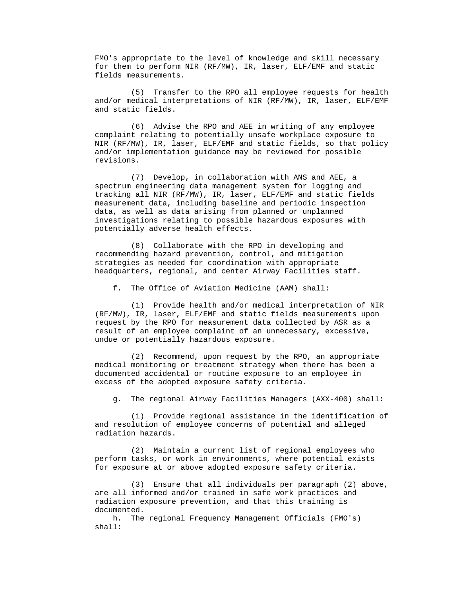FMO's appropriate to the level of knowledge and skill necessary for them to perform NIR (RF/MW), IR, laser, ELF/EMF and static fields measurements.

 (5) Transfer to the RPO all employee requests for health and/or medical interpretations of NIR (RF/MW), IR, laser, ELF/EMF and static fields.

 (6) Advise the RPO and AEE in writing of any employee complaint relating to potentially unsafe workplace exposure to NIR (RF/MW), IR, laser, ELF/EMF and static fields, so that policy and/or implementation guidance may be reviewed for possible revisions.

 (7) Develop, in collaboration with ANS and AEE, a spectrum engineering data management system for logging and tracking all NIR (RF/MW), IR, laser, ELF/EMF and static fields measurement data, including baseline and periodic inspection data, as well as data arising from planned or unplanned investigations relating to possible hazardous exposures with potentially adverse health effects.

 (8) Collaborate with the RPO in developing and recommending hazard prevention, control, and mitigation strategies as needed for coordination with appropriate headquarters, regional, and center Airway Facilities staff.

f. The Office of Aviation Medicine (AAM) shall:

 (1) Provide health and/or medical interpretation of NIR (RF/MW), IR, laser, ELF/EMF and static fields measurements upon request by the RPO for measurement data collected by ASR as a result of an employee complaint of an unnecessary, excessive, undue or potentially hazardous exposure.

 (2) Recommend, upon request by the RPO, an appropriate medical monitoring or treatment strategy when there has been a documented accidental or routine exposure to an employee in excess of the adopted exposure safety criteria.

g. The regional Airway Facilities Managers (AXX-400) shall:

 (1) Provide regional assistance in the identification of and resolution of employee concerns of potential and alleged radiation hazards.

 (2) Maintain a current list of regional employees who perform tasks, or work in environments, where potential exists for exposure at or above adopted exposure safety criteria.

 (3) Ensure that all individuals per paragraph (2) above, are all informed and/or trained in safe work practices and radiation exposure prevention, and that this training is documented.

 h. The regional Frequency Management Officials (FMO's) shall: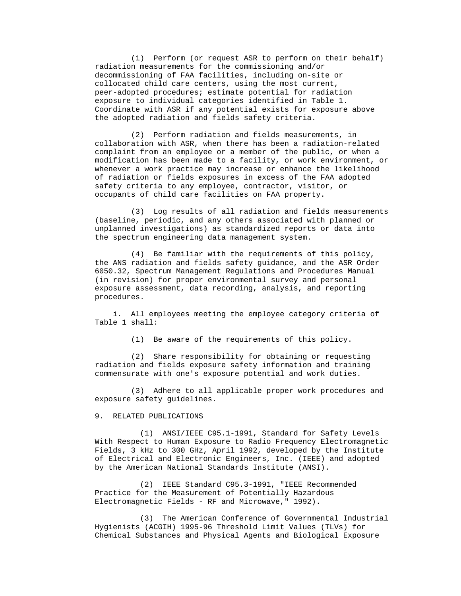(1) Perform (or request ASR to perform on their behalf) radiation measurements for the commissioning and/or decommissioning of FAA facilities, including on-site or collocated child care centers, using the most current, peer-adopted procedures; estimate potential for radiation exposure to individual categories identified in Table 1. Coordinate with ASR if any potential exists for exposure above the adopted radiation and fields safety criteria.

 (2) Perform radiation and fields measurements, in collaboration with ASR, when there has been a radiation-related complaint from an employee or a member of the public, or when a modification has been made to a facility, or work environment, or whenever a work practice may increase or enhance the likelihood of radiation or fields exposures in excess of the FAA adopted safety criteria to any employee, contractor, visitor, or occupants of child care facilities on FAA property.

 (3) Log results of all radiation and fields measurements (baseline, periodic, and any others associated with planned or unplanned investigations) as standardized reports or data into the spectrum engineering data management system.

 (4) Be familiar with the requirements of this policy, the ANS radiation and fields safety guidance, and the ASR Order 6050.32, Spectrum Management Regulations and Procedures Manual (in revision) for proper environmental survey and personal exposure assessment, data recording, analysis, and reporting procedures.

 i. All employees meeting the employee category criteria of Table 1 shall:

(1) Be aware of the requirements of this policy.

 (2) Share responsibility for obtaining or requesting radiation and fields exposure safety information and training commensurate with one's exposure potential and work duties.

 (3) Adhere to all applicable proper work procedures and exposure safety guidelines.

#### 9. RELATED PUBLICATIONS

 (1) ANSI/IEEE C95.1-1991, Standard for Safety Levels With Respect to Human Exposure to Radio Frequency Electromagnetic Fields, 3 kHz to 300 GHz, April 1992, developed by the Institute of Electrical and Electronic Engineers, Inc. (IEEE) and adopted by the American National Standards Institute (ANSI).

 (2) IEEE Standard C95.3-1991, "IEEE Recommended Practice for the Measurement of Potentially Hazardous Electromagnetic Fields - RF and Microwave," 1992).

 (3) The American Conference of Governmental Industrial Hygienists (ACGIH) 1995-96 Threshold Limit Values (TLVs) for Chemical Substances and Physical Agents and Biological Exposure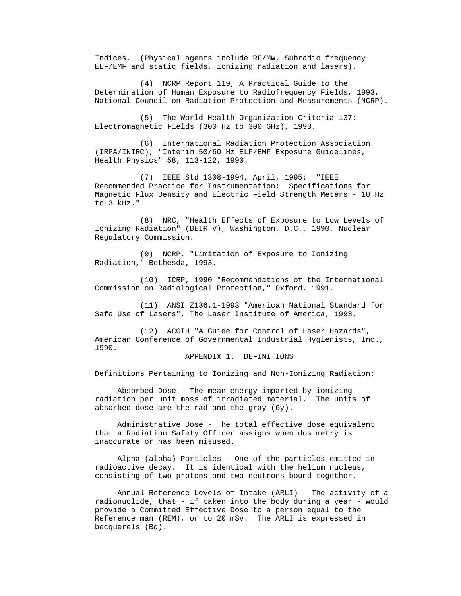Indices. (Physical agents include RF/MW, Subradio frequency ELF/EMF and static fields, ionizing radiation and lasers).

 (4) NCRP Report 119, A Practical Guide to the Determination of Human Exposure to Radiofrequency Fields, 1993, National Council on Radiation Protection and Measurements (NCRP).

 (5) The World Health Organization Criteria 137: Electromagnetic Fields (300 Hz to 300 GHz), 1993.

 (6) International Radiation Protection Association (IRPA/INIRC), "Interim 50/60 Hz ELF/EMF Exposure Guidelines, Health Physics" 58, 113-122, 1990.

 (7) IEEE Std 1308-1994, April, 1995: "IEEE Recommended Practice for Instrumentation: Specifications for Magnetic Flux Density and Electric Field Strength Meters - 10 Hz to 3 kHz."

 (8) NRC, "Health Effects of Exposure to Low Levels of Ionizing Radiation" (BEIR V), Washington, D.C., 1990, Nuclear Regulatory Commission.

 (9) NCRP, "Limitation of Exposure to Ionizing Radiation," Bethesda, 1993.

 (10) ICRP, 1990 "Recommendations of the International Commission on Radiological Protection," Oxford, 1991.

 (11) ANSI Z136.1-1993 "American National Standard for Safe Use of Lasers", The Laser Institute of America, 1993.

 (12) ACGIH "A Guide for Control of Laser Hazards", American Conference of Governmental Industrial Hygienists, Inc., 1990.

### APPENDIX 1. DEFINITIONS

Definitions Pertaining to Ionizing and Non-Ionizing Radiation:

 Absorbed Dose - The mean energy imparted by ionizing radiation per unit mass of irradiated material. The units of absorbed dose are the rad and the gray (Gy).

 Administrative Dose - The total effective dose equivalent that a Radiation Safety Officer assigns when dosimetry is inaccurate or has been misused.

 Alpha (alpha) Particles - One of the particles emitted in radioactive decay. It is identical with the helium nucleus, consisting of two protons and two neutrons bound together.

 Annual Reference Levels of Intake (ARLI) - The activity of a radionuclide, that - if taken into the body during a year - would provide a Committed Effective Dose to a person equal to the Reference man (REM), or to 20 mSv. The ARLI is expressed in becquerels (Bq).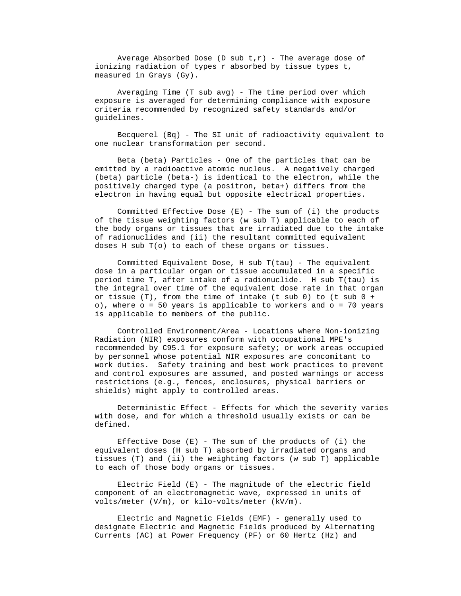Average Absorbed Dose (D sub  $t, r$ ) - The average dose of ionizing radiation of types r absorbed by tissue types t, measured in Grays (Gy).

 Averaging Time (T sub avg) - The time period over which exposure is averaged for determining compliance with exposure criteria recommended by recognized safety standards and/or guidelines.

 Becquerel (Bq) - The SI unit of radioactivity equivalent to one nuclear transformation per second.

 Beta (beta) Particles - One of the particles that can be emitted by a radioactive atomic nucleus. A negatively charged (beta) particle (beta-) is identical to the electron, while the positively charged type (a positron, beta+) differs from the electron in having equal but opposite electrical properties.

 Committed Effective Dose (E) - The sum of (i) the products of the tissue weighting factors (w sub T) applicable to each of the body organs or tissues that are irradiated due to the intake of radionuclides and (ii) the resultant committed equivalent doses H sub T(o) to each of these organs or tissues.

 Committed Equivalent Dose, H sub T(tau) - The equivalent dose in a particular organ or tissue accumulated in a specific period time T, after intake of a radionuclide. H sub T(tau) is the integral over time of the equivalent dose rate in that organ or tissue (T), from the time of intake (t sub 0) to (t sub  $0 +$  $o$ ), where  $o = 50$  years is applicable to workers and  $o = 70$  years is applicable to members of the public.

 Controlled Environment/Area - Locations where Non-ionizing Radiation (NIR) exposures conform with occupational MPE's recommended by C95.1 for exposure safety; or work areas occupied by personnel whose potential NIR exposures are concomitant to work duties. Safety training and best work practices to prevent and control exposures are assumed, and posted warnings or access restrictions (e.g., fences, enclosures, physical barriers or shields) might apply to controlled areas.

 Deterministic Effect - Effects for which the severity varies with dose, and for which a threshold usually exists or can be defined.

Effective Dose  $(E)$  - The sum of the products of  $(i)$  the equivalent doses (H sub T) absorbed by irradiated organs and tissues (T) and (ii) the weighting factors (w sub T) applicable to each of those body organs or tissues.

 Electric Field (E) - The magnitude of the electric field component of an electromagnetic wave, expressed in units of volts/meter (V/m), or kilo-volts/meter (kV/m).

 Electric and Magnetic Fields (EMF) - generally used to designate Electric and Magnetic Fields produced by Alternating Currents (AC) at Power Frequency (PF) or 60 Hertz (Hz) and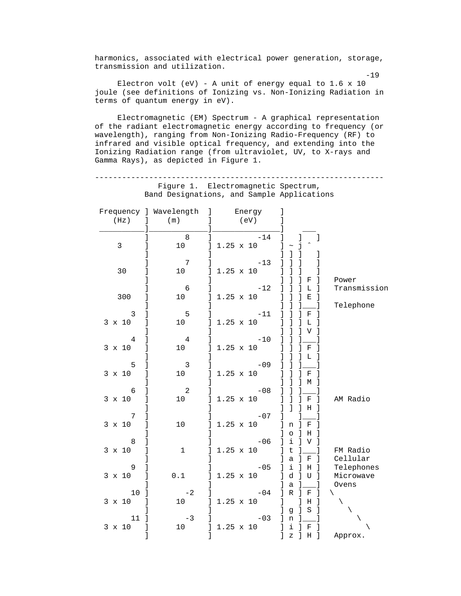harmonics, associated with electrical power generation, storage, transmission and utilization.

 -19 Electron volt (eV) - A unit of energy equal to 1.6 x 10 joule (see definitions of Ionizing vs. Non-Ionizing Radiation in terms of quantum energy in eV).

 Electromagnetic (EM) Spectrum - A graphical representation of the radiant electromagnetic energy according to frequency (or wavelength), ranging from Non-Ionizing Radio-Frequency (RF) to infrared and visible optical frequency, and extending into the Ionizing Radiation range (from ultraviolet, UV, to X-rays and Gamma Rays), as depicted in Figure 1.

 ---------------------------------------------------------------- Figure 1. Electromagnetic Spectrum, Band Designations, and Sample Applications

|                 | Frequency ] Wavelength   | Energy<br>$\mathbf{I}$                       |                                                |              |
|-----------------|--------------------------|----------------------------------------------|------------------------------------------------|--------------|
| (Hz)            | $\mathbf{1}$<br>(m)      | (ev)<br>1                                    | T                                              |              |
|                 |                          |                                              |                                                |              |
|                 | 8                        | $-14$<br>1                                   | 1<br>1                                         |              |
| $\mathbf{3}$    | 1<br>10                  | $1.25 \times 10$<br>$\overline{\phantom{a}}$ | 1                                              |              |
|                 |                          |                                              |                                                |              |
|                 | $\overline{7}$           | $-13$                                        |                                                |              |
| 30              | 10 <sup>1</sup>          | $1.25 \times 10$                             |                                                |              |
|                 |                          |                                              | F                                              |              |
|                 | $6\overline{6}$          |                                              |                                                | Power        |
|                 |                          | $-12$                                        | L                                              | Transmission |
| 300             | 10 <sub>1</sub>          | $1.25 \times 10$<br>1                        | 1<br>Е<br>-1                                   |              |
|                 |                          | 1                                            |                                                | Telephone    |
| $\overline{3}$  | $5\phantom{.0}$          | $-11$                                        | $\rm F$<br>-1                                  |              |
| $3 \times 10$   | 10                       | 1<br>$1.25 \times 10$                        | L                                              |              |
|                 |                          |                                              | V                                              |              |
| $\overline{4}$  | $\overline{4}$           | $-10$                                        |                                                |              |
| $3 \times 10$   | 10 <sub>1</sub>          | $1.25 \times 10$                             | F                                              |              |
|                 |                          |                                              | т.                                             |              |
| 5               | $\overline{\mathbf{3}}$  | $-09$                                        |                                                |              |
| $3 \times 10$   | 10                       | $1.25 \times 10$                             | F                                              |              |
|                 |                          |                                              | M                                              |              |
| 6               | $\overline{\phantom{a}}$ | $-08$                                        |                                                |              |
| $3 \times 10$   | 1<br>10 <sub>1</sub>     | $1.25 \times 10$<br>1                        | $\mathbf F$<br>1                               | AM Radio     |
|                 | 1                        | 1                                            | Н                                              |              |
| 7               |                          | $-07$                                        |                                                |              |
|                 |                          |                                              |                                                |              |
| $3 \times 10$   | 1<br>10                  | $1.25 \times 10$<br>1                        | $\mathbb{I}$<br>F<br>1<br>n                    |              |
|                 |                          |                                              | 1<br>$\circ$<br>$\mathbf{1}$<br>H              |              |
| 8               |                          | $-06$                                        | i<br>1<br>V                                    |              |
| $3 \times 10$   | $\mathbf 1$<br>1         | $1.25 \times 10$<br>1                        | $\sf t$<br>1                                   | FM Radio     |
|                 |                          |                                              | 1<br>$\mathsf{a}$<br>$\rm F$<br>$\blacksquare$ | Cellular     |
| 9               |                          | $-05$                                        | i<br>$H$ ]<br>1                                | Telephones   |
| $3 \times 10$   | $\mathbf{1}$<br>0.1      | $1.25 \times 10$<br>1                        | d<br>$\mathbf{1}$<br>U                         | Microwave    |
|                 |                          |                                              | $\mathsf{a}$                                   | Ovens        |
| 10 <sub>1</sub> | $-2$                     | $-04$<br>1                                   | $\mathbb{R}$<br>1<br>F                         | ╲            |
| $3 \times 10$   | $\mathbf{1}$<br>10       | $1.25 \times 10$<br>1                        | 1<br>H<br>$\lceil$                             | $\setminus$  |
|                 |                          |                                              | S<br>$\mathbf{I}$<br>- 1<br>1<br>g             | X            |
| $11-1$          | $-3$                     | $-03$                                        | $\mathbf{1}$<br>n ]                            |              |
| $3 \times 10$   | $\mathbf{1}$<br>10       | 1<br>$1.25 \times 10$                        | $\mathbf{1}$<br>i<br>F<br>1                    |              |
|                 | 1                        | 1                                            | 1<br>1<br>$\, {\rm H}$<br>-1<br>$\, {\bf z}$   | Approx.      |
|                 |                          |                                              |                                                |              |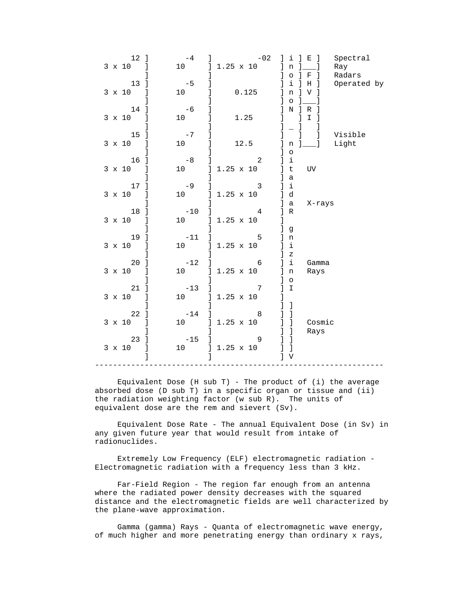| $12-1$<br>$3 \times 10$ ] | $-4$<br>10                | $-02$<br>$1.25 \times 10$                            | $j$ i $j$ E $j$<br>$\lfloor n \rfloor$ $\lfloor$                    | Spectral<br>Ray       |
|---------------------------|---------------------------|------------------------------------------------------|---------------------------------------------------------------------|-----------------------|
| 13 1                      | $-5$<br>1                 |                                                      | $\lceil$ 0 $\rceil$ F $\rceil$<br>i.<br>$\vert$ H<br>$\blacksquare$ | Radars<br>Operated by |
| $3 \times 10$ ]           | 10<br>1                   | 0.125                                                | $\mathbf n$<br>$1 \mathrm{V}$<br>$\circ$                            |                       |
| 14 1                      | $\mathbf{1}$<br>$-6$      |                                                      | NIR                                                                 |                       |
| $3 \times 10$ ]           | 1<br>10                   | 1.25                                                 | $\mathbf I$                                                         |                       |
| 15 <sup>1</sup>           | $-7$                      |                                                      | $\mathbf{1}$                                                        | ] Visible             |
| 3 x 10 ]                  | $\mathbb{I}$<br>10        | 12.5                                                 | $n \quad ]$<br>$\mathbf{1}$<br>$\overline{\phantom{a}}$ 0           | Light                 |
| 16 <sup>1</sup>           | $-8$                      | $\overline{\phantom{a}}$                             | $j$ i                                                               |                       |
| 3 x 10 ]                  | 10<br>$\perp$             | $] 1.25 \times 10$                                   | UV<br>] t<br>] a                                                    |                       |
| 17 ]                      | $-9$<br>$\mathbf{1}$      | $\mathbf{3}$                                         | 1 <sup>i</sup>                                                      |                       |
| 3 x 10 ]                  | 10                        | $] 1.25 \times 10$<br>$\mathbf{L}$                   | ] d<br>] a<br>X-rays                                                |                       |
| 18 ]<br>3 x 10 ]          | $-10$<br>10               | $\overline{4}$<br>$\mathbf{1}$<br>$] 1.25 \times 10$ | R<br>$1 -$                                                          |                       |
|                           |                           | $\mathbf{L}$                                         | ] g                                                                 |                       |
| $19$ ]<br>3 x 10 ]        | $-11$                     | 5<br>$\mathbf{1}$<br>10 ] 1.25 x 10                  | ln<br>1 <sup>i</sup>                                                |                       |
|                           |                           | $\mathbf{L}$                                         | ]Z                                                                  |                       |
| $20$ ]<br>$3 \times 10$ ] | $-12$                     | $\overline{6}$<br>$\mathbf{1}$<br>10 ] 1.25 x 10     | $1$ i<br>Gamma<br>ln<br>Rays                                        |                       |
|                           |                           | 1                                                    | $\log$                                                              |                       |
| $21$ ]<br>$3 \times 10$ ] | $-13$<br>$\mathbf{1}$     | 7<br>10 ] 1.25 x 10                                  | $J$ I<br>1                                                          |                       |
|                           |                           | $\mathbb{L}$<br>$\overline{\phantom{a}}$ 8           | $1\quad$                                                            |                       |
| $22$ ]<br>$3 \times 10$ ] | $-14$ ]                   | 10 ] 1.25 x 10                                       | ] ] Cosmic                                                          |                       |
| 23 ]                      | $\overline{1}$<br>$-15$ ] | $\overline{9}$                                       | $1-1$<br>Rays                                                       |                       |
| $3 \times 10$ ]           |                           | 10 ] 1.25 x 10                                       | 1 <sub>1</sub>                                                      |                       |
| $\mathbf{I}$              | $\mathbf{1}$              |                                                      | $J$ V                                                               |                       |

Equivalent Dose (H sub T) - The product of (i) the average absorbed dose (D sub T) in a specific organ or tissue and (ii) the radiation weighting factor (w sub R). The units of equivalent dose are the rem and sievert (Sv).

 Equivalent Dose Rate - The annual Equivalent Dose (in Sv) in any given future year that would result from intake of radionuclides.

 Extremely Low Frequency (ELF) electromagnetic radiation - Electromagnetic radiation with a frequency less than 3 kHz.

 Far-Field Region - The region far enough from an antenna where the radiated power density decreases with the squared distance and the electromagnetic fields are well characterized by the plane-wave approximation.

 Gamma (gamma) Rays - Quanta of electromagnetic wave energy, of much higher and more penetrating energy than ordinary x rays,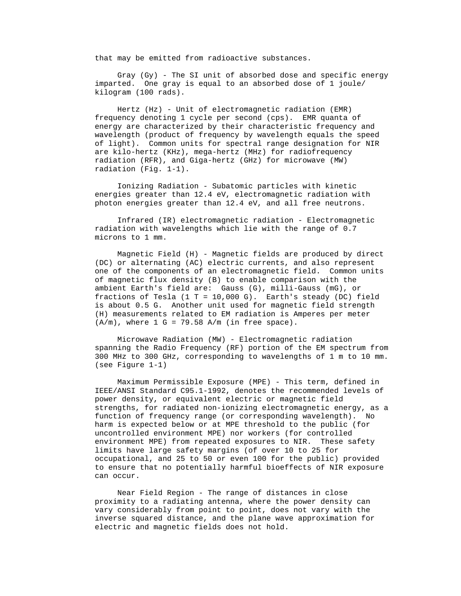that may be emitted from radioactive substances.

 Gray (Gy) - The SI unit of absorbed dose and specific energy imparted. One gray is equal to an absorbed dose of 1 joule/ kilogram (100 rads).

 Hertz (Hz) - Unit of electromagnetic radiation (EMR) frequency denoting 1 cycle per second (cps). EMR quanta of energy are characterized by their characteristic frequency and wavelength (product of frequency by wavelength equals the speed of light). Common units for spectral range designation for NIR are kilo-hertz (KHz), mega-hertz (MHz) for radiofrequency radiation (RFR), and Giga-hertz (GHz) for microwave (MW) radiation (Fig. 1-1).

 Ionizing Radiation - Subatomic particles with kinetic energies greater than 12.4 eV, electromagnetic radiation with photon energies greater than 12.4 eV, and all free neutrons.

 Infrared (IR) electromagnetic radiation - Electromagnetic radiation with wavelengths which lie with the range of 0.7 microns to 1 mm.

 Magnetic Field (H) - Magnetic fields are produced by direct (DC) or alternating (AC) electric currents, and also represent one of the components of an electromagnetic field. Common units of magnetic flux density (B) to enable comparison with the ambient Earth's field are: Gauss (G), milli-Gauss (mG), or fractions of Tesla (1 T = 10,000 G). Earth's steady (DC) field is about 0.5 G. Another unit used for magnetic field strength (H) measurements related to EM radiation is Amperes per meter  $(A/m)$ , where  $1 G = 79.58 A/m$  (in free space).

 Microwave Radiation (MW) - Electromagnetic radiation spanning the Radio Frequency (RF) portion of the EM spectrum from 300 MHz to 300 GHz, corresponding to wavelengths of 1 m to 10 mm. (see Figure 1-1)

 Maximum Permissible Exposure (MPE) - This term, defined in IEEE/ANSI Standard C95.1-1992, denotes the recommended levels of power density, or equivalent electric or magnetic field strengths, for radiated non-ionizing electromagnetic energy, as a function of frequency range (or corresponding wavelength). No harm is expected below or at MPE threshold to the public (for uncontrolled environment MPE) nor workers (for controlled environment MPE) from repeated exposures to NIR. These safety limits have large safety margins (of over 10 to 25 for occupational, and 25 to 50 or even 100 for the public) provided to ensure that no potentially harmful bioeffects of NIR exposure can occur.

 Near Field Region - The range of distances in close proximity to a radiating antenna, where the power density can vary considerably from point to point, does not vary with the inverse squared distance, and the plane wave approximation for electric and magnetic fields does not hold.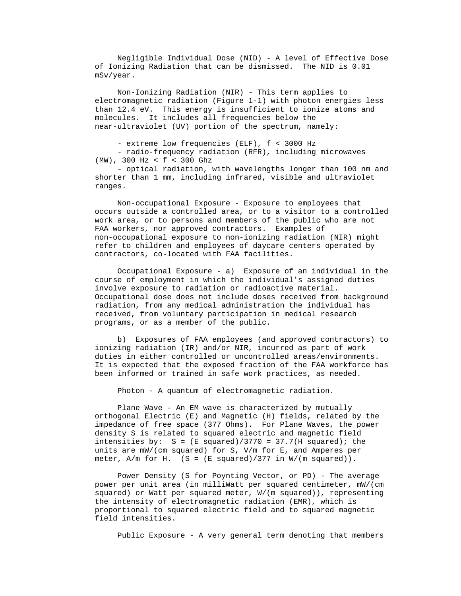Negligible Individual Dose (NID) - A level of Effective Dose of Ionizing Radiation that can be dismissed. The NID is 0.01 mSv/year.

 Non-Ionizing Radiation (NIR) - This term applies to electromagnetic radiation (Figure 1-1) with photon energies less than 12.4 eV. This energy is insufficient to ionize atoms and molecules. It includes all frequencies below the near-ultraviolet (UV) portion of the spectrum, namely:

- extreme low frequencies (ELF), f < 3000 Hz

 - radio-frequency radiation (RFR), including microwaves (MW), 300 Hz < f < 300 Ghz

 - optical radiation, with wavelengths longer than 100 nm and shorter than 1 mm, including infrared, visible and ultraviolet ranges.

 Non-occupational Exposure - Exposure to employees that occurs outside a controlled area, or to a visitor to a controlled work area, or to persons and members of the public who are not FAA workers, nor approved contractors. Examples of non-occupational exposure to non-ionizing radiation (NIR) might refer to children and employees of daycare centers operated by contractors, co-located with FAA facilities.

 Occupational Exposure - a) Exposure of an individual in the course of employment in which the individual's assigned duties involve exposure to radiation or radioactive material. Occupational dose does not include doses received from background radiation, from any medical administration the individual has received, from voluntary participation in medical research programs, or as a member of the public.

 b) Exposures of FAA employees (and approved contractors) to ionizing radiation (IR) and/or NIR, incurred as part of work duties in either controlled or uncontrolled areas/environments. It is expected that the exposed fraction of the FAA workforce has been informed or trained in safe work practices, as needed.

Photon - A quantum of electromagnetic radiation.

 Plane Wave - An EM wave is characterized by mutually orthogonal Electric (E) and Magnetic (H) fields, related by the impedance of free space (377 Ohms). For Plane Waves, the power density S is related to squared electric and magnetic field intensities by:  $S = (E \text{ squared})/3770 = 37.7(H \text{ squared})$ ; the units are mW/(cm squared) for S, V/m for E, and Amperes per meter,  $A/m$  for H. (S = (E squared)/377 in  $W/(m$  squared)).

 Power Density (S for Poynting Vector, or PD) - The average power per unit area (in milliWatt per squared centimeter, mW/(cm squared) or Watt per squared meter, W/(m squared)), representing the intensity of electromagnetic radiation (EMR), which is proportional to squared electric field and to squared magnetic field intensities.

Public Exposure - A very general term denoting that members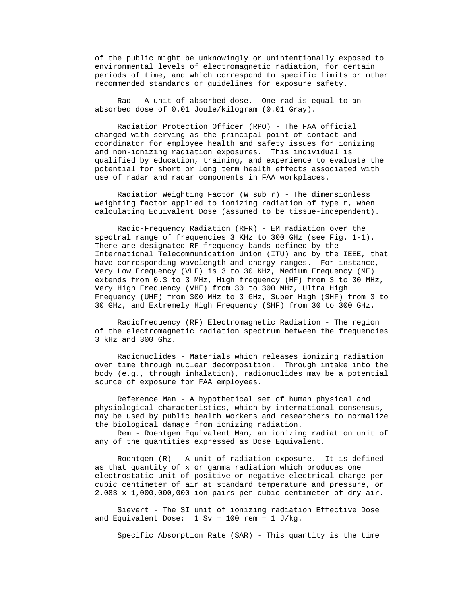of the public might be unknowingly or unintentionally exposed to environmental levels of electromagnetic radiation, for certain periods of time, and which correspond to specific limits or other recommended standards or guidelines for exposure safety.

 Rad - A unit of absorbed dose. One rad is equal to an absorbed dose of 0.01 Joule/kilogram (0.01 Gray).

 Radiation Protection Officer (RPO) - The FAA official charged with serving as the principal point of contact and coordinator for employee health and safety issues for ionizing and non-ionizing radiation exposures. This individual is qualified by education, training, and experience to evaluate the potential for short or long term health effects associated with use of radar and radar components in FAA workplaces.

Radiation Weighting Factor (W sub  $r$ ) - The dimensionless weighting factor applied to ionizing radiation of type r, when calculating Equivalent Dose (assumed to be tissue-independent).

 Radio-Frequency Radiation (RFR) - EM radiation over the spectral range of frequencies 3 KHz to 300 GHz (see Fig. 1-1). There are designated RF frequency bands defined by the International Telecommunication Union (ITU) and by the IEEE, that have corresponding wavelength and energy ranges. For instance, Very Low Frequency (VLF) is 3 to 30 KHz, Medium Frequency (MF) extends from 0.3 to 3 MHz, High frequency (HF) from 3 to 30 MHz, Very High Frequency (VHF) from 30 to 300 MHz, Ultra High Frequency (UHF) from 300 MHz to 3 GHz, Super High (SHF) from 3 to 30 GHz, and Extremely High Frequency (SHF) from 30 to 300 GHz.

 Radiofrequency (RF) Electromagnetic Radiation - The region of the electromagnetic radiation spectrum between the frequencies 3 kHz and 300 Ghz.

 Radionuclides - Materials which releases ionizing radiation over time through nuclear decomposition. Through intake into the body (e.g., through inhalation), radionuclides may be a potential source of exposure for FAA employees.

 Reference Man - A hypothetical set of human physical and physiological characteristics, which by international consensus, may be used by public health workers and researchers to normalize the biological damage from ionizing radiation.

 Rem - Roentgen Equivalent Man, an ionizing radiation unit of any of the quantities expressed as Dose Equivalent.

 Roentgen (R) - A unit of radiation exposure. It is defined as that quantity of x or gamma radiation which produces one electrostatic unit of positive or negative electrical charge per cubic centimeter of air at standard temperature and pressure, or 2.083 x 1,000,000,000 ion pairs per cubic centimeter of dry air.

 Sievert - The SI unit of ionizing radiation Effective Dose and Equivalent Dose:  $1 \text{ Sv} = 100 \text{ rem} = 1 \text{ J/kg}$ .

Specific Absorption Rate (SAR) - This quantity is the time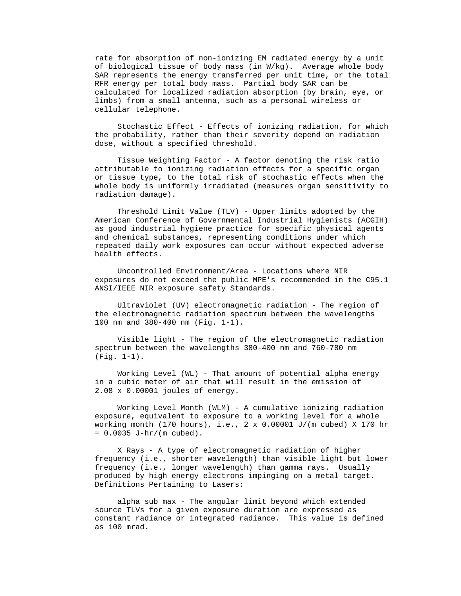rate for absorption of non-ionizing EM radiated energy by a unit of biological tissue of body mass (in W/kg). Average whole body SAR represents the energy transferred per unit time, or the total RFR energy per total body mass. Partial body SAR can be calculated for localized radiation absorption (by brain, eye, or limbs) from a small antenna, such as a personal wireless or cellular telephone.

 Stochastic Effect - Effects of ionizing radiation, for which the probability, rather than their severity depend on radiation dose, without a specified threshold.

 Tissue Weighting Factor - A factor denoting the risk ratio attributable to ionizing radiation effects for a specific organ or tissue type, to the total risk of stochastic effects when the whole body is uniformly irradiated (measures organ sensitivity to radiation damage).

 Threshold Limit Value (TLV) - Upper limits adopted by the American Conference of Governmental Industrial Hygienists (ACGIH) as good industrial hygiene practice for specific physical agents and chemical substances, representing conditions under which repeated daily work exposures can occur without expected adverse health effects.

 Uncontrolled Environment/Area - Locations where NIR exposures do not exceed the public MPE's recommended in the C95.1 ANSI/IEEE NIR exposure safety Standards.

 Ultraviolet (UV) electromagnetic radiation - The region of the electromagnetic radiation spectrum between the wavelengths 100 nm and 380-400 nm (Fig. 1-1).

 Visible light - The region of the electromagnetic radiation spectrum between the wavelengths 380-400 nm and 760-780 nm (Fig. 1-1).

 Working Level (WL) - That amount of potential alpha energy in a cubic meter of air that will result in the emission of 2.08 x 0.00001 joules of energy.

 Working Level Month (WLM) - A cumulative ionizing radiation exposure, equivalent to exposure to a working level for a whole working month (170 hours), i.e., 2 x 0.00001 J/(m cubed) X 170 hr  $= 0.0035 J-hr/(m \text{ cubed}).$ 

 X Rays - A type of electromagnetic radiation of higher frequency (i.e., shorter wavelength) than visible light but lower frequency (i.e., longer wavelength) than gamma rays. Usually produced by high energy electrons impinging on a metal target. Definitions Pertaining to Lasers:

 alpha sub max - The angular limit beyond which extended source TLVs for a given exposure duration are expressed as constant radiance or integrated radiance. This value is defined as 100 mrad.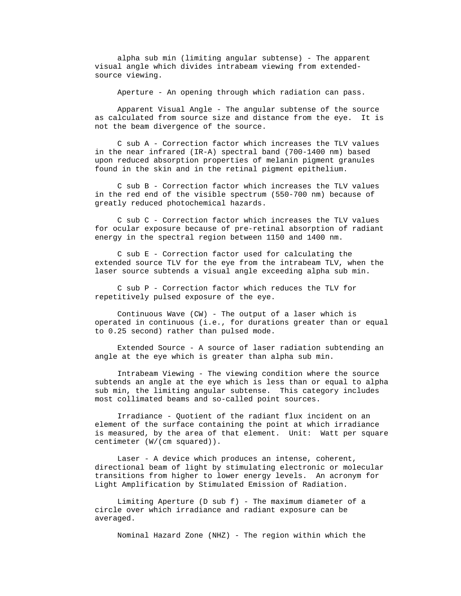alpha sub min (limiting angular subtense) - The apparent visual angle which divides intrabeam viewing from extended source viewing.

Aperture - An opening through which radiation can pass.

 Apparent Visual Angle - The angular subtense of the source as calculated from source size and distance from the eye. It is not the beam divergence of the source.

 C sub A - Correction factor which increases the TLV values in the near infrared (IR-A) spectral band (700-1400 nm) based upon reduced absorption properties of melanin pigment granules found in the skin and in the retinal pigment epithelium.

 C sub B - Correction factor which increases the TLV values in the red end of the visible spectrum (550-700 nm) because of greatly reduced photochemical hazards.

 C sub C - Correction factor which increases the TLV values for ocular exposure because of pre-retinal absorption of radiant energy in the spectral region between 1150 and 1400 nm.

 C sub E - Correction factor used for calculating the extended source TLV for the eye from the intrabeam TLV, when the laser source subtends a visual angle exceeding alpha sub min.

 C sub P - Correction factor which reduces the TLV for repetitively pulsed exposure of the eye.

 Continuous Wave (CW) - The output of a laser which is operated in continuous (i.e., for durations greater than or equal to 0.25 second) rather than pulsed mode.

 Extended Source - A source of laser radiation subtending an angle at the eye which is greater than alpha sub min.

 Intrabeam Viewing - The viewing condition where the source subtends an angle at the eye which is less than or equal to alpha sub min, the limiting angular subtense. This category includes most collimated beams and so-called point sources.

 Irradiance - Quotient of the radiant flux incident on an element of the surface containing the point at which irradiance is measured, by the area of that element. Unit: Watt per square centimeter (W/(cm squared)).

 Laser - A device which produces an intense, coherent, directional beam of light by stimulating electronic or molecular transitions from higher to lower energy levels. An acronym for Light Amplification by Stimulated Emission of Radiation.

 Limiting Aperture (D sub f) - The maximum diameter of a circle over which irradiance and radiant exposure can be averaged.

Nominal Hazard Zone (NHZ) - The region within which the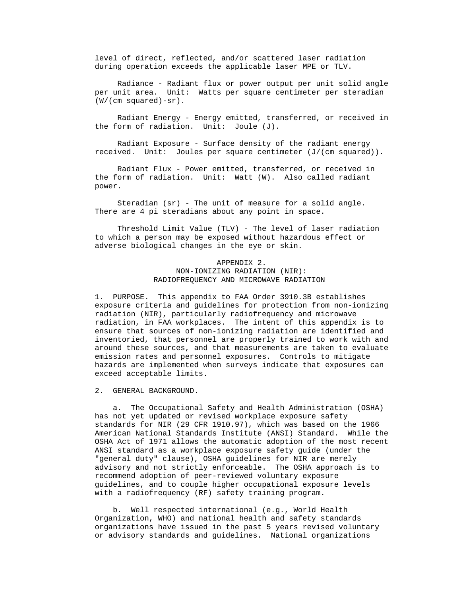level of direct, reflected, and/or scattered laser radiation during operation exceeds the applicable laser MPE or TLV.

 Radiance - Radiant flux or power output per unit solid angle per unit area. Unit: Watts per square centimeter per steradian (W/(cm squared)-sr).

 Radiant Energy - Energy emitted, transferred, or received in the form of radiation. Unit: Joule (J).

 Radiant Exposure - Surface density of the radiant energy received. Unit: Joules per square centimeter (J/(cm squared)).

 Radiant Flux - Power emitted, transferred, or received in the form of radiation. Unit: Watt (W). Also called radiant power.

 Steradian (sr) - The unit of measure for a solid angle. There are 4 pi steradians about any point in space.

 Threshold Limit Value (TLV) - The level of laser radiation to which a person may be exposed without hazardous effect or adverse biological changes in the eye or skin.

### APPENDIX 2. NON-IONIZING RADIATION (NIR): RADIOFREQUENCY AND MICROWAVE RADIATION

 1. PURPOSE. This appendix to FAA Order 3910.3B establishes exposure criteria and guidelines for protection from non-ionizing radiation (NIR), particularly radiofrequency and microwave radiation, in FAA workplaces. The intent of this appendix is to ensure that sources of non-ionizing radiation are identified and inventoried, that personnel are properly trained to work with and around these sources, and that measurements are taken to evaluate emission rates and personnel exposures. Controls to mitigate hazards are implemented when surveys indicate that exposures can exceed acceptable limits.

2. GENERAL BACKGROUND.

 a. The Occupational Safety and Health Administration (OSHA) has not yet updated or revised workplace exposure safety standards for NIR (29 CFR 1910.97), which was based on the 1966 American National Standards Institute (ANSI) Standard. While the OSHA Act of 1971 allows the automatic adoption of the most recent ANSI standard as a workplace exposure safety guide (under the "general duty" clause), OSHA guidelines for NIR are merely advisory and not strictly enforceable. The OSHA approach is to recommend adoption of peer-reviewed voluntary exposure guidelines, and to couple higher occupational exposure levels with a radiofrequency (RF) safety training program.

 b. Well respected international (e.g., World Health Organization, WHO) and national health and safety standards organizations have issued in the past 5 years revised voluntary or advisory standards and guidelines. National organizations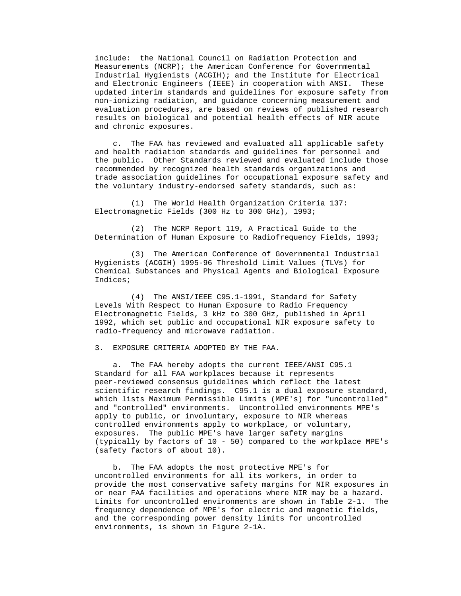include: the National Council on Radiation Protection and Measurements (NCRP); the American Conference for Governmental Industrial Hygienists (ACGIH); and the Institute for Electrical and Electronic Engineers (IEEE) in cooperation with ANSI. These updated interim standards and guidelines for exposure safety from non-ionizing radiation, and guidance concerning measurement and evaluation procedures, are based on reviews of published research results on biological and potential health effects of NIR acute and chronic exposures.

 c. The FAA has reviewed and evaluated all applicable safety and health radiation standards and guidelines for personnel and the public. Other Standards reviewed and evaluated include those recommended by recognized health standards organizations and trade association guidelines for occupational exposure safety and the voluntary industry-endorsed safety standards, such as:

 (1) The World Health Organization Criteria 137: Electromagnetic Fields (300 Hz to 300 GHz), 1993;

 (2) The NCRP Report 119, A Practical Guide to the Determination of Human Exposure to Radiofrequency Fields, 1993;

 (3) The American Conference of Governmental Industrial Hygienists (ACGIH) 1995-96 Threshold Limit Values (TLVs) for Chemical Substances and Physical Agents and Biological Exposure Indices;

 (4) The ANSI/IEEE C95.1-1991, Standard for Safety Levels With Respect to Human Exposure to Radio Frequency Electromagnetic Fields, 3 kHz to 300 GHz, published in April 1992, which set public and occupational NIR exposure safety to radio-frequency and microwave radiation.

3. EXPOSURE CRITERIA ADOPTED BY THE FAA.

 a. The FAA hereby adopts the current IEEE/ANSI C95.1 Standard for all FAA workplaces because it represents peer-reviewed consensus guidelines which reflect the latest scientific research findings. C95.1 is a dual exposure standard, which lists Maximum Permissible Limits (MPE's) for "uncontrolled" and "controlled" environments. Uncontrolled environments MPE's apply to public, or involuntary, exposure to NIR whereas controlled environments apply to workplace, or voluntary, exposures. The public MPE's have larger safety margins (typically by factors of 10 - 50) compared to the workplace MPE's (safety factors of about 10).

 b. The FAA adopts the most protective MPE's for uncontrolled environments for all its workers, in order to provide the most conservative safety margins for NIR exposures in or near FAA facilities and operations where NIR may be a hazard. Limits for uncontrolled environments are shown in Table 2-1. The frequency dependence of MPE's for electric and magnetic fields, and the corresponding power density limits for uncontrolled environments, is shown in Figure 2-1A.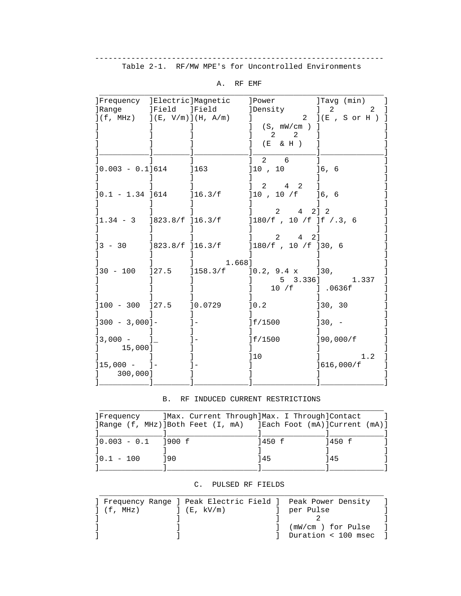---------------------------------------------------------------- Table 2-1. RF/MW MPE's for Uncontrolled Environments

| ]Frequency ]Electric]Magnetic                 |               |                 | ]Power<br><b>]Density</b>                                                    | ]Tavg (min)<br>$\begin{array}{ccc} & 2 & \end{array}$<br>2 |
|-----------------------------------------------|---------------|-----------------|------------------------------------------------------------------------------|------------------------------------------------------------|
| ]Range<br>$](f, MHz)$ $](E, V/m)$ $](H, A/m)$ | ]Field ]Field |                 | (S, mW/cm )                                                                  | $2$ $](E, S \text{ or } H)$                                |
|                                               |               |                 | $\overline{\phantom{a}}$ 2<br>$\overline{a}$<br>(E & H )                     |                                                            |
| $]0.003 - 0.1]614$                            |               | ]163            | $2 \quad 6$<br>$]10$ , $10$                                                  | ]6,6                                                       |
| $]0.1 - 1.34]$ 614                            |               | ]16.3/f         | $2 \t 4 \t 2$<br>$]10$ , $10$ /f                                             | ]6, 6                                                      |
|                                               |               |                 | 2 4 2 1 2<br>$]1.34 - 3$ $]823.8/f$ $]16.3/f$ $]180/f$ , 10 f $]f$ , 3, 6    |                                                            |
|                                               |               |                 | $1 \t2 \t4 \t21$<br>$]3 - 30$ $]823.8/f$ $]16.3/f$ $]180/f$ , $10/f$ $]30,6$ |                                                            |
| $]30 - 100$ $]27.5$                           |               | 1.668           | $]158.3/f$ $]0.2, 9.4 x$ $]30,$                                              | 5 3.336] 1.337                                             |
| $]100 - 300$ $]27.5$                          |               | 10.0729         | ]0.2                                                                         | ]30, 30                                                    |
| $[300 - 3,000]$ -                             |               | $\vert - \vert$ | ]f/1500                                                                      | $130 - -$                                                  |
| $\frac{13,000 - 1}{\cdot}$<br>15,000]         |               |                 | ]f/1500                                                                      | 190,000/f                                                  |
| $]15,000 - ]-$                                |               |                 | 110                                                                          | 1.2<br>]616,000/f                                          |

A. RF EMF

#### B. RF INDUCED CURRENT RESTRICTIONS

| Frequency      | ]Max. Current Through]Max. I Through]Contact |        |        |
|----------------|----------------------------------------------|--------|--------|
|                |                                              |        |        |
|                |                                              |        |        |
| $10.003 - 0.1$ | 1900 f                                       | 1450 f | 1450 f |
|                |                                              |        |        |
| $10.1 - 100$   | 190                                          | 145    | 145    |
|                |                                              |        |        |

### C. PULSED RF FIELDS

|                  |            | ] Frequency Range ] Peak Electric Field ] Peak Power Density |  |
|------------------|------------|--------------------------------------------------------------|--|
| $\vert$ (f, MHz) | ](E, KV/m) | per Pulse                                                    |  |
|                  |            |                                                              |  |
|                  |            | (mW/cm ) for Pulse                                           |  |
|                  |            | Duration < 100 msec                                          |  |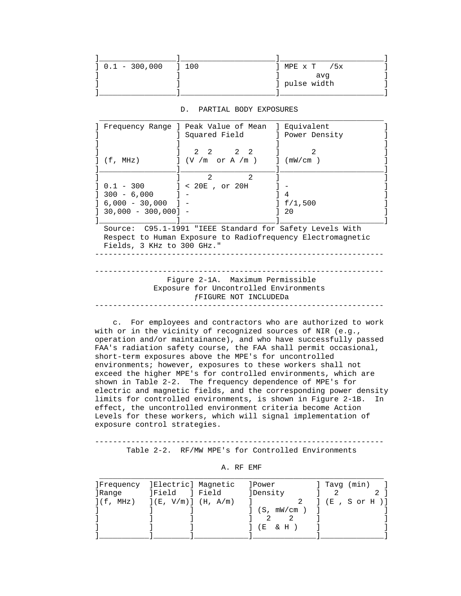| ] 0.1 - 300,000 | $\begin{array}{c} 1 & 100 \end{array}$ | MPE $\times$ T /5 $\times$ |
|-----------------|----------------------------------------|----------------------------|
|                 |                                        | avq                        |
|                 |                                        | g pulse width              |
|                 |                                        |                            |

#### D. PARTIAL BODY EXPOSURES

|                            | Frequency Range ] Peak Value of Mean                     | ] Equivalent                                                |
|----------------------------|----------------------------------------------------------|-------------------------------------------------------------|
|                            | ] Squared Field                                          | ] Power Density                                             |
|                            |                                                          |                                                             |
|                            | 2 2 2 2                                                  | $\mathcal{L}$                                               |
| (f, MHz)                   | $J$ (V /m or A /m )                                      | $\lceil$ (mW/cm )                                           |
|                            |                                                          |                                                             |
|                            | $2^{1}$<br>$\mathfrak{D}$                                |                                                             |
|                            | $0.1 - 300$ ] < 20E, or 20H                              |                                                             |
| $] 300 - 6,000$            |                                                          |                                                             |
| _6,000 - 30,000 ] -        |                                                          | $J_{f/1,500}$                                               |
| $30,000 - 300,000$ ] $-$   |                                                          | 20                                                          |
|                            |                                                          |                                                             |
|                            | Source: C95.1-1991 "IEEE Standard for Safety Levels With |                                                             |
|                            |                                                          | Respect to Human Exposure to Radiofrequency Electromagnetic |
|                            |                                                          |                                                             |
| Fields, 3 KHz to 300 GHz." |                                                          |                                                             |
|                            |                                                          |                                                             |
|                            |                                                          |                                                             |
|                            |                                                          |                                                             |
|                            | Figure 2-1A. Maximum Permissible                         |                                                             |
|                            | Exposure for Uncontrolled Environments                   |                                                             |

 c. For employees and contractors who are authorized to work with or in the vicinity of recognized sources of NIR (e.g., operation and/or maintainance), and who have successfully passed FAA's radiation safety course, the FAA shall permit occasional, short-term exposures above the MPE's for uncontrolled environments; however, exposures to these workers shall not exceed the higher MPE's for controlled environments, which are shown in Table 2-2. The frequency dependence of MPE's for electric and magnetic fields, and the corresponding power density limits for controlled environments, is shown in Figure 2-1B. In effect, the uncontrolled environment criteria become Action Levels for these workers, which will signal implementation of exposure control strategies.

 ---------------------------------------------------------------- Table 2-2. RF/MW MPE's for Controlled Environments

|        | Frequency IElectric] Magnetic      | lPower            | Tavg (min)        |
|--------|------------------------------------|-------------------|-------------------|
| ]Ranqe | <b>JField</b><br>l Field           | <b>]Density</b>   |                   |
|        | $](f, MHz)$ $](E, V/m)$ $(H, A/m)$ |                   | 2 ] (E, S or H )] |
|        |                                    | $\int$ (S, mW/cm) |                   |
|        |                                    |                   |                   |
|        |                                    | & H<br>( F.       |                   |
|        |                                    |                   |                   |

| д. | RF | EMF |  |
|----|----|-----|--|
|    |    |     |  |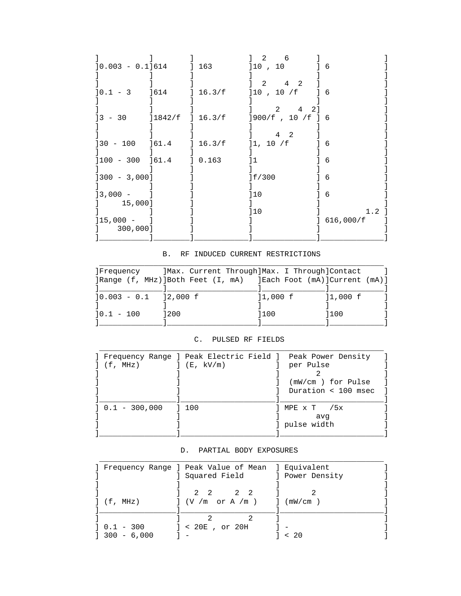| $]0.003 - 0.1]614$      |                    | 163         | 2<br>6<br>$]10$ , 10                                   | - 6              |
|-------------------------|--------------------|-------------|--------------------------------------------------------|------------------|
| $10.1 - 3$              | ]614               | 16.3/f      | 2<br>$4\overline{ }$<br>$\mathcal{L}$<br>$]10$ , 10 /f | - 6              |
| $3 - 30$                | $]1842/f$ ] 16.3/f |             | 4<br>2<br>2.<br>$]900/f$ , 10 /f ] 6                   |                  |
| $]30 - 100$             | 161.4              | $1\,16.3/f$ | 2<br>4<br>]1, 10 / f                                   | - 6              |
| $]100 - 300$            | ] 61.4             | ] 0.163     |                                                        | 6                |
| $]300 - 3,000]$         |                    |             | Jf/300                                                 | 6                |
| $13,000 -$<br>15,000]   |                    |             | 110                                                    | 6                |
| $]15,000 -$<br>300,000] |                    |             | 110                                                    | 1.2<br>616,000/f |

### B. RF INDUCED CURRENT RESTRICTIONS

| Frequency                 | ]Max. Current Through]Max. I Through]Contact |            |            |
|---------------------------|----------------------------------------------|------------|------------|
|                           |                                              |            |            |
|                           |                                              |            |            |
| $]0.003 - 0.1$ $]2,000$ f |                                              | $]1,000$ f | $]1,000$ f |
|                           |                                              |            |            |
| $10.1 - 100$              | 200                                          | 1100       | 1100       |

### C. PULSED RF FIELDS

| $J(f, MHz)$ $J(E, kV/m)$ | Frequency Range ] Peak Electric Field ] Peak Power Density | per Pulse             |
|--------------------------|------------------------------------------------------------|-----------------------|
|                          |                                                            |                       |
|                          |                                                            | (mW/cm ) for Pulse    |
|                          |                                                            | Duration $<$ 100 msec |
| $] 0.1 - 300,000$        | 1 100                                                      | 1 MPE x T /5x         |
|                          |                                                            | avq                   |
|                          |                                                            | ] pulse width         |

### D. PARTIAL BODY EXPOSURES

|               | Frequency Range ] Peak Value of Mean ] Equivalent |  |
|---------------|---------------------------------------------------|--|
|               | ] Squared Field [1] Power Density                 |  |
|               |                                                   |  |
|               | 2 2<br>2 2                                        |  |
| $J$ (f, MHz)  | $\vert$ (V /m or A /m ) $\vert$ (mW/cm )          |  |
|               |                                                   |  |
|               |                                                   |  |
| $10.1 - 300$  | $] < 20E$ , or $20H$                              |  |
| $300 - 6,000$ |                                                   |  |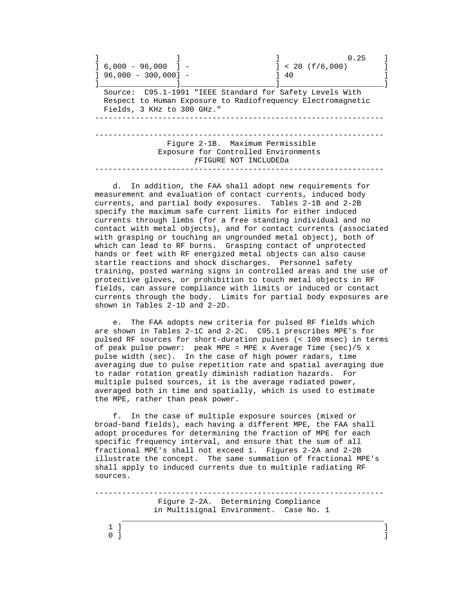|                                                          | 0.25                                                          |
|----------------------------------------------------------|---------------------------------------------------------------|
| $1, 6, 000 - 96, 000$ 1 -                                | $] < 20$ (f/6,000)                                            |
| $[$ 96,000 - 300,000] -                                  | 40                                                            |
|                                                          |                                                               |
| Source: C95.1-1991 "IEEE Standard for Safety Levels With |                                                               |
| Fields, 3 KHz to 300 GHz."                               | Respect to Human Exposure to Radiofrequency Electromagnetic   |
|                                                          |                                                               |
|                                                          | Figure 2-1B. Maximum Permissible                              |
|                                                          | Exposure for Controlled Environments<br>fFIGURE NOT INCLUDEDa |
|                                                          |                                                               |

 d. In addition, the FAA shall adopt new requirements for measurement and evaluation of contact currents, induced body currents, and partial body exposures. Tables 2-1B and 2-2B specify the maximum safe current limits for either induced currents through limbs (for a free standing individual and no contact with metal objects), and for contact currents (associated with grasping or touching an ungrounded metal object), both of which can lead to RF burns. Grasping contact of unprotected hands or feet with RF energized metal objects can also cause startle reactions and shock discharges. Personnel safety training, posted warning signs in controlled areas and the use of protective gloves, or prohibition to touch metal objects in RF fields, can assure compliance with limits or induced or contact currents through the body. Limits for partial body exposures are shown in Tables 2-1D and 2-2D.

 e. The FAA adopts new criteria for pulsed RF fields which are shown in Tables 2-1C and 2-2C. C95.1 prescribes MPE's for pulsed RF sources for short-duration pulses (< 100 msec) in terms of peak pulse power: peak MPE = MPE x Average Time (sec)/5 x pulse width (sec). In the case of high power radars, time averaging due to pulse repetition rate and spatial averaging due to radar rotation greatly diminish radiation hazards. For multiple pulsed sources, it is the average radiated power, averaged both in time and spatially, which is used to estimate the MPE, rather than peak power.

 f. In the case of multiple exposure sources (mixed or broad-band fields), each having a different MPE, the FAA shall adopt procedures for determining the fraction of MPE for each specific frequency interval, and ensure that the sum of all fractional MPE's shall not exceed 1. Figures 2-2A and 2-2B illustrate the concept. The same summation of fractional MPE's shall apply to induced currents due to multiple radiating RF sources.

 ---------------------------------------------------------------- Figure 2-2A. Determining Compliance in Multisignal Environment. Case No. 1  $\mathcal{L}_\mathcal{L}$  , and the contribution of the contribution of the contribution of the contribution of the contribution of the contribution of the contribution of the contribution of the contribution of the contribution of

 $1$  ]  $\qquad$   $\qquad$   $\qquad$   $\qquad$   $\qquad$   $\qquad$   $\qquad$   $\qquad$   $\qquad$   $\qquad$   $\qquad$   $\qquad$   $\qquad$   $\qquad$   $\qquad$   $\qquad$   $\qquad$   $\qquad$   $\qquad$   $\qquad$   $\qquad$   $\qquad$   $\qquad$   $\qquad$   $\qquad$   $\qquad$   $\qquad$   $\qquad$   $\qquad$   $\qquad$   $\qquad$   $\qquad$   $\qquad$   $\qquad$   $\qquad$   $\$  $\begin{bmatrix} 0 & 1 \end{bmatrix}$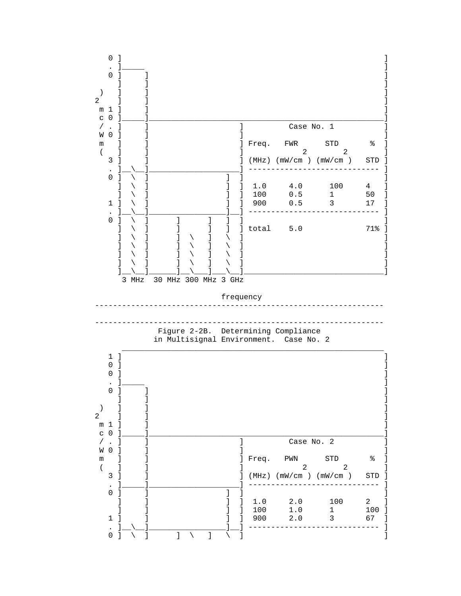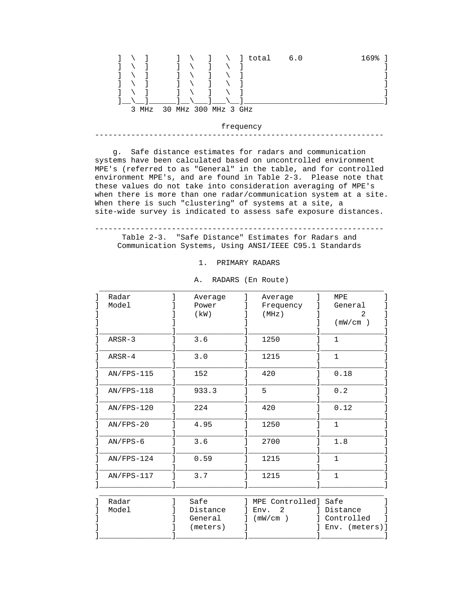

frequency ----------------------------------------------------------------

 g. Safe distance estimates for radars and communication systems have been calculated based on uncontrolled environment MPE's (referred to as "General" in the table, and for controlled environment MPE's, and are found in Table 2-3. Please note that these values do not take into consideration averaging of MPE's when there is more than one radar/communication system at a site. When there is such "clustering" of systems at a site, a site-wide survey is indicated to assess safe exposure distances.

 ---------------------------------------------------------------- Table 2-3. "Safe Distance" Estimates for Radars and

Communication Systems, Using ANSI/IEEE C95.1 Standards

1. PRIMARY RADARS

| Radar        | Average | Average   | MPE          |
|--------------|---------|-----------|--------------|
| Model        | Power   | Frequency | General      |
|              | (kW)    | (MHz)     | 2            |
|              |         |           | (mW/cm)      |
| $ARSR-3$     | 3.6     | 1250      | $\mathbf{1}$ |
| ARSR-4       | 3.0     | 1215      | $\mathbf{1}$ |
| $AN/FPS-115$ | 152     | 420       | 0.18         |
| $AN/FPS-118$ | 933.3   | 5         | 0.2          |
| $AN/FPS-120$ | 224     | 420       | 0.12         |
| $AN/FPS-20$  | 4.95    | 1250      | $\mathbf{1}$ |
| $AN/FPS-6$   | 3.6     | 2700      | 1.8          |
| $AN/FPS-124$ | 0.59    | 1215      | $\mathbf 1$  |
| $AN/FPS-117$ | 3.7     | 1215      | $\mathbf{1}$ |

A. RADARS (En Route)

| Radar | Safe     | MPE Controlled] Safe |                |
|-------|----------|----------------------|----------------|
| Model | Distance | Env. 2               | Distance       |
|       | General  | (mW/cm)              | l Controlled   |
|       | (meters) |                      | Env. (meters)] |
|       |          |                      |                |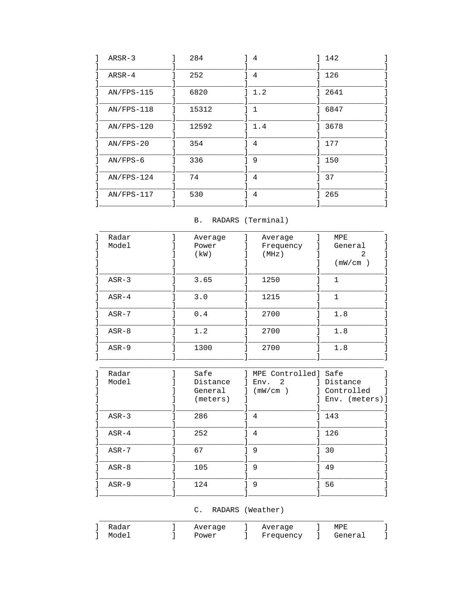| $ARSR-3$     | 284   | 4            | 142  |
|--------------|-------|--------------|------|
| $ARSR-4$     | 252   | 4            | 126  |
| $AN/FPS-115$ | 6820  | 1.2          | 2641 |
| $AN/FPS-118$ | 15312 | $\mathbf{1}$ | 6847 |
| $AN/FPS-120$ | 12592 | 1.4          | 3678 |
| $AN/FPS-20$  | 354   | 4            | 177  |
| $AN/FPS-6$   | 336   | 9            | 150  |
| $AN/FPS-124$ | 74    | 4            | 37   |
| $AN/FPS-117$ | 530   | 4            | 265  |

## B. RADARS (Terminal)

| Radar   | Average | Average   | MPE     |  |
|---------|---------|-----------|---------|--|
| Model   | Power   | Frequency | General |  |
|         | (kW)    | (MHz)     | 2       |  |
|         |         |           | (mW/cm) |  |
|         |         |           |         |  |
| $ASR-3$ | 3.65    | 1250      | 1       |  |
|         |         |           |         |  |
| $ASR-4$ | 3.0     | 1215      | 1       |  |
|         |         |           |         |  |
| $ASR-7$ | 0.4     | 2700      | 1.8     |  |
|         |         |           |         |  |
| $ASR-8$ | 1.2     | 2700      | 1.8     |  |
|         |         |           |         |  |
| $ASR-9$ | 1300    | 2700      | 1.8     |  |
|         |         |           |         |  |

| Radar   | Safe     | MPE Controlled] Safe   |                |
|---------|----------|------------------------|----------------|
| Model   | Distance | $\overline{2}$<br>Env. | Distance       |
|         | General  | (mW/cm)                | Controlled     |
|         | (meters) |                        | Env. (meters)] |
|         |          |                        |                |
| $ASR-3$ | 286      | 4                      | 143            |
|         |          |                        |                |
| $ASR-4$ | 252      | 4                      | 126            |
|         |          |                        |                |
| $ASR-7$ | 67       | 9                      | 30             |
|         |          |                        |                |
| $ASR-8$ | 105      | 9                      | 49             |
|         |          |                        |                |
| $ASR-9$ | 124      | 9                      | 56             |
|         |          |                        |                |
|         |          |                        |                |

## C. RADARS (Weather)

| Radar<br>111111 | ∼<br><b>AA</b> |  | MPE                      |  |
|-----------------|----------------|--|--------------------------|--|
| Mode            | POWAY          |  | $P^{\sim}$<br>$\epsilon$ |  |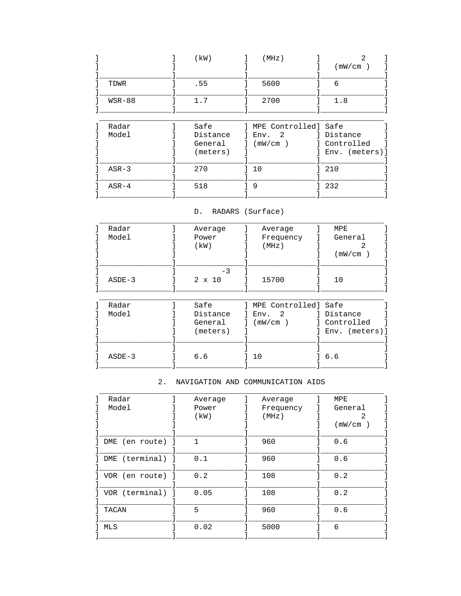|          | (kW)     | (MHz)                | (mW/cm)        |
|----------|----------|----------------------|----------------|
|          |          |                      |                |
| TDWR     | .55      | 5600                 | 6              |
| $WSR-88$ | 1.7      | 2700                 | 1.8            |
|          |          |                      |                |
| Radar    | Safe     | MPE Controlled] Safe |                |
| Model    | Distance | 2<br>Env.            | d Distance     |
|          | General  | (mW/cm)              | Controlled     |
|          | (meters) |                      | Env. (meters)] |
|          |          |                      |                |
| $ASR-3$  | 270      | 10                   | 210            |
|          |          |                      |                |
| $ASR-4$  | 518      | 9                    | 232            |
|          |          |                      |                |

### D. RADARS (Surface)

| Radar    | Average       | Average                | MPE            |
|----------|---------------|------------------------|----------------|
| Model    | Power         | Frequency              | General        |
|          | (kW)          | (MHz)                  | 2              |
|          |               |                        | (mW/cm)        |
|          |               |                        |                |
|          | $-3$          |                        |                |
| $ASDE-3$ | $2 \times 10$ | 15700                  | 10             |
|          |               |                        |                |
|          |               |                        |                |
| Radar    | Safe          | MPE Controlled] Safe   |                |
| Model    | Distance      | $\overline{2}$<br>Env. | 1 Distance     |
|          | General       | (mW/cm)                | l Controlled   |
|          | (meters)      |                        | Env. (meters)] |
|          |               |                        |                |
|          |               |                        |                |
| $ASDE-3$ | 6.6           | 10                     | 6.6            |
|          |               |                        |                |
|          |               |                        |                |

# 2. NAVIGATION AND COMMUNICATION AIDS

| Radar              | Average      | Average   | MPE     |
|--------------------|--------------|-----------|---------|
| Model              | Power        | Frequency | General |
|                    | (kW)         | (MHz)     |         |
|                    |              |           | (mW/cm) |
|                    |              |           |         |
| DME (en route)     | $\mathbf{1}$ | 960       | 0.6     |
|                    |              |           |         |
| ] DME (terminal) ] | 0.1          | 960       | 0.6     |
|                    |              |           |         |
| ] VOR (en route)   | 0.2          | 108       | 0.2     |
| ] VOR (terminal) ] | 0.05         | 108       | 0.2     |
|                    |              |           |         |
| TACAN              | 5            | 960       | 0.6     |
|                    |              |           |         |
| MLS                | 0.02         | 5000      | 6       |
|                    |              |           |         |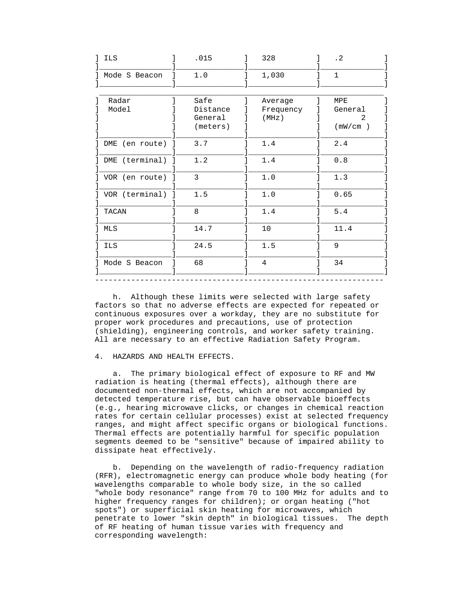| ILS              | .015     | 328                  | $\cdot$ 2    |
|------------------|----------|----------------------|--------------|
| Mode S Beacon    | 1.0      | 1,030                | $\mathbf{1}$ |
| Radar            | Safe     |                      | MPE          |
| Model            | Distance | Average<br>Frequency | General      |
|                  | General  | (MHz)                | 2.           |
|                  | (meters) |                      | (mW/cm)      |
| DME (en route) ] | 3.7      | 1.4                  | 2.4          |
| DME (terminal) ] | 1.2      | 1.4                  | 0.8          |
| VOR (en route) ] | 3        | 1.0                  | 1.3          |
| VOR (terminal) ] | 1.5      | 1.0                  | 0.65         |
| TACAN            | 8        | 1.4                  | 5.4          |
| MLS              | 14.7     | 10                   | 11.4         |
| <b>ILS</b>       | 24.5     | 1.5                  | 9            |
| Mode S Beacon    | 68       | $\overline{4}$       | 34           |

 h. Although these limits were selected with large safety factors so that no adverse effects are expected for repeated or continuous exposures over a workday, they are no substitute for proper work procedures and precautions, use of protection (shielding), engineering controls, and worker safety training. All are necessary to an effective Radiation Safety Program.

### 4. HAZARDS AND HEALTH EFFECTS.

 a. The primary biological effect of exposure to RF and MW radiation is heating (thermal effects), although there are documented non-thermal effects, which are not accompanied by detected temperature rise, but can have observable bioeffects (e.g., hearing microwave clicks, or changes in chemical reaction rates for certain cellular processes) exist at selected frequency ranges, and might affect specific organs or biological functions. Thermal effects are potentially harmful for specific population segments deemed to be "sensitive" because of impaired ability to dissipate heat effectively.

 b. Depending on the wavelength of radio-frequency radiation (RFR), electromagnetic energy can produce whole body heating (for wavelengths comparable to whole body size, in the so called "whole body resonance" range from 70 to 100 MHz for adults and to higher frequency ranges for children); or organ heating ("hot spots") or superficial skin heating for microwaves, which penetrate to lower "skin depth" in biological tissues. The depth of RF heating of human tissue varies with frequency and corresponding wavelength: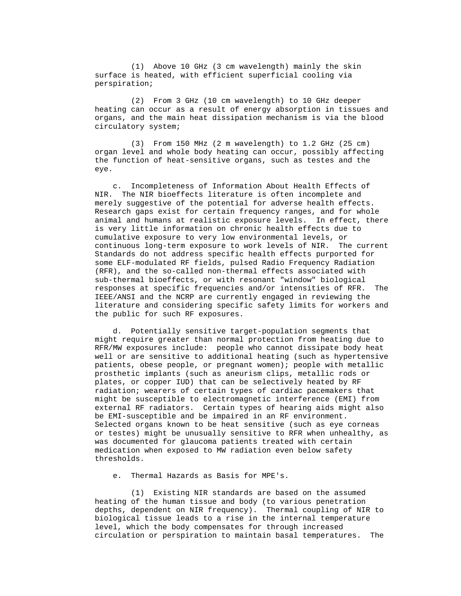(1) Above 10 GHz (3 cm wavelength) mainly the skin surface is heated, with efficient superficial cooling via perspiration;

 (2) From 3 GHz (10 cm wavelength) to 10 GHz deeper heating can occur as a result of energy absorption in tissues and organs, and the main heat dissipation mechanism is via the blood circulatory system;

 (3) From 150 MHz (2 m wavelength) to 1.2 GHz (25 cm) organ level and whole body heating can occur, possibly affecting the function of heat-sensitive organs, such as testes and the eye.

 c. Incompleteness of Information About Health Effects of NIR. The NIR bioeffects literature is often incomplete and merely suggestive of the potential for adverse health effects. Research gaps exist for certain frequency ranges, and for whole animal and humans at realistic exposure levels. In effect, there is very little information on chronic health effects due to cumulative exposure to very low environmental levels, or continuous long-term exposure to work levels of NIR. The current Standards do not address specific health effects purported for some ELF-modulated RF fields, pulsed Radio Frequency Radiation (RFR), and the so-called non-thermal effects associated with sub-thermal bioeffects, or with resonant "window" biological responses at specific frequencies and/or intensities of RFR. The IEEE/ANSI and the NCRP are currently engaged in reviewing the literature and considering specific safety limits for workers and the public for such RF exposures.

 d. Potentially sensitive target-population segments that might require greater than normal protection from heating due to RFR/MW exposures include: people who cannot dissipate body heat well or are sensitive to additional heating (such as hypertensive patients, obese people, or pregnant women); people with metallic prosthetic implants (such as aneurism clips, metallic rods or plates, or copper IUD) that can be selectively heated by RF radiation; wearers of certain types of cardiac pacemakers that might be susceptible to electromagnetic interference (EMI) from external RF radiators. Certain types of hearing aids might also be EMI-susceptible and be impaired in an RF environment. Selected organs known to be heat sensitive (such as eye corneas or testes) might be unusually sensitive to RFR when unhealthy, as was documented for glaucoma patients treated with certain medication when exposed to MW radiation even below safety thresholds.

e. Thermal Hazards as Basis for MPE's.

 (1) Existing NIR standards are based on the assumed heating of the human tissue and body (to various penetration depths, dependent on NIR frequency). Thermal coupling of NIR to biological tissue leads to a rise in the internal temperature level, which the body compensates for through increased circulation or perspiration to maintain basal temperatures. The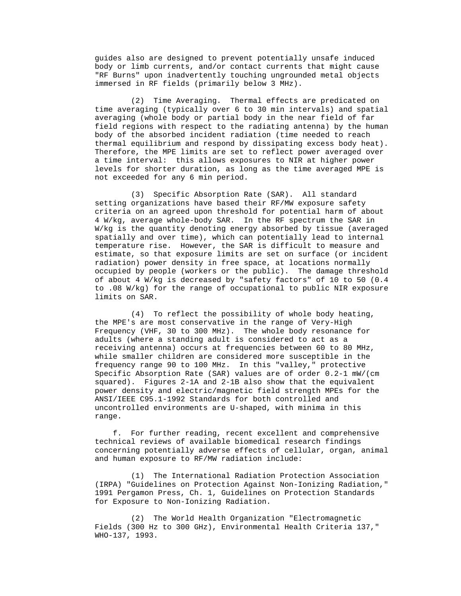guides also are designed to prevent potentially unsafe induced body or limb currents, and/or contact currents that might cause "RF Burns" upon inadvertently touching ungrounded metal objects immersed in RF fields (primarily below 3 MHz).

 (2) Time Averaging. Thermal effects are predicated on time averaging (typically over 6 to 30 min intervals) and spatial averaging (whole body or partial body in the near field of far field regions with respect to the radiating antenna) by the human body of the absorbed incident radiation (time needed to reach thermal equilibrium and respond by dissipating excess body heat). Therefore, the MPE limits are set to reflect power averaged over a time interval: this allows exposures to NIR at higher power levels for shorter duration, as long as the time averaged MPE is not exceeded for any 6 min period.

 (3) Specific Absorption Rate (SAR). All standard setting organizations have based their RF/MW exposure safety criteria on an agreed upon threshold for potential harm of about 4 W/kg, average whole-body SAR. In the RF spectrum the SAR in W/kg is the quantity denoting energy absorbed by tissue (averaged spatially and over time), which can potentially lead to internal temperature rise. However, the SAR is difficult to measure and estimate, so that exposure limits are set on surface (or incident radiation) power density in free space, at locations normally occupied by people (workers or the public). The damage threshold of about 4 W/kg is decreased by "safety factors" of 10 to 50 (0.4 to .08 W/kg) for the range of occupational to public NIR exposure limits on SAR.

 (4) To reflect the possibility of whole body heating, the MPE's are most conservative in the range of Very-High Frequency (VHF, 30 to 300 MHz). The whole body resonance for adults (where a standing adult is considered to act as a receiving antenna) occurs at frequencies between 60 to 80 MHz, while smaller children are considered more susceptible in the frequency range 90 to 100 MHz. In this "valley," protective Specific Absorption Rate (SAR) values are of order 0.2-1 mW/(cm squared). Figures 2-1A and 2-1B also show that the equivalent power density and electric/magnetic field strength MPEs for the ANSI/IEEE C95.1-1992 Standards for both controlled and uncontrolled environments are U-shaped, with minima in this range.

 f. For further reading, recent excellent and comprehensive technical reviews of available biomedical research findings concerning potentially adverse effects of cellular, organ, animal and human exposure to RF/MW radiation include:

 (1) The International Radiation Protection Association (IRPA) "Guidelines on Protection Against Non-Ionizing Radiation," 1991 Pergamon Press, Ch. 1, Guidelines on Protection Standards for Exposure to Non-Ionizing Radiation.

 (2) The World Health Organization "Electromagnetic Fields (300 Hz to 300 GHz), Environmental Health Criteria 137," WHO-137, 1993.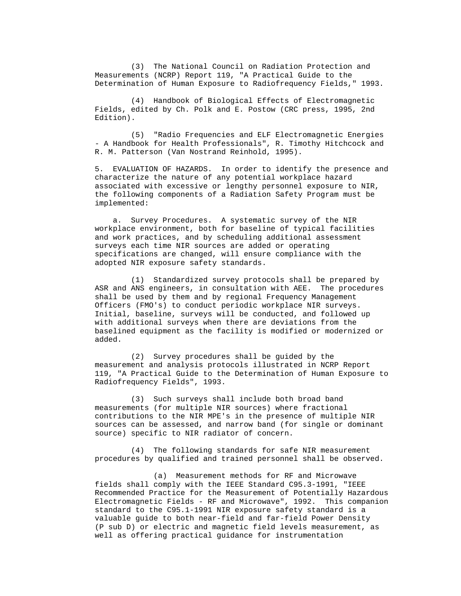(3) The National Council on Radiation Protection and Measurements (NCRP) Report 119, "A Practical Guide to the Determination of Human Exposure to Radiofrequency Fields," 1993.

 (4) Handbook of Biological Effects of Electromagnetic Fields, edited by Ch. Polk and E. Postow (CRC press, 1995, 2nd Edition).

 (5) "Radio Frequencies and ELF Electromagnetic Energies - A Handbook for Health Professionals", R. Timothy Hitchcock and R. M. Patterson (Van Nostrand Reinhold, 1995).

 5. EVALUATION OF HAZARDS. In order to identify the presence and characterize the nature of any potential workplace hazard associated with excessive or lengthy personnel exposure to NIR, the following components of a Radiation Safety Program must be implemented:

 a. Survey Procedures. A systematic survey of the NIR workplace environment, both for baseline of typical facilities and work practices, and by scheduling additional assessment surveys each time NIR sources are added or operating specifications are changed, will ensure compliance with the adopted NIR exposure safety standards.

 (1) Standardized survey protocols shall be prepared by ASR and ANS engineers, in consultation with AEE. The procedures shall be used by them and by regional Frequency Management Officers (FMO's) to conduct periodic workplace NIR surveys. Initial, baseline, surveys will be conducted, and followed up with additional surveys when there are deviations from the baselined equipment as the facility is modified or modernized or added.

 (2) Survey procedures shall be guided by the measurement and analysis protocols illustrated in NCRP Report 119, "A Practical Guide to the Determination of Human Exposure to Radiofrequency Fields", 1993.

 (3) Such surveys shall include both broad band measurements (for multiple NIR sources) where fractional contributions to the NIR MPE's in the presence of multiple NIR sources can be assessed, and narrow band (for single or dominant source) specific to NIR radiator of concern.

 (4) The following standards for safe NIR measurement procedures by qualified and trained personnel shall be observed.

 (a) Measurement methods for RF and Microwave fields shall comply with the IEEE Standard C95.3-1991, "IEEE Recommended Practice for the Measurement of Potentially Hazardous Electromagnetic Fields - RF and Microwave", 1992. This companion standard to the C95.1-1991 NIR exposure safety standard is a valuable guide to both near-field and far-field Power Density (P sub D) or electric and magnetic field levels measurement, as well as offering practical guidance for instrumentation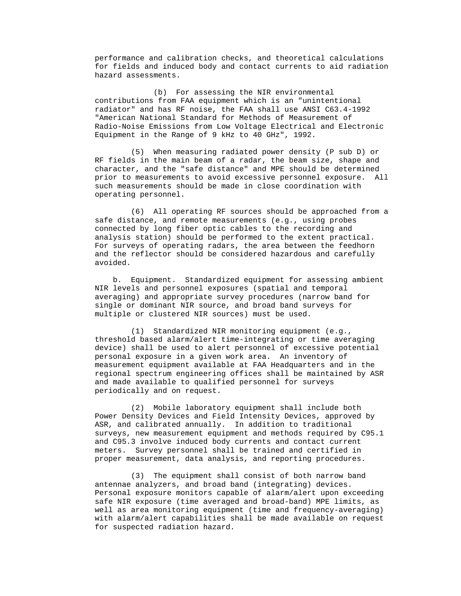performance and calibration checks, and theoretical calculations for fields and induced body and contact currents to aid radiation hazard assessments.

 (b) For assessing the NIR environmental contributions from FAA equipment which is an "unintentional radiator" and has RF noise, the FAA shall use ANSI C63.4-1992 "American National Standard for Methods of Measurement of Radio-Noise Emissions from Low Voltage Electrical and Electronic Equipment in the Range of 9 kHz to 40 GHz", 1992.

 (5) When measuring radiated power density (P sub D) or RF fields in the main beam of a radar, the beam size, shape and character, and the "safe distance" and MPE should be determined prior to measurements to avoid excessive personnel exposure. All such measurements should be made in close coordination with operating personnel.

 (6) All operating RF sources should be approached from a safe distance, and remote measurements (e.g., using probes connected by long fiber optic cables to the recording and analysis station) should be performed to the extent practical. For surveys of operating radars, the area between the feedhorn and the reflector should be considered hazardous and carefully avoided.

 b. Equipment. Standardized equipment for assessing ambient NIR levels and personnel exposures (spatial and temporal averaging) and appropriate survey procedures (narrow band for single or dominant NIR source, and broad band surveys for multiple or clustered NIR sources) must be used.

 (1) Standardized NIR monitoring equipment (e.g., threshold based alarm/alert time-integrating or time averaging device) shall be used to alert personnel of excessive potential personal exposure in a given work area. An inventory of measurement equipment available at FAA Headquarters and in the regional spectrum engineering offices shall be maintained by ASR and made available to qualified personnel for surveys periodically and on request.

 (2) Mobile laboratory equipment shall include both Power Density Devices and Field Intensity Devices, approved by ASR, and calibrated annually. In addition to traditional surveys, new measurement equipment and methods required by C95.1 and C95.3 involve induced body currents and contact current meters. Survey personnel shall be trained and certified in proper measurement, data analysis, and reporting procedures.

 (3) The equipment shall consist of both narrow band antennae analyzers, and broad band (integrating) devices. Personal exposure monitors capable of alarm/alert upon exceeding safe NIR exposure (time averaged and broad-band) MPE limits, as well as area monitoring equipment (time and frequency-averaging) with alarm/alert capabilities shall be made available on request for suspected radiation hazard.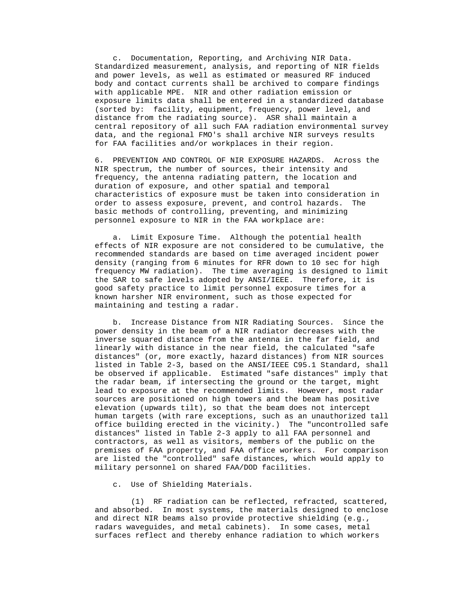c. Documentation, Reporting, and Archiving NIR Data. Standardized measurement, analysis, and reporting of NIR fields and power levels, as well as estimated or measured RF induced body and contact currents shall be archived to compare findings with applicable MPE. NIR and other radiation emission or exposure limits data shall be entered in a standardized database (sorted by: facility, equipment, frequency, power level, and distance from the radiating source). ASR shall maintain a central repository of all such FAA radiation environmental survey data, and the regional FMO's shall archive NIR surveys results for FAA facilities and/or workplaces in their region.

 6. PREVENTION AND CONTROL OF NIR EXPOSURE HAZARDS. Across the NIR spectrum, the number of sources, their intensity and frequency, the antenna radiating pattern, the location and duration of exposure, and other spatial and temporal characteristics of exposure must be taken into consideration in order to assess exposure, prevent, and control hazards. The basic methods of controlling, preventing, and minimizing personnel exposure to NIR in the FAA workplace are:

 a. Limit Exposure Time. Although the potential health effects of NIR exposure are not considered to be cumulative, the recommended standards are based on time averaged incident power density (ranging from 6 minutes for RFR down to 10 sec for high frequency MW radiation). The time averaging is designed to limit the SAR to safe levels adopted by ANSI/IEEE. Therefore, it is good safety practice to limit personnel exposure times for a known harsher NIR environment, such as those expected for maintaining and testing a radar.

 b. Increase Distance from NIR Radiating Sources. Since the power density in the beam of a NIR radiator decreases with the inverse squared distance from the antenna in the far field, and linearly with distance in the near field, the calculated "safe distances" (or, more exactly, hazard distances) from NIR sources listed in Table 2-3, based on the ANSI/IEEE C95.1 Standard, shall be observed if applicable. Estimated "safe distances" imply that the radar beam, if intersecting the ground or the target, might lead to exposure at the recommended limits. However, most radar sources are positioned on high towers and the beam has positive elevation (upwards tilt), so that the beam does not intercept human targets (with rare exceptions, such as an unauthorized tall office building erected in the vicinity.) The "uncontrolled safe distances" listed in Table 2-3 apply to all FAA personnel and contractors, as well as visitors, members of the public on the premises of FAA property, and FAA office workers. For comparison are listed the "controlled" safe distances, which would apply to military personnel on shared FAA/DOD facilities.

c. Use of Shielding Materials.

 (1) RF radiation can be reflected, refracted, scattered, and absorbed. In most systems, the materials designed to enclose and direct NIR beams also provide protective shielding (e.g., radars waveguides, and metal cabinets). In some cases, metal surfaces reflect and thereby enhance radiation to which workers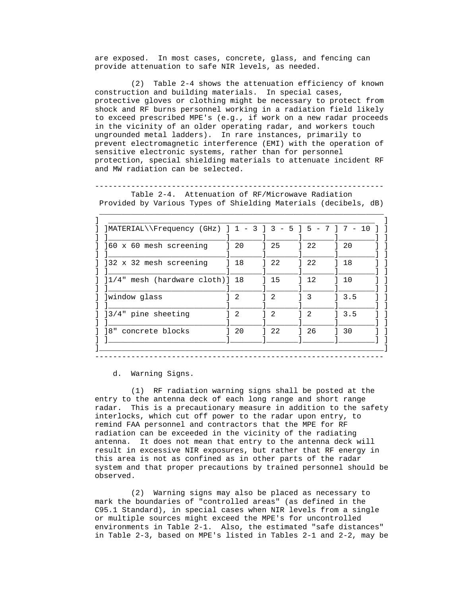are exposed. In most cases, concrete, glass, and fencing can provide attenuation to safe NIR levels, as needed.

 (2) Table 2-4 shows the attenuation efficiency of known construction and building materials. In special cases, protective gloves or clothing might be necessary to protect from shock and RF burns personnel working in a radiation field likely to exceed prescribed MPE's (e.g., if work on a new radar proceeds in the vicinity of an older operating radar, and workers touch ungrounded metal ladders). In rare instances, primarily to prevent electromagnetic interference (EMI) with the operation of sensitive electronic systems, rather than for personnel protection, special shielding materials to attenuate incident RF and MW radiation can be selected.

 ---------------------------------------------------------------- Table 2-4. Attenuation of RF/Microwave Radiation Provided by Various Types of Shielding Materials (decibels, dB)

\_\_\_\_\_\_\_\_\_\_\_\_\_\_\_\_\_\_\_\_\_\_\_\_\_\_\_\_\_\_\_\_\_\_\_\_\_\_\_\_\_\_\_\_\_\_\_\_\_\_\_\_\_\_\_\_\_\_\_\_\_\_\_

| ]MATERIAL\\Frequency (GHz) ] 1 - 3 ] 3 - 5 ] 5 - 7 ] 7 |                                   |    |               | 10<br>$\overline{\phantom{m}}$ |
|--------------------------------------------------------|-----------------------------------|----|---------------|--------------------------------|
| 160 x 60 mesh screening                                | 120                               | 25 | 22            | 120                            |
| ]32 x 32 mesh screening                                | 18                                | 22 | 22            | 18                             |
| ]1/4" mesh (hardware cloth)] 18                        |                                   | 15 | 12            | 10                             |
| ]window glass                                          | 2                                 | 2  | - 3           | 3.5                            |
| 13/4" pine sheeting                                    | $\begin{array}{cc} 2 \end{array}$ | 2  | $\mathcal{D}$ | 3.5                            |
| 8"<br>concrete blocks                                  | 20                                | 22 | 26            | 30                             |

----------------------------------------------------------------

d. Warning Signs.

 (1) RF radiation warning signs shall be posted at the entry to the antenna deck of each long range and short range radar. This is a precautionary measure in addition to the safety interlocks, which cut off power to the radar upon entry, to remind FAA personnel and contractors that the MPE for RF radiation can be exceeded in the vicinity of the radiating antenna. It does not mean that entry to the antenna deck will result in excessive NIR exposures, but rather that RF energy in this area is not as confined as in other parts of the radar system and that proper precautions by trained personnel should be observed.

 (2) Warning signs may also be placed as necessary to mark the boundaries of "controlled areas" (as defined in the C95.1 Standard), in special cases when NIR levels from a single or multiple sources might exceed the MPE's for uncontrolled environments in Table 2-1. Also, the estimated "safe distances" in Table 2-3, based on MPE's listed in Tables 2-1 and 2-2, may be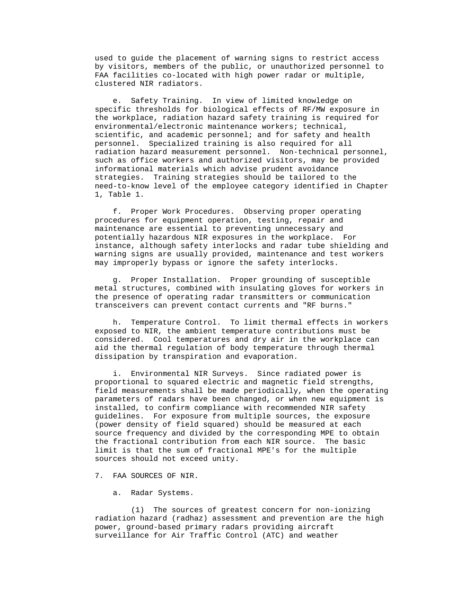used to guide the placement of warning signs to restrict access by visitors, members of the public, or unauthorized personnel to FAA facilities co-located with high power radar or multiple, clustered NIR radiators.

 e. Safety Training. In view of limited knowledge on specific thresholds for biological effects of RF/MW exposure in the workplace, radiation hazard safety training is required for environmental/electronic maintenance workers; technical, scientific, and academic personnel; and for safety and health personnel. Specialized training is also required for all radiation hazard measurement personnel. Non-technical personnel, such as office workers and authorized visitors, may be provided informational materials which advise prudent avoidance strategies. Training strategies should be tailored to the need-to-know level of the employee category identified in Chapter 1, Table 1.

 f. Proper Work Procedures. Observing proper operating procedures for equipment operation, testing, repair and maintenance are essential to preventing unnecessary and potentially hazardous NIR exposures in the workplace. For instance, although safety interlocks and radar tube shielding and warning signs are usually provided, maintenance and test workers may improperly bypass or ignore the safety interlocks.

 g. Proper Installation. Proper grounding of susceptible metal structures, combined with insulating gloves for workers in the presence of operating radar transmitters or communication transceivers can prevent contact currents and "RF burns."

 h. Temperature Control. To limit thermal effects in workers exposed to NIR, the ambient temperature contributions must be considered. Cool temperatures and dry air in the workplace can aid the thermal regulation of body temperature through thermal dissipation by transpiration and evaporation.

 i. Environmental NIR Surveys. Since radiated power is proportional to squared electric and magnetic field strengths, field measurements shall be made periodically, when the operating parameters of radars have been changed, or when new equipment is installed, to confirm compliance with recommended NIR safety guidelines. For exposure from multiple sources, the exposure (power density of field squared) should be measured at each source frequency and divided by the corresponding MPE to obtain the fractional contribution from each NIR source. The basic limit is that the sum of fractional MPE's for the multiple sources should not exceed unity.

7. FAA SOURCES OF NIR.

a. Radar Systems.

 (1) The sources of greatest concern for non-ionizing radiation hazard (radhaz) assessment and prevention are the high power, ground-based primary radars providing aircraft surveillance for Air Traffic Control (ATC) and weather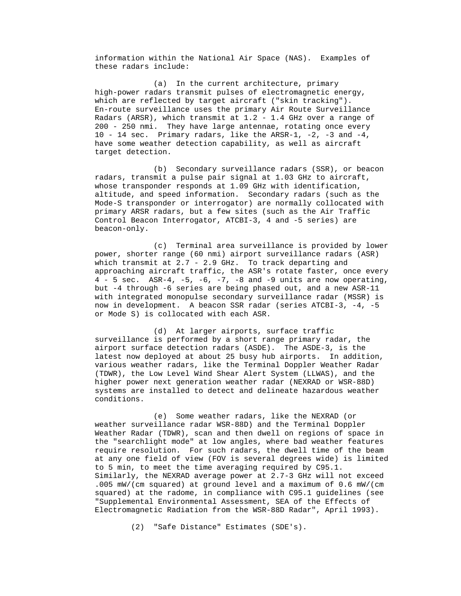information within the National Air Space (NAS). Examples of these radars include:

 (a) In the current architecture, primary high-power radars transmit pulses of electromagnetic energy, which are reflected by target aircraft ("skin tracking"). En-route surveillance uses the primary Air Route Surveillance Radars (ARSR), which transmit at 1.2 - 1.4 GHz over a range of 200 - 250 nmi. They have large antennae, rotating once every 10 - 14 sec. Primary radars, like the ARSR-1, -2, -3 and -4, have some weather detection capability, as well as aircraft target detection.

 (b) Secondary surveillance radars (SSR), or beacon radars, transmit a pulse pair signal at 1.03 GHz to aircraft, whose transponder responds at 1.09 GHz with identification, altitude, and speed information. Secondary radars (such as the Mode-S transponder or interrogator) are normally collocated with primary ARSR radars, but a few sites (such as the Air Traffic Control Beacon Interrogator, ATCBI-3, 4 and -5 series) are beacon-only.

 (c) Terminal area surveillance is provided by lower power, shorter range (60 nmi) airport surveillance radars (ASR) which transmit at 2.7 - 2.9 GHz. To track departing and approaching aircraft traffic, the ASR's rotate faster, once every  $4 - 5$  sec. ASR-4,  $-5$ ,  $-6$ ,  $-7$ ,  $-8$  and  $-9$  units are now operating, but -4 through -6 series are being phased out, and a new ASR-11 with integrated monopulse secondary surveillance radar (MSSR) is now in development. A beacon SSR radar (series ATCBI-3, -4, -5 or Mode S) is collocated with each ASR.

 (d) At larger airports, surface traffic surveillance is performed by a short range primary radar, the airport surface detection radars (ASDE). The ASDE-3, is the latest now deployed at about 25 busy hub airports. In addition, various weather radars, like the Terminal Doppler Weather Radar (TDWR), the Low Level Wind Shear Alert System (LLWAS), and the higher power next generation weather radar (NEXRAD or WSR-88D) systems are installed to detect and delineate hazardous weather conditions.

 (e) Some weather radars, like the NEXRAD (or weather surveillance radar WSR-88D) and the Terminal Doppler Weather Radar (TDWR), scan and then dwell on regions of space in the "searchlight mode" at low angles, where bad weather features require resolution. For such radars, the dwell time of the beam at any one field of view (FOV is several degrees wide) is limited to 5 min, to meet the time averaging required by C95.1. Similarly, the NEXRAD average power at 2.7-3 GHz will not exceed .005 mW/(cm squared) at ground level and a maximum of 0.6 mW/(cm squared) at the radome, in compliance with C95.1 guidelines (see "Supplemental Environmental Assessment, SEA of the Effects of Electromagnetic Radiation from the WSR-88D Radar", April 1993).

(2) "Safe Distance" Estimates (SDE's).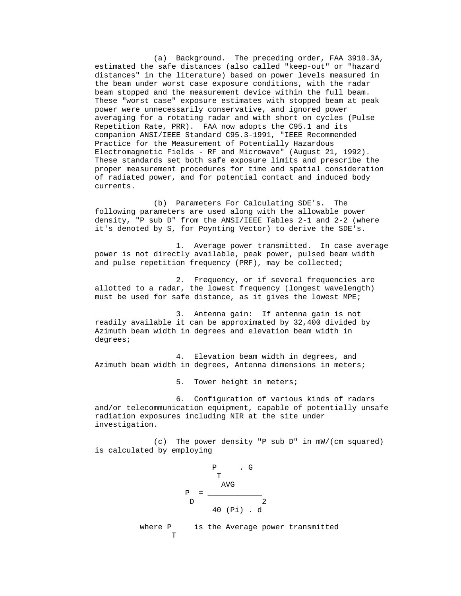(a) Background. The preceding order, FAA 3910.3A, estimated the safe distances (also called "keep-out" or "hazard distances" in the literature) based on power levels measured in the beam under worst case exposure conditions, with the radar beam stopped and the measurement device within the full beam. These "worst case" exposure estimates with stopped beam at peak power were unnecessarily conservative, and ignored power averaging for a rotating radar and with short on cycles (Pulse Repetition Rate, PRR). FAA now adopts the C95.1 and its companion ANSI/IEEE Standard C95.3-1991, "IEEE Recommended Practice for the Measurement of Potentially Hazardous Electromagnetic Fields - RF and Microwave" (August 21, 1992). These standards set both safe exposure limits and prescribe the proper measurement procedures for time and spatial consideration of radiated power, and for potential contact and induced body currents.

 (b) Parameters For Calculating SDE's. The following parameters are used along with the allowable power density, "P sub D" from the ANSI/IEEE Tables 2-1 and 2-2 (where it's denoted by S, for Poynting Vector) to derive the SDE's.

 1. Average power transmitted. In case average power is not directly available, peak power, pulsed beam width and pulse repetition frequency (PRF), may be collected;

 2. Frequency, or if several frequencies are allotted to a radar, the lowest frequency (longest wavelength) must be used for safe distance, as it gives the lowest MPE;

 3. Antenna gain: If antenna gain is not readily available it can be approximated by 32,400 divided by Azimuth beam width in degrees and elevation beam width in degrees;

 4. Elevation beam width in degrees, and Azimuth beam width in degrees, Antenna dimensions in meters;

5. Tower height in meters;

 6. Configuration of various kinds of radars and/or telecommunication equipment, capable of potentially unsafe radiation exposures including NIR at the site under investigation.

 (c) The power density "P sub D" in mW/(cm squared) is calculated by employing



where P is the Average power transmitted T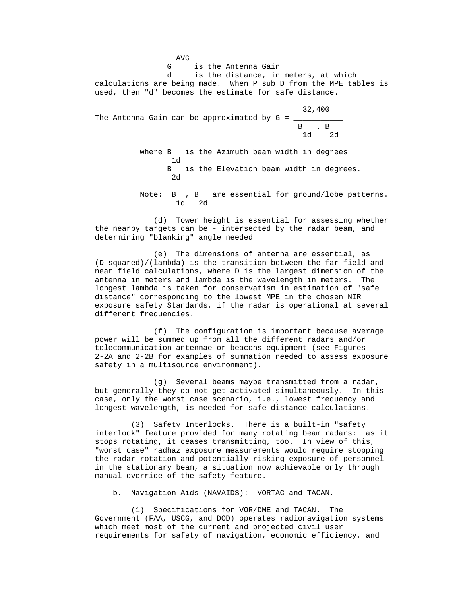AVG G is the Antenna Gain d is the distance, in meters, at which calculations are being made. When P sub D from the MPE tables is used, then "d" becomes the estimate for safe distance. 32,400 The Antenna Gain can be approximated by  $G =$  B . B 1d 2d where B is the Azimuth beam width in degrees 1d B is the Elevation beam width in degrees. 2d Note: B , B are essential for ground/lobe patterns. 1d 2d

 (d) Tower height is essential for assessing whether the nearby targets can be - intersected by the radar beam, and determining "blanking" angle needed

 (e) The dimensions of antenna are essential, as (D squared)/(lambda) is the transition between the far field and near field calculations, where D is the largest dimension of the antenna in meters and lambda is the wavelength in meters. The longest lambda is taken for conservatism in estimation of "safe distance" corresponding to the lowest MPE in the chosen NIR exposure safety Standards, if the radar is operational at several different frequencies.

 (f) The configuration is important because average power will be summed up from all the different radars and/or telecommunication antennae or beacons equipment (see Figures 2-2A and 2-2B for examples of summation needed to assess exposure safety in a multisource environment).

 (g) Several beams maybe transmitted from a radar, but generally they do not get activated simultaneously. In this case, only the worst case scenario, i.e., lowest frequency and longest wavelength, is needed for safe distance calculations.

 (3) Safety Interlocks. There is a built-in "safety interlock" feature provided for many rotating beam radars: as it stops rotating, it ceases transmitting, too. In view of this, "worst case" radhaz exposure measurements would require stopping the radar rotation and potentially risking exposure of personnel in the stationary beam, a situation now achievable only through manual override of the safety feature.

b. Navigation Aids (NAVAIDS): VORTAC and TACAN.

 (1) Specifications for VOR/DME and TACAN. The Government (FAA, USCG, and DOD) operates radionavigation systems which meet most of the current and projected civil user requirements for safety of navigation, economic efficiency, and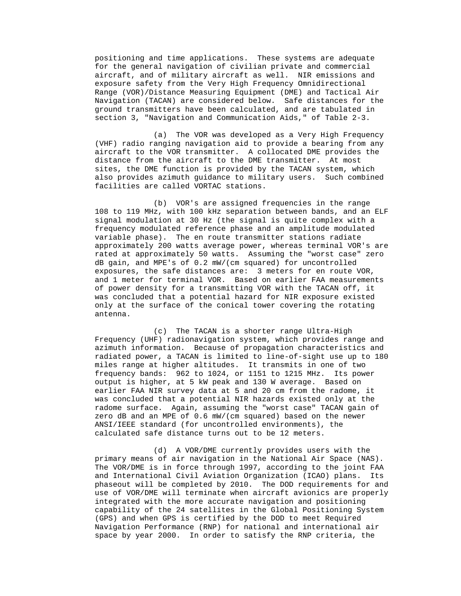positioning and time applications. These systems are adequate for the general navigation of civilian private and commercial aircraft, and of military aircraft as well. NIR emissions and exposure safety from the Very High Frequency Omnidirectional Range (VOR)/Distance Measuring Equipment (DME) and Tactical Air Navigation (TACAN) are considered below. Safe distances for the ground transmitters have been calculated, and are tabulated in section 3, "Navigation and Communication Aids," of Table 2-3.

 (a) The VOR was developed as a Very High Frequency (VHF) radio ranging navigation aid to provide a bearing from any aircraft to the VOR transmitter. A collocated DME provides the distance from the aircraft to the DME transmitter. At most sites, the DME function is provided by the TACAN system, which also provides azimuth guidance to military users. Such combined facilities are called VORTAC stations.

 (b) VOR's are assigned frequencies in the range 108 to 119 MHz, with 100 kHz separation between bands, and an ELF signal modulation at 30 Hz (the signal is quite complex with a frequency modulated reference phase and an amplitude modulated variable phase). The en route transmitter stations radiate approximately 200 watts average power, whereas terminal VOR's are rated at approximately 50 watts. Assuming the "worst case" zero dB gain, and MPE's of 0.2 mW/(cm squared) for uncontrolled exposures, the safe distances are: 3 meters for en route VOR, and 1 meter for terminal VOR. Based on earlier FAA measurements of power density for a transmitting VOR with the TACAN off, it was concluded that a potential hazard for NIR exposure existed only at the surface of the conical tower covering the rotating antenna.

 (c) The TACAN is a shorter range Ultra-High Frequency (UHF) radionavigation system, which provides range and azimuth information. Because of propagation characteristics and radiated power, a TACAN is limited to line-of-sight use up to 180 miles range at higher altitudes. It transmits in one of two frequency bands: 962 to 1024, or 1151 to 1215 MHz. Its power output is higher, at 5 kW peak and 130 W average. Based on earlier FAA NIR survey data at 5 and 20 cm from the radome, it was concluded that a potential NIR hazards existed only at the radome surface. Again, assuming the "worst case" TACAN gain of zero dB and an MPE of 0.6 mW/(cm squared) based on the newer ANSI/IEEE standard (for uncontrolled environments), the calculated safe distance turns out to be 12 meters.

 (d) A VOR/DME currently provides users with the primary means of air navigation in the National Air Space (NAS). The VOR/DME is in force through 1997, according to the joint FAA and International Civil Aviation Organization (ICAO) plans. Its phaseout will be completed by 2010. The DOD requirements for and use of VOR/DME will terminate when aircraft avionics are properly integrated with the more accurate navigation and positioning capability of the 24 satellites in the Global Positioning System (GPS) and when GPS is certified by the DOD to meet Required Navigation Performance (RNP) for national and international air space by year 2000. In order to satisfy the RNP criteria, the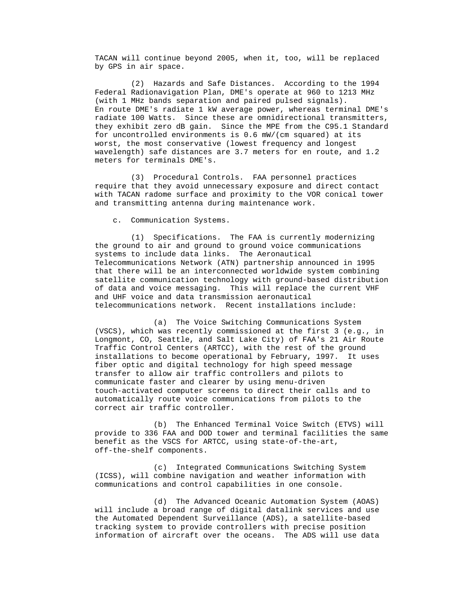TACAN will continue beyond 2005, when it, too, will be replaced by GPS in air space.

 (2) Hazards and Safe Distances. According to the 1994 Federal Radionavigation Plan, DME's operate at 960 to 1213 MHz (with 1 MHz bands separation and paired pulsed signals). En route DME's radiate 1 kW average power, whereas terminal DME's radiate 100 Watts. Since these are omnidirectional transmitters, they exhibit zero dB gain. Since the MPE from the C95.1 Standard for uncontrolled environments is 0.6 mW/(cm squared) at its worst, the most conservative (lowest frequency and longest wavelength) safe distances are 3.7 meters for en route, and 1.2 meters for terminals DME's.

 (3) Procedural Controls. FAA personnel practices require that they avoid unnecessary exposure and direct contact with TACAN radome surface and proximity to the VOR conical tower and transmitting antenna during maintenance work.

c. Communication Systems.

 (1) Specifications. The FAA is currently modernizing the ground to air and ground to ground voice communications systems to include data links. The Aeronautical Telecommunications Network (ATN) partnership announced in 1995 that there will be an interconnected worldwide system combining satellite communication technology with ground-based distribution of data and voice messaging. This will replace the current VHF and UHF voice and data transmission aeronautical telecommunications network. Recent installations include:

 (a) The Voice Switching Communications System (VSCS), which was recently commissioned at the first 3 (e.g., in Longmont, CO, Seattle, and Salt Lake City) of FAA's 21 Air Route Traffic Control Centers (ARTCC), with the rest of the ground installations to become operational by February, 1997. It uses fiber optic and digital technology for high speed message transfer to allow air traffic controllers and pilots to communicate faster and clearer by using menu-driven touch-activated computer screens to direct their calls and to automatically route voice communications from pilots to the correct air traffic controller.

 (b) The Enhanced Terminal Voice Switch (ETVS) will provide to 336 FAA and DOD tower and terminal facilities the same benefit as the VSCS for ARTCC, using state-of-the-art, off-the-shelf components.

 (c) Integrated Communications Switching System (ICSS), will combine navigation and weather information with communications and control capabilities in one console.

 (d) The Advanced Oceanic Automation System (AOAS) will include a broad range of digital datalink services and use the Automated Dependent Surveillance (ADS), a satellite-based tracking system to provide controllers with precise position information of aircraft over the oceans. The ADS will use data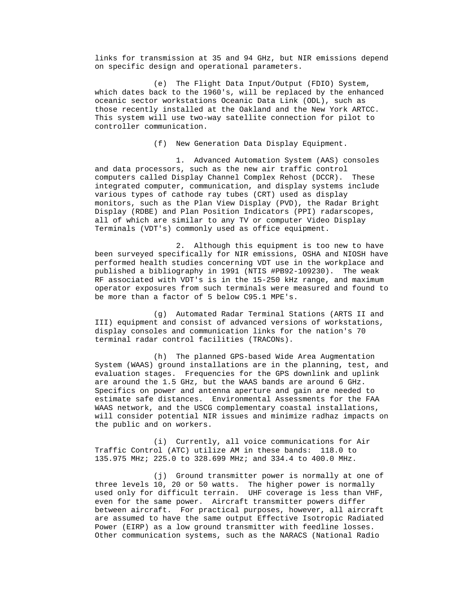links for transmission at 35 and 94 GHz, but NIR emissions depend on specific design and operational parameters.

 (e) The Flight Data Input/Output (FDIO) System, which dates back to the 1960's, will be replaced by the enhanced oceanic sector workstations Oceanic Data Link (ODL), such as those recently installed at the Oakland and the New York ARTCC. This system will use two-way satellite connection for pilot to controller communication.

(f) New Generation Data Display Equipment.

 1. Advanced Automation System (AAS) consoles and data processors, such as the new air traffic control computers called Display Channel Complex Rehost (DCCR). These integrated computer, communication, and display systems include various types of cathode ray tubes (CRT) used as display monitors, such as the Plan View Display (PVD), the Radar Bright Display (RDBE) and Plan Position Indicators (PPI) radarscopes, all of which are similar to any TV or computer Video Display Terminals (VDT's) commonly used as office equipment.

 2. Although this equipment is too new to have been surveyed specifically for NIR emissions, OSHA and NIOSH have performed health studies concerning VDT use in the workplace and published a bibliography in 1991 (NTIS #PB92-109230). The weak RF associated with VDT's is in the 15-250 kHz range, and maximum operator exposures from such terminals were measured and found to be more than a factor of 5 below C95.1 MPE's.

 (g) Automated Radar Terminal Stations (ARTS II and III) equipment and consist of advanced versions of workstations, display consoles and communication links for the nation's 70 terminal radar control facilities (TRACONs).

 (h) The planned GPS-based Wide Area Augmentation System (WAAS) ground installations are in the planning, test, and evaluation stages. Frequencies for the GPS downlink and uplink are around the 1.5 GHz, but the WAAS bands are around 6 GHz. Specifics on power and antenna aperture and gain are needed to estimate safe distances. Environmental Assessments for the FAA WAAS network, and the USCG complementary coastal installations, will consider potential NIR issues and minimize radhaz impacts on the public and on workers.

 (i) Currently, all voice communications for Air Traffic Control (ATC) utilize AM in these bands: 118.0 to 135.975 MHz; 225.0 to 328.699 MHz; and 334.4 to 400.0 MHz.

 (j) Ground transmitter power is normally at one of three levels 10, 20 or 50 watts. The higher power is normally used only for difficult terrain. UHF coverage is less than VHF, even for the same power. Aircraft transmitter powers differ between aircraft. For practical purposes, however, all aircraft are assumed to have the same output Effective Isotropic Radiated Power (EIRP) as a low ground transmitter with feedline losses. Other communication systems, such as the NARACS (National Radio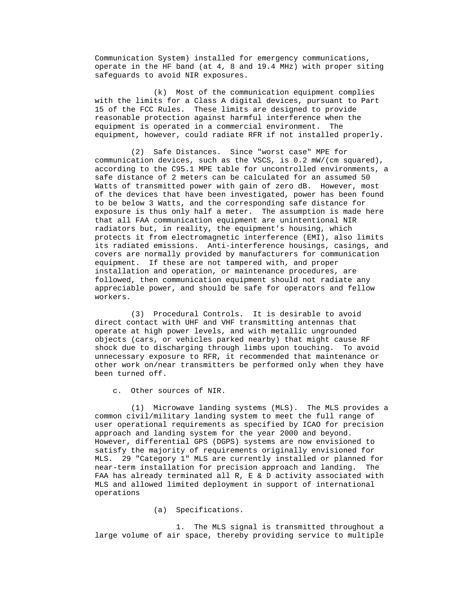Communication System) installed for emergency communications, operate in the HF band (at 4, 8 and 19.4 MHz) with proper siting safeguards to avoid NIR exposures.

 (k) Most of the communication equipment complies with the limits for a Class A digital devices, pursuant to Part 15 of the FCC Rules. These limits are designed to provide reasonable protection against harmful interference when the equipment is operated in a commercial environment. The equipment, however, could radiate RFR if not installed properly.

 (2) Safe Distances. Since "worst case" MPE for communication devices, such as the VSCS, is 0.2 mW/(cm squared), according to the C95.1 MPE table for uncontrolled environments, a safe distance of 2 meters can be calculated for an assumed 50 Watts of transmitted power with gain of zero dB. However, most of the devices that have been investigated, power has been found to be below 3 Watts, and the corresponding safe distance for exposure is thus only half a meter. The assumption is made here that all FAA communication equipment are unintentional NIR radiators but, in reality, the equipment's housing, which protects it from electromagnetic interference (EMI), also limits its radiated emissions. Anti-interference housings, casings, and covers are normally provided by manufacturers for communication equipment. If these are not tampered with, and proper installation and operation, or maintenance procedures, are followed, then communication equipment should not radiate any appreciable power, and should be safe for operators and fellow workers.

 (3) Procedural Controls. It is desirable to avoid direct contact with UHF and VHF transmitting antennas that operate at high power levels, and with metallic ungrounded objects (cars, or vehicles parked nearby) that might cause RF shock due to discharging through limbs upon touching. To avoid unnecessary exposure to RFR, it recommended that maintenance or other work on/near transmitters be performed only when they have been turned off.

c. Other sources of NIR.

 (1) Microwave landing systems (MLS). The MLS provides a common civil/military landing system to meet the full range of user operational requirements as specified by ICAO for precision approach and landing system for the year 2000 and beyond. However, differential GPS (DGPS) systems are now envisioned to satisfy the majority of requirements originally envisioned for MLS. 29 "Category 1" MLS are currently installed or planned for near-term installation for precision approach and landing. The FAA has already terminated all R, E & D activity associated with MLS and allowed limited deployment in support of international operations

(a) Specifications.

 1. The MLS signal is transmitted throughout a large volume of air space, thereby providing service to multiple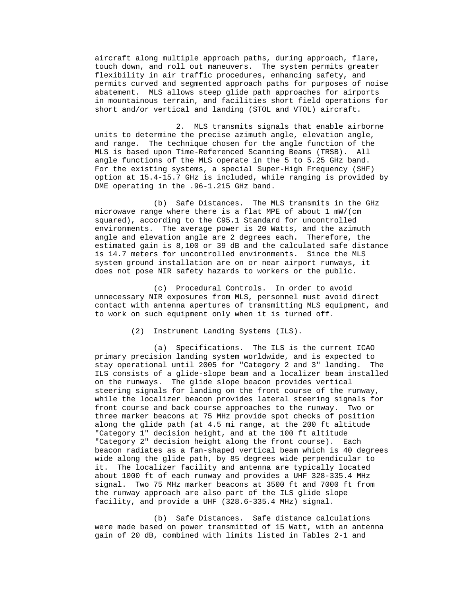aircraft along multiple approach paths, during approach, flare, touch down, and roll out maneuvers. The system permits greater flexibility in air traffic procedures, enhancing safety, and permits curved and segmented approach paths for purposes of noise abatement. MLS allows steep glide path approaches for airports in mountainous terrain, and facilities short field operations for short and/or vertical and landing (STOL and VTOL) aircraft.

 2. MLS transmits signals that enable airborne units to determine the precise azimuth angle, elevation angle, and range. The technique chosen for the angle function of the MLS is based upon Time-Referenced Scanning Beams (TRSB). All angle functions of the MLS operate in the 5 to 5.25 GHz band. For the existing systems, a special Super-High Frequency (SHF) option at 15.4-15.7 GHz is included, while ranging is provided by DME operating in the .96-1.215 GHz band.

 (b) Safe Distances. The MLS transmits in the GHz microwave range where there is a flat MPE of about 1 mW/(cm squared), according to the C95.1 Standard for uncontrolled environments. The average power is 20 Watts, and the azimuth angle and elevation angle are 2 degrees each. Therefore, the estimated gain is 8,100 or 39 dB and the calculated safe distance is 14.7 meters for uncontrolled environments. Since the MLS system ground installation are on or near airport runways, it does not pose NIR safety hazards to workers or the public.

 (c) Procedural Controls. In order to avoid unnecessary NIR exposures from MLS, personnel must avoid direct contact with antenna apertures of transmitting MLS equipment, and to work on such equipment only when it is turned off.

(2) Instrument Landing Systems (ILS).

 (a) Specifications. The ILS is the current ICAO primary precision landing system worldwide, and is expected to stay operational until 2005 for "Category 2 and 3" landing. The ILS consists of a glide-slope beam and a localizer beam installed on the runways. The glide slope beacon provides vertical steering signals for landing on the front course of the runway, while the localizer beacon provides lateral steering signals for front course and back course approaches to the runway. Two or three marker beacons at 75 MHz provide spot checks of position along the glide path (at 4.5 mi range, at the 200 ft altitude "Category 1" decision height, and at the 100 ft altitude "Category 2" decision height along the front course). Each beacon radiates as a fan-shaped vertical beam which is 40 degrees wide along the glide path, by 85 degrees wide perpendicular to it. The localizer facility and antenna are typically located about 1000 ft of each runway and provides a UHF 328-335.4 MHz signal. Two 75 MHz marker beacons at 3500 ft and 7000 ft from the runway approach are also part of the ILS glide slope facility, and provide a UHF (328.6-335.4 MHz) signal.

 (b) Safe Distances. Safe distance calculations were made based on power transmitted of 15 Watt, with an antenna gain of 20 dB, combined with limits listed in Tables 2-1 and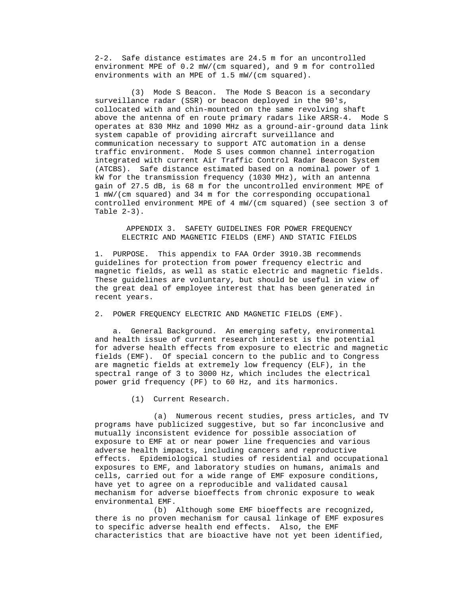2-2. Safe distance estimates are 24.5 m for an uncontrolled environment MPE of 0.2 mW/(cm squared), and 9 m for controlled environments with an MPE of 1.5 mW/(cm squared).

 (3) Mode S Beacon. The Mode S Beacon is a secondary surveillance radar (SSR) or beacon deployed in the 90's, collocated with and chin-mounted on the same revolving shaft above the antenna of en route primary radars like ARSR-4. Mode S operates at 830 MHz and 1090 MHz as a ground-air-ground data link system capable of providing aircraft surveillance and communication necessary to support ATC automation in a dense traffic environment. Mode S uses common channel interrogation integrated with current Air Traffic Control Radar Beacon System (ATCBS). Safe distance estimated based on a nominal power of 1 kW for the transmission frequency (1030 MHz), with an antenna gain of 27.5 dB, is 68 m for the uncontrolled environment MPE of 1 mW/(cm squared) and 34 m for the corresponding occupational controlled environment MPE of 4 mW/(cm squared) (see section 3 of Table  $2-3$ ).

 APPENDIX 3. SAFETY GUIDELINES FOR POWER FREQUENCY ELECTRIC AND MAGNETIC FIELDS (EMF) AND STATIC FIELDS

 1. PURPOSE. This appendix to FAA Order 3910.3B recommends guidelines for protection from power frequency electric and magnetic fields, as well as static electric and magnetic fields. These guidelines are voluntary, but should be useful in view of the great deal of employee interest that has been generated in recent years.

2. POWER FREQUENCY ELECTRIC AND MAGNETIC FIELDS (EMF).

 a. General Background. An emerging safety, environmental and health issue of current research interest is the potential for adverse health effects from exposure to electric and magnetic fields (EMF). Of special concern to the public and to Congress are magnetic fields at extremely low frequency (ELF), in the spectral range of 3 to 3000 Hz, which includes the electrical power grid frequency (PF) to 60 Hz, and its harmonics.

(1) Current Research.

 (a) Numerous recent studies, press articles, and TV programs have publicized suggestive, but so far inconclusive and mutually inconsistent evidence for possible association of exposure to EMF at or near power line frequencies and various adverse health impacts, including cancers and reproductive effects. Epidemiological studies of residential and occupational exposures to EMF, and laboratory studies on humans, animals and cells, carried out for a wide range of EMF exposure conditions, have yet to agree on a reproducible and validated causal mechanism for adverse bioeffects from chronic exposure to weak environmental EMF.

 (b) Although some EMF bioeffects are recognized, there is no proven mechanism for causal linkage of EMF exposures to specific adverse health end effects. Also, the EMF characteristics that are bioactive have not yet been identified,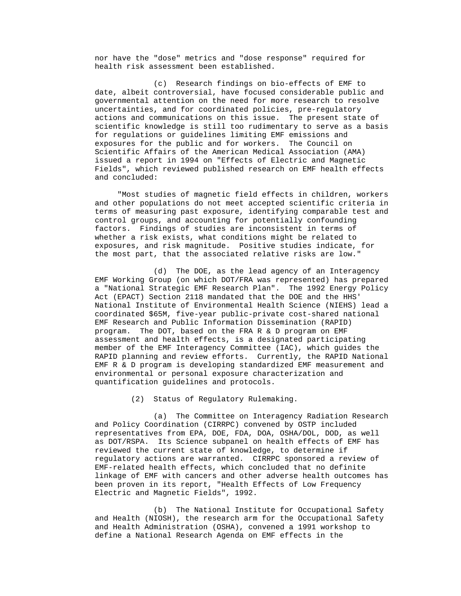nor have the "dose" metrics and "dose response" required for health risk assessment been established.

 (c) Research findings on bio-effects of EMF to date, albeit controversial, have focused considerable public and governmental attention on the need for more research to resolve uncertainties, and for coordinated policies, pre-regulatory actions and communications on this issue. The present state of scientific knowledge is still too rudimentary to serve as a basis for regulations or guidelines limiting EMF emissions and exposures for the public and for workers. The Council on Scientific Affairs of the American Medical Association (AMA) issued a report in 1994 on "Effects of Electric and Magnetic Fields", which reviewed published research on EMF health effects and concluded:

 "Most studies of magnetic field effects in children, workers and other populations do not meet accepted scientific criteria in terms of measuring past exposure, identifying comparable test and control groups, and accounting for potentially confounding factors. Findings of studies are inconsistent in terms of whether a risk exists, what conditions might be related to exposures, and risk magnitude. Positive studies indicate, for the most part, that the associated relative risks are low."

 (d) The DOE, as the lead agency of an Interagency EMF Working Group (on which DOT/FRA was represented) has prepared a "National Strategic EMF Research Plan". The 1992 Energy Policy Act (EPACT) Section 2118 mandated that the DOE and the HHS' National Institute of Environmental Health Science (NIEHS) lead a coordinated \$65M, five-year public-private cost-shared national EMF Research and Public Information Dissemination (RAPID) program. The DOT, based on the FRA R & D program on EMF assessment and health effects, is a designated participating member of the EMF Interagency Committee (IAC), which guides the RAPID planning and review efforts. Currently, the RAPID National EMF R & D program is developing standardized EMF measurement and environmental or personal exposure characterization and quantification guidelines and protocols.

(2) Status of Regulatory Rulemaking.

 (a) The Committee on Interagency Radiation Research and Policy Coordination (CIRRPC) convened by OSTP included representatives from EPA, DOE, FDA, DOA, OSHA/DOL, DOD, as well as DOT/RSPA. Its Science subpanel on health effects of EMF has reviewed the current state of knowledge, to determine if regulatory actions are warranted. CIRRPC sponsored a review of EMF-related health effects, which concluded that no definite linkage of EMF with cancers and other adverse health outcomes has been proven in its report, "Health Effects of Low Frequency Electric and Magnetic Fields", 1992.

 (b) The National Institute for Occupational Safety and Health (NIOSH), the research arm for the Occupational Safety and Health Administration (OSHA), convened a 1991 workshop to define a National Research Agenda on EMF effects in the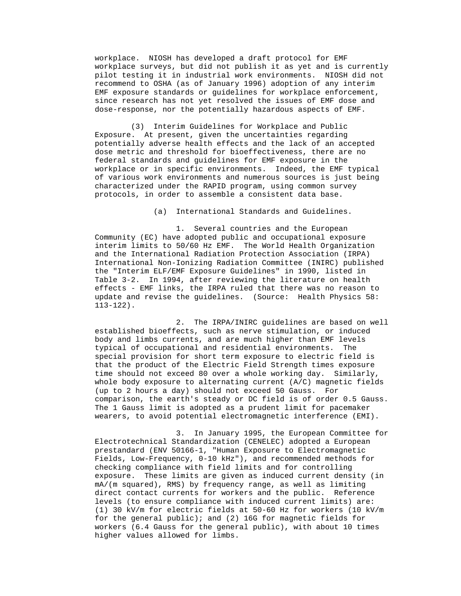workplace. NIOSH has developed a draft protocol for EMF workplace surveys, but did not publish it as yet and is currently pilot testing it in industrial work environments. NIOSH did not recommend to OSHA (as of January 1996) adoption of any interim EMF exposure standards or guidelines for workplace enforcement, since research has not yet resolved the issues of EMF dose and dose-response, nor the potentially hazardous aspects of EMF.

 (3) Interim Guidelines for Workplace and Public Exposure. At present, given the uncertainties regarding potentially adverse health effects and the lack of an accepted dose metric and threshold for bioeffectiveness, there are no federal standards and guidelines for EMF exposure in the workplace or in specific environments. Indeed, the EMF typical of various work environments and numerous sources is just being characterized under the RAPID program, using common survey protocols, in order to assemble a consistent data base.

(a) International Standards and Guidelines.

 1. Several countries and the European Community (EC) have adopted public and occupational exposure interim limits to 50/60 Hz EMF. The World Health Organization and the International Radiation Protection Association (IRPA) International Non-Ionizing Radiation Committee (INIRC) published the "Interim ELF/EMF Exposure Guidelines" in 1990, listed in Table 3-2. In 1994, after reviewing the literature on health effects - EMF links, the IRPA ruled that there was no reason to update and revise the guidelines. (Source: Health Physics 58: 113-122).

 2. The IRPA/INIRC guidelines are based on well established bioeffects, such as nerve stimulation, or induced body and limbs currents, and are much higher than EMF levels typical of occupational and residential environments. The special provision for short term exposure to electric field is that the product of the Electric Field Strength times exposure time should not exceed 80 over a whole working day. Similarly, whole body exposure to alternating current (A/C) magnetic fields (up to 2 hours a day) should not exceed 50 Gauss. For comparison, the earth's steady or DC field is of order 0.5 Gauss. The 1 Gauss limit is adopted as a prudent limit for pacemaker wearers, to avoid potential electromagnetic interference (EMI).

 3. In January 1995, the European Committee for Electrotechnical Standardization (CENELEC) adopted a European prestandard (ENV 50166-1, "Human Exposure to Electromagnetic Fields, Low-Frequency, 0-10 kHz"), and recommended methods for checking compliance with field limits and for controlling exposure. These limits are given as induced current density (in mA/(m squared), RMS) by frequency range, as well as limiting direct contact currents for workers and the public. Reference levels (to ensure compliance with induced current limits) are: (1) 30 kV/m for electric fields at 50-60 Hz for workers (10 kV/m for the general public); and (2) 16G for magnetic fields for workers (6.4 Gauss for the general public), with about 10 times higher values allowed for limbs.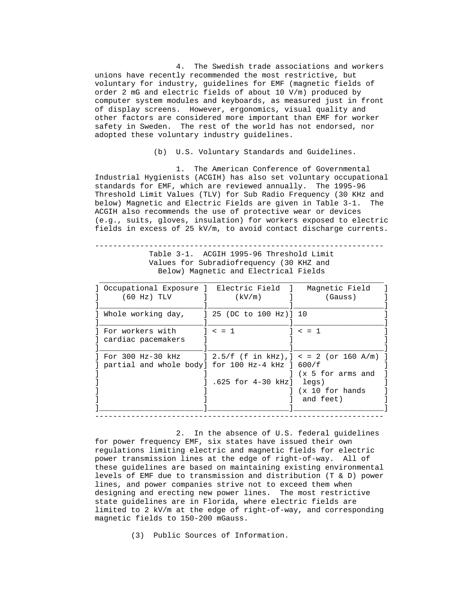4. The Swedish trade associations and workers unions have recently recommended the most restrictive, but voluntary for industry, guidelines for EMF (magnetic fields of order 2 mG and electric fields of about 10 V/m) produced by computer system modules and keyboards, as measured just in front of display screens. However, ergonomics, visual quality and other factors are considered more important than EMF for worker safety in Sweden. The rest of the world has not endorsed, nor adopted these voluntary industry guidelines.

(b) U.S. Voluntary Standards and Guidelines.

 1. The American Conference of Governmental Industrial Hygienists (ACGIH) has also set voluntary occupational standards for EMF, which are reviewed annually. The 1995-96 Threshold Limit Values (TLV) for Sub Radio Frequency (30 KHz and below) Magnetic and Electric Fields are given in Table 3-1. The ACGIH also recommends the use of protective wear or devices (e.g., suits, gloves, insulation) for workers exposed to electric fields in excess of 25 kV/m, to avoid contact discharge currents.

 ---------------------------------------------------------------- Table 3-1. ACGIH 1995-96 Threshold Limit Values for Subradiofrequency (30 KHZ and Below) Magnetic and Electrical Fields

| ] Occupational Exposure ] Electric Field ] Magnetic Field                                                              |                            |                                |
|------------------------------------------------------------------------------------------------------------------------|----------------------------|--------------------------------|
| $(60 \text{ Hz})$ TLV $\qquad$ 1                                                                                       | (kV/m)                     | (Gauss)                        |
|                                                                                                                        |                            |                                |
| l For workers with<br>] cardiac pacemakers                                                                             | 1 < 1                      | 1 < 1                          |
| For 300 Hz-30 kHz $\,$ ] 2.5/f (f in kHz),] < = 2 (or 160 A/m) ]<br>] partial and whole body] for 100 Hz-4 kHz ] 600/f |                            | (x 5 for arms and              |
|                                                                                                                        | $.625$ for 4-30 kHz] legs) | I (x 10 for hands<br>and feet) |

 2. In the absence of U.S. federal guidelines for power frequency EMF, six states have issued their own regulations limiting electric and magnetic fields for electric power transmission lines at the edge of right-of-way. All of these guidelines are based on maintaining existing environmental levels of EMF due to transmission and distribution (T & D) power lines, and power companies strive not to exceed them when designing and erecting new power lines. The most restrictive state guidelines are in Florida, where electric fields are limited to 2 kV/m at the edge of right-of-way, and corresponding magnetic fields to 150-200 mGauss.

(3) Public Sources of Information.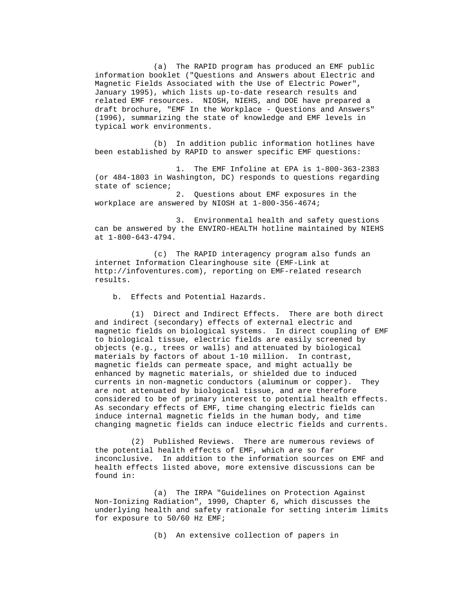(a) The RAPID program has produced an EMF public information booklet ("Questions and Answers about Electric and Magnetic Fields Associated with the Use of Electric Power", January 1995), which lists up-to-date research results and related EMF resources. NIOSH, NIEHS, and DOE have prepared a draft brochure, "EMF In the Workplace - Questions and Answers" (1996), summarizing the state of knowledge and EMF levels in typical work environments.

 (b) In addition public information hotlines have been established by RAPID to answer specific EMF questions:

 1. The EMF Infoline at EPA is 1-800-363-2383 (or 484-1803 in Washington, DC) responds to questions regarding state of science;

 2. Questions about EMF exposures in the workplace are answered by NIOSH at 1-800-356-4674;

 3. Environmental health and safety questions can be answered by the ENVIRO-HEALTH hotline maintained by NIEHS at 1-800-643-4794.

 (c) The RAPID interagency program also funds an internet Information Clearinghouse site (EMF-Link at http://infoventures.com), reporting on EMF-related research results.

b. Effects and Potential Hazards.

 (1) Direct and Indirect Effects. There are both direct and indirect (secondary) effects of external electric and magnetic fields on biological systems. In direct coupling of EMF to biological tissue, electric fields are easily screened by objects (e.g., trees or walls) and attenuated by biological materials by factors of about 1-10 million. In contrast, magnetic fields can permeate space, and might actually be enhanced by magnetic materials, or shielded due to induced currents in non-magnetic conductors (aluminum or copper). They are not attenuated by biological tissue, and are therefore considered to be of primary interest to potential health effects. As secondary effects of EMF, time changing electric fields can induce internal magnetic fields in the human body, and time changing magnetic fields can induce electric fields and currents.

 (2) Published Reviews. There are numerous reviews of the potential health effects of EMF, which are so far inconclusive. In addition to the information sources on EMF and health effects listed above, more extensive discussions can be found in:

 (a) The IRPA "Guidelines on Protection Against Non-Ionizing Radiation", 1990, Chapter 6, which discusses the underlying health and safety rationale for setting interim limits for exposure to 50/60 Hz EMF;

(b) An extensive collection of papers in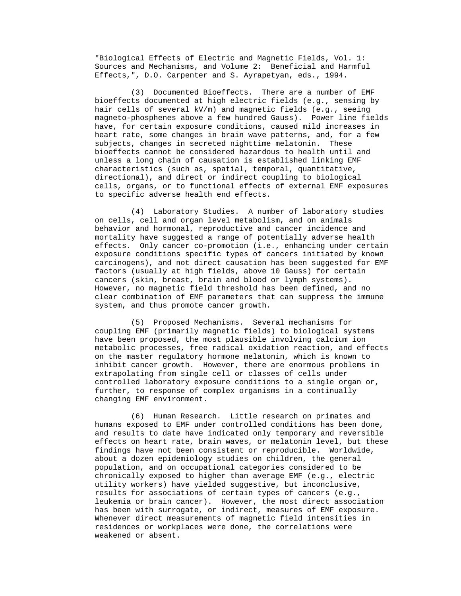"Biological Effects of Electric and Magnetic Fields, Vol. 1: Sources and Mechanisms, and Volume 2: Beneficial and Harmful Effects,", D.O. Carpenter and S. Ayrapetyan, eds., 1994.

 (3) Documented Bioeffects. There are a number of EMF bioeffects documented at high electric fields (e.g., sensing by hair cells of several kV/m) and magnetic fields (e.g., seeing magneto-phosphenes above a few hundred Gauss). Power line fields have, for certain exposure conditions, caused mild increases in heart rate, some changes in brain wave patterns, and, for a few subjects, changes in secreted nighttime melatonin. These bioeffects cannot be considered hazardous to health until and unless a long chain of causation is established linking EMF characteristics (such as, spatial, temporal, quantitative, directional), and direct or indirect coupling to biological cells, organs, or to functional effects of external EMF exposures to specific adverse health end effects.

 (4) Laboratory Studies. A number of laboratory studies on cells, cell and organ level metabolism, and on animals behavior and hormonal, reproductive and cancer incidence and mortality have suggested a range of potentially adverse health effects. Only cancer co-promotion (i.e., enhancing under certain exposure conditions specific types of cancers initiated by known carcinogens), and not direct causation has been suggested for EMF factors (usually at high fields, above 10 Gauss) for certain cancers (skin, breast, brain and blood or lymph systems). However, no magnetic field threshold has been defined, and no clear combination of EMF parameters that can suppress the immune system, and thus promote cancer growth.

 (5) Proposed Mechanisms. Several mechanisms for coupling EMF (primarily magnetic fields) to biological systems have been proposed, the most plausible involving calcium ion metabolic processes, free radical oxidation reaction, and effects on the master regulatory hormone melatonin, which is known to inhibit cancer growth. However, there are enormous problems in extrapolating from single cell or classes of cells under controlled laboratory exposure conditions to a single organ or, further, to response of complex organisms in a continually changing EMF environment.

 (6) Human Research. Little research on primates and humans exposed to EMF under controlled conditions has been done, and results to date have indicated only temporary and reversible effects on heart rate, brain waves, or melatonin level, but these findings have not been consistent or reproducible. Worldwide, about a dozen epidemiology studies on children, the general population, and on occupational categories considered to be chronically exposed to higher than average EMF (e.g., electric utility workers) have yielded suggestive, but inconclusive, results for associations of certain types of cancers (e.g., leukemia or brain cancer). However, the most direct association has been with surrogate, or indirect, measures of EMF exposure. Whenever direct measurements of magnetic field intensities in residences or workplaces were done, the correlations were weakened or absent.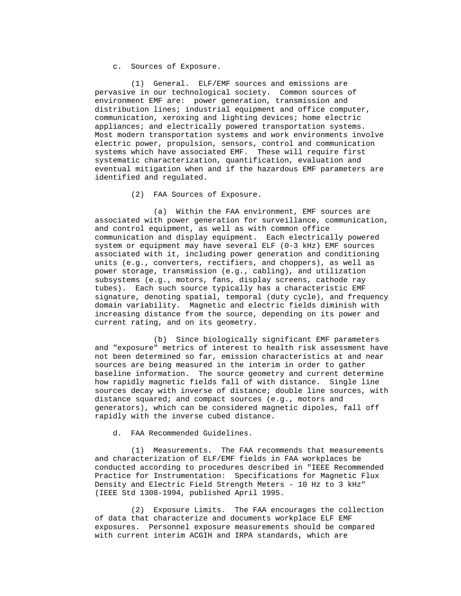c. Sources of Exposure.

 (1) General. ELF/EMF sources and emissions are pervasive in our technological society. Common sources of environment EMF are: power generation, transmission and distribution lines; industrial equipment and office computer, communication, xeroxing and lighting devices; home electric appliances; and electrically powered transportation systems. Most modern transportation systems and work environments involve electric power, propulsion, sensors, control and communication systems which have associated EMF. These will require first systematic characterization, quantification, evaluation and eventual mitigation when and if the hazardous EMF parameters are identified and regulated.

(2) FAA Sources of Exposure.

 (a) Within the FAA environment, EMF sources are associated with power generation for surveillance, communication, and control equipment, as well as with common office communication and display equipment. Each electrically powered system or equipment may have several ELF (0-3 kHz) EMF sources associated with it, including power generation and conditioning units (e.g., converters, rectifiers, and choppers), as well as power storage, transmission (e.g., cabling), and utilization subsystems (e.g., motors, fans, display screens, cathode ray tubes). Each such source typically has a characteristic EMF signature, denoting spatial, temporal (duty cycle), and frequency domain variability. Magnetic and electric fields diminish with increasing distance from the source, depending on its power and current rating, and on its geometry.

 (b) Since biologically significant EMF parameters and "exposure" metrics of interest to health risk assessment have not been determined so far, emission characteristics at and near sources are being measured in the interim in order to gather baseline information. The source geometry and current determine how rapidly magnetic fields fall of with distance. Single line sources decay with inverse of distance; double line sources, with distance squared; and compact sources (e.g., motors and generators), which can be considered magnetic dipoles, fall off rapidly with the inverse cubed distance.

d. FAA Recommended Guidelines.

 (1) Measurements. The FAA recommends that measurements and characterization of ELF/EMF fields in FAA workplaces be conducted according to procedures described in "IEEE Recommended Practice for Instrumentation: Specifications for Magnetic Flux Density and Electric Field Strength Meters - 10 Hz to 3 kHz" (IEEE Std 1308-1994, published April 1995.

 (2) Exposure Limits. The FAA encourages the collection of data that characterize and documents workplace ELF EMF exposures. Personnel exposure measurements should be compared with current interim ACGIH and IRPA standards, which are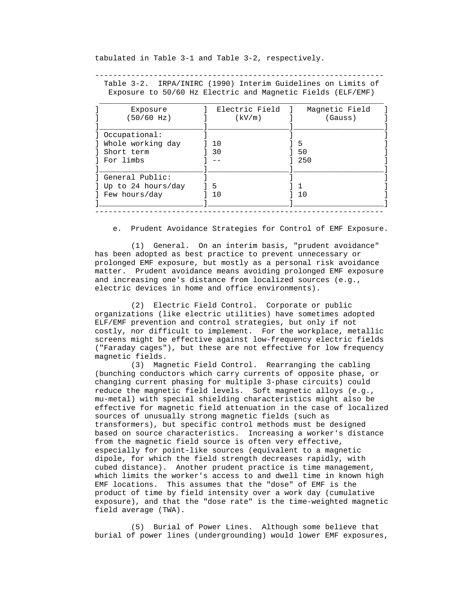tabulated in Table 3-1 and Table 3-2, respectively.

 Table 3-2. IRPA/INIRC (1990) Interim Guidelines on Limits of Exposure to 50/60 Hz Electric and Magnetic Fields (ELF/EMF)

----------------------------------------------------------------

| Electric Field<br>(kV/m) | Magnetic Field<br>(Gauss) |
|--------------------------|---------------------------|
|                          |                           |
| 10                       | 5                         |
| 30                       | 50                        |
|                          | 250                       |
|                          |                           |
| 5                        |                           |
| 10                       | 10                        |
|                          |                           |

e. Prudent Avoidance Strategies for Control of EMF Exposure.

 (1) General. On an interim basis, "prudent avoidance" has been adopted as best practice to prevent unnecessary or prolonged EMF exposure, but mostly as a personal risk avoidance matter. Prudent avoidance means avoiding prolonged EMF exposure and increasing one's distance from localized sources (e.g., electric devices in home and office environments).

 (2) Electric Field Control. Corporate or public organizations (like electric utilities) have sometimes adopted ELF/EMF prevention and control strategies, but only if not costly, nor difficult to implement. For the workplace, metallic screens might be effective against low-frequency electric fields ("Faraday cages"), but these are not effective for low frequency magnetic fields.

 (3) Magnetic Field Control. Rearranging the cabling (bunching conductors which carry currents of opposite phase, or changing current phasing for multiple 3-phase circuits) could reduce the magnetic field levels. Soft magnetic alloys (e.g., mu-metal) with special shielding characteristics might also be effective for magnetic field attenuation in the case of localized sources of unusually strong magnetic fields (such as transformers), but specific control methods must be designed based on source characteristics. Increasing a worker's distance from the magnetic field source is often very effective, especially for point-like sources (equivalent to a magnetic dipole, for which the field strength decreases rapidly, with cubed distance). Another prudent practice is time management, which limits the worker's access to and dwell time in known high EMF locations. This assumes that the "dose" of EMF is the product of time by field intensity over a work day (cumulative exposure), and that the "dose rate" is the time-weighted magnetic field average (TWA).

 (5) Burial of Power Lines. Although some believe that burial of power lines (undergrounding) would lower EMF exposures,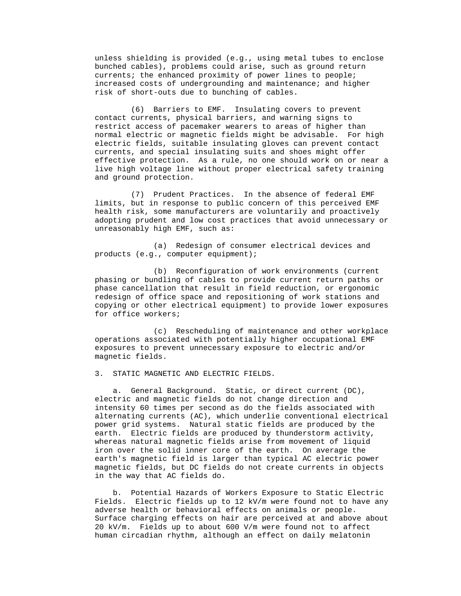unless shielding is provided (e.g., using metal tubes to enclose bunched cables), problems could arise, such as ground return currents; the enhanced proximity of power lines to people; increased costs of undergrounding and maintenance; and higher risk of short-outs due to bunching of cables.

 (6) Barriers to EMF. Insulating covers to prevent contact currents, physical barriers, and warning signs to restrict access of pacemaker wearers to areas of higher than normal electric or magnetic fields might be advisable. For high electric fields, suitable insulating gloves can prevent contact currents, and special insulating suits and shoes might offer effective protection. As a rule, no one should work on or near a live high voltage line without proper electrical safety training and ground protection.

 (7) Prudent Practices. In the absence of federal EMF limits, but in response to public concern of this perceived EMF health risk, some manufacturers are voluntarily and proactively adopting prudent and low cost practices that avoid unnecessary or unreasonably high EMF, such as:

 (a) Redesign of consumer electrical devices and products (e.g., computer equipment);

 (b) Reconfiguration of work environments (current phasing or bundling of cables to provide current return paths or phase cancellation that result in field reduction, or ergonomic redesign of office space and repositioning of work stations and copying or other electrical equipment) to provide lower exposures for office workers;

 (c) Rescheduling of maintenance and other workplace operations associated with potentially higher occupational EMF exposures to prevent unnecessary exposure to electric and/or magnetic fields.

3. STATIC MAGNETIC AND ELECTRIC FIELDS.

 a. General Background. Static, or direct current (DC), electric and magnetic fields do not change direction and intensity 60 times per second as do the fields associated with alternating currents (AC), which underlie conventional electrical power grid systems. Natural static fields are produced by the earth. Electric fields are produced by thunderstorm activity, whereas natural magnetic fields arise from movement of liquid iron over the solid inner core of the earth. On average the earth's magnetic field is larger than typical AC electric power magnetic fields, but DC fields do not create currents in objects in the way that AC fields do.

 b. Potential Hazards of Workers Exposure to Static Electric Fields. Electric fields up to 12 kV/m were found not to have any adverse health or behavioral effects on animals or people. Surface charging effects on hair are perceived at and above about 20 kV/m. Fields up to about 600 V/m were found not to affect human circadian rhythm, although an effect on daily melatonin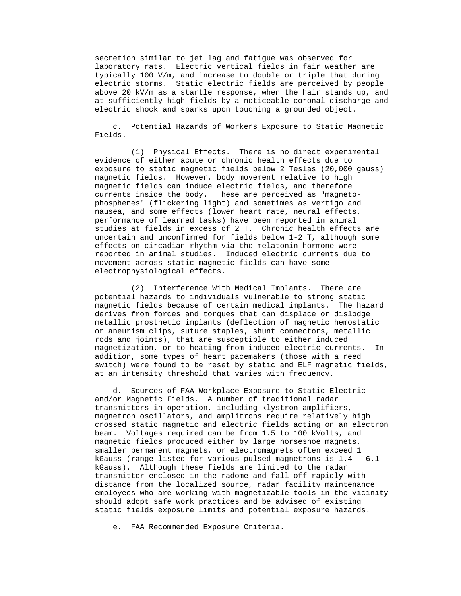secretion similar to jet lag and fatigue was observed for laboratory rats. Electric vertical fields in fair weather are typically 100 V/m, and increase to double or triple that during electric storms. Static electric fields are perceived by people above 20 kV/m as a startle response, when the hair stands up, and at sufficiently high fields by a noticeable coronal discharge and electric shock and sparks upon touching a grounded object.

 c. Potential Hazards of Workers Exposure to Static Magnetic Fields.

 (1) Physical Effects. There is no direct experimental evidence of either acute or chronic health effects due to exposure to static magnetic fields below 2 Teslas (20,000 gauss) magnetic fields. However, body movement relative to high magnetic fields can induce electric fields, and therefore currents inside the body. These are perceived as "magneto phosphenes" (flickering light) and sometimes as vertigo and nausea, and some effects (lower heart rate, neural effects, performance of learned tasks) have been reported in animal studies at fields in excess of 2 T. Chronic health effects are uncertain and unconfirmed for fields below 1-2 T, although some effects on circadian rhythm via the melatonin hormone were reported in animal studies. Induced electric currents due to movement across static magnetic fields can have some electrophysiological effects.

 (2) Interference With Medical Implants. There are potential hazards to individuals vulnerable to strong static magnetic fields because of certain medical implants. The hazard derives from forces and torques that can displace or dislodge metallic prosthetic implants (deflection of magnetic hemostatic or aneurism clips, suture staples, shunt connectors, metallic rods and joints), that are susceptible to either induced magnetization, or to heating from induced electric currents. In addition, some types of heart pacemakers (those with a reed switch) were found to be reset by static and ELF magnetic fields, at an intensity threshold that varies with frequency.

 d. Sources of FAA Workplace Exposure to Static Electric and/or Magnetic Fields. A number of traditional radar transmitters in operation, including klystron amplifiers, magnetron oscillators, and amplitrons require relatively high crossed static magnetic and electric fields acting on an electron beam. Voltages required can be from 1.5 to 100 kVolts, and magnetic fields produced either by large horseshoe magnets, smaller permanent magnets, or electromagnets often exceed 1 kGauss (range listed for various pulsed magnetrons is 1.4 - 6.1 kGauss). Although these fields are limited to the radar transmitter enclosed in the radome and fall off rapidly with distance from the localized source, radar facility maintenance employees who are working with magnetizable tools in the vicinity should adopt safe work practices and be advised of existing static fields exposure limits and potential exposure hazards.

e. FAA Recommended Exposure Criteria.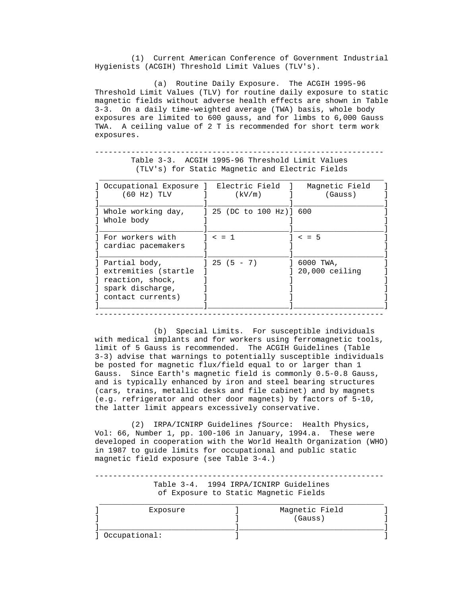(1) Current American Conference of Government Industrial Hygienists (ACGIH) Threshold Limit Values (TLV's).

 (a) Routine Daily Exposure. The ACGIH 1995-96 Threshold Limit Values (TLV) for routine daily exposure to static magnetic fields without adverse health effects are shown in Table 3-3. On a daily time-weighted average (TWA) basis, whole body exposures are limited to 600 gauss, and for limbs to 6,000 Gauss TWA. A ceiling value of 2 T is recommended for short term work exposures.

| Occupational Exposure ] Electric Field ]<br>(60 Hz) TLV | (kV/m)                   | Magnetic Field<br>(Gauss)      |
|---------------------------------------------------------|--------------------------|--------------------------------|
| Whole working day,                                      | ] 25 (DC to 100 Hz)] 600 |                                |
| Whole body                                              |                          |                                |
| For workers with<br>cardiac pacemakers                  | $\leq$ = 1               | $< = 5$                        |
| Partial body,<br>extremities (startle                   | $125(5 - 7)$             | $16000$ TWA,<br>20,000 ceiling |
| reaction, shock,<br>spark discharge,                    |                          |                                |
| contact currents)                                       |                          |                                |

 ---------------------------------------------------------------- Table 3-3. ACGIH 1995-96 Threshold Limit Values (TLV's) for Static Magnetic and Electric Fields

 (b) Special Limits. For susceptible individuals with medical implants and for workers using ferromagnetic tools, limit of 5 Gauss is recommended. The ACGIH Guidelines (Table 3-3) advise that warnings to potentially susceptible individuals be posted for magnetic flux/field equal to or larger than 1 Gauss. Since Earth's magnetic field is commonly 0.5-0.8 Gauss, and is typically enhanced by iron and steel bearing structures (cars, trains, metallic desks and file cabinet) and by magnets (e.g. refrigerator and other door magnets) by factors of 5-10, the latter limit appears excessively conservative.

 (2) IRPA/ICNIRP Guidelines ƒSource: Health Physics, Vol: 66, Number 1, pp. 100-106 in January, 1994.a. These were developed in cooperation with the World Health Organization (WHO) in 1987 to guide limits for occupational and public static magnetic field exposure (see Table 3-4.)

 ---------------------------------------------------------------- Table 3-4. 1994 IRPA/ICNIRP Guidelines of Exposure to Static Magnetic Fields

| Exposure | Magnetic Field |
|----------|----------------|
|          | (Gauss)        |
|          |                |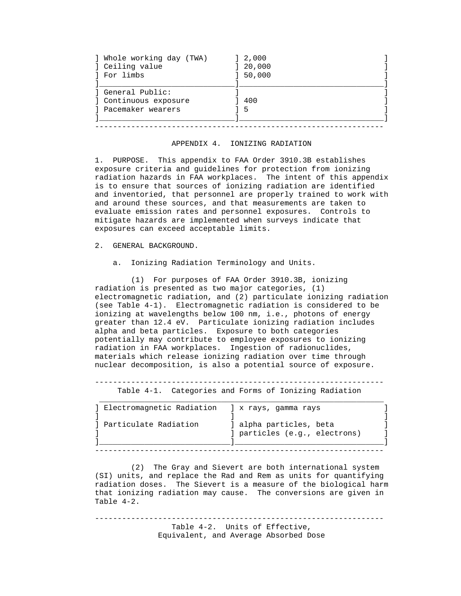| ] Whole working day (TWA)                                     | ] 2,000 |
|---------------------------------------------------------------|---------|
| ] Ceiling value                                               | 20,000  |
| l For limbs                                                   | 50,000  |
| General Public:<br>] Continuous exposure<br>Pacemaker wearers | 400     |

#### APPENDIX 4. IONIZING RADIATION

----------------------------------------------------------------

 1. PURPOSE. This appendix to FAA Order 3910.3B establishes exposure criteria and guidelines for protection from ionizing radiation hazards in FAA workplaces. The intent of this appendix is to ensure that sources of ionizing radiation are identified and inventoried, that personnel are properly trained to work with and around these sources, and that measurements are taken to evaluate emission rates and personnel exposures. Controls to mitigate hazards are implemented when surveys indicate that exposures can exceed acceptable limits.

2. GENERAL BACKGROUND.

a. Ionizing Radiation Terminology and Units.

 (1) For purposes of FAA Order 3910.3B, ionizing radiation is presented as two major categories, (1) electromagnetic radiation, and (2) particulate ionizing radiation (see Table 4-1). Electromagnetic radiation is considered to be ionizing at wavelengths below 100 nm, i.e., photons of energy greater than 12.4 eV. Particulate ionizing radiation includes alpha and beta particles. Exposure to both categories potentially may contribute to employee exposures to ionizing radiation in FAA workplaces. Ingestion of radionuclides, materials which release ionizing radiation over time through nuclear decomposition, is also a potential source of exposure.

----------------------------------------------------------------

Table 4-1. Categories and Forms of Ionizing Radiation

| Electromagnetic Radiation | x rays, qamma rays                                       |
|---------------------------|----------------------------------------------------------|
| Particulate Radiation     | ] alpha particles, beta<br>] particles (e.g., electrons) |

 (2) The Gray and Sievert are both international system (SI) units, and replace the Rad and Rem as units for quantifying radiation doses. The Sievert is a measure of the biological harm that ionizing radiation may cause. The conversions are given in Table 4-2.

 ---------------------------------------------------------------- Table 4-2. Units of Effective, Equivalent, and Average Absorbed Dose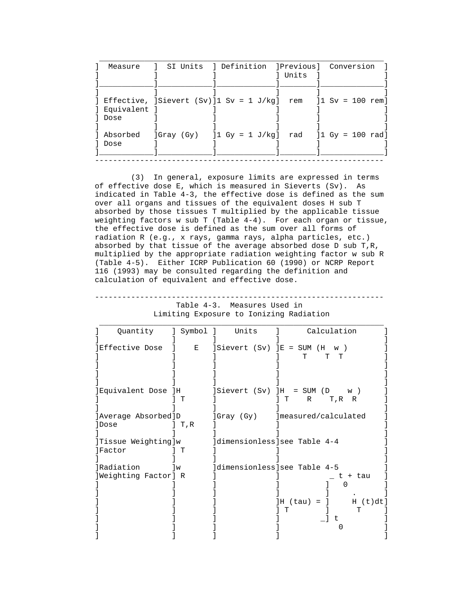| ] Equivalent<br>Dose<br>$\lceil \text{Gray (Gy)} \rceil$ $\lceil \text{1 Gy} \rceil$ $\lceil \text{J/kg} \rceil$ $\lceil \text{rad} \rceil$ $\lceil \text{1 Gy} \rceil$ $\lceil \text{100 rad} \rceil$<br>] Absorbed<br>Dose | Measure | 1 SI Units 1 Definition 1Previous1 Conversion | l Units |  |
|------------------------------------------------------------------------------------------------------------------------------------------------------------------------------------------------------------------------------|---------|-----------------------------------------------|---------|--|
| ] Effective, $ Sievert(Sv) 1 Sv = 1 J/kg$ ] rem $ 1 Sv = 100 rem $                                                                                                                                                           |         |                                               |         |  |
|                                                                                                                                                                                                                              |         |                                               |         |  |
|                                                                                                                                                                                                                              |         |                                               |         |  |
|                                                                                                                                                                                                                              |         |                                               |         |  |
|                                                                                                                                                                                                                              |         |                                               |         |  |
|                                                                                                                                                                                                                              |         |                                               |         |  |

 (3) In general, exposure limits are expressed in terms of effective dose E, which is measured in Sieverts (Sv). As indicated in Table 4-3, the effective dose is defined as the sum over all organs and tissues of the equivalent doses H sub T absorbed by those tissues T multiplied by the applicable tissue weighting factors w sub T (Table  $4-4$ ). For each organ or tissue, the effective dose is defined as the sum over all forms of radiation R (e.g., x rays, gamma rays, alpha particles, etc.) absorbed by that tissue of the average absorbed dose D sub T,R, multiplied by the appropriate radiation weighting factor w sub R (Table 4-5). Either ICRP Publication 60 (1990) or NCRP Report 116 (1993) may be consulted regarding the definition and calculation of equivalent and effective dose.

 ---------------------------------------------------------------- Table 4-3. Measures Used in Limiting Exposure to Ionizing Radiation

| Quantity             | ] Symbol ] | Units                              | Calculation                   |
|----------------------|------------|------------------------------------|-------------------------------|
| IEffective Dose      |            | $E$ ]Sievert (Sv) ]E = SUM (H      | w)                            |
|                      |            |                                    | $\mathbf{T}$<br>T<br>T.       |
|                      |            |                                    |                               |
|                      |            |                                    |                               |
|                      |            |                                    |                               |
| ]Equivalent Dose ]H  |            | $]Sievert$ $(Sv)$ $]H = SUM$ $(D)$ | W)                            |
|                      | т          |                                    | lт<br>$R \sim$<br>T,R R       |
| ]Average Absorbed]D  |            | ]Gray (Gy)                         | ]measured/calculated          |
| lDose                | ] T,R      |                                    |                               |
|                      |            |                                    |                               |
| Tissue Weighting]w   |            | dimensionless see Table 4-4        |                               |
| <i>lFactor</i>       | T          |                                    |                               |
|                      |            |                                    |                               |
| Radiation            | 1w         | dimensionless see Table 4-5        |                               |
| ]Weighting Factor] R |            |                                    | t + tau                       |
|                      |            |                                    |                               |
|                      |            |                                    |                               |
|                      |            |                                    | $]$ H (tau) = $]$<br>H (t)dt] |
|                      |            |                                    | т<br>t.                       |
|                      |            |                                    |                               |
|                      |            |                                    |                               |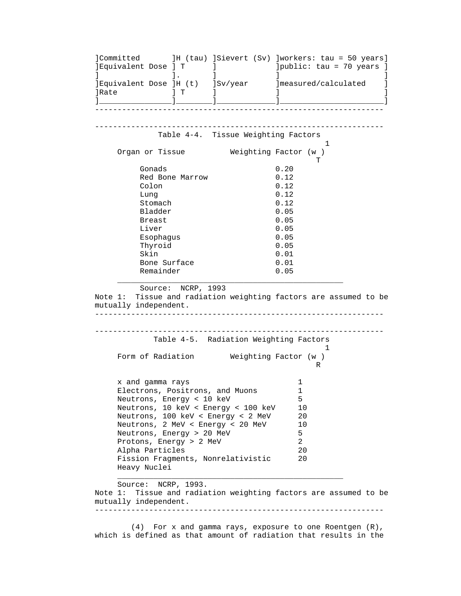]Committed ]H (tau) ]Sievert (Sv) ]workers: tau = 50 years] ]Equivalent Dose ] T ] ]public: tau = 70 years ] ] ]. ] ] ]  $\begin{array}{ccccccc} \text{1} & \text{1} & \text{1} & \text{1} & \text{1} & \text{1} & \text{1} & \text{1} & \text{1} \\ \text{2} & \text{3} & \text{1} & \text{1} & \text{1} & \text{1} & \text{1} & \text{1} \\ \text{3} & \text{1} & \text{2} & \text{3} & \text{1} & \text{1} & \text{1} & \text{1} & \text{1} \\ \text{4} & \text{1} & \text{1} & \text{1} & \text{1} & \text{1} & \text{1} & \text{1} & \text{1} & \text{$  ]Rate ] T ] ] ] ]\_\_\_\_\_\_\_\_\_\_\_\_\_\_\_\_]\_\_\_\_\_\_\_\_]\_\_\_\_\_\_\_\_\_\_\_\_\_]\_\_\_\_\_\_\_\_\_\_\_\_\_\_\_\_\_\_\_\_\_\_\_] ---------------------------------------------------------------- ---------------------------------------------------------------- Table 4-4. Tissue Weighting Factors  $1$ Organ or Tissue **Weighting Factor (w** ) **T** Gonads 0.20<br>Red Bone Marrow 0.12 Red Bone Marrow Colon 0.12 Lung  $0.12$ Stomach 0.12 Bladder 0.05 Breast 0.05 Liver 0.05 Esophagus 0.05 Thyroid 0.05 Skin 0.01 Bone Surface 0.01 Remainder 0.05  $\mathcal{L}_\text{max} = \{ \mathcal{L}_\text{max} \mid \mathcal{L}_\text{max} \}$  Source: NCRP, 1993 Note 1: Tissue and radiation weighting factors are assumed to be mutually independent. ---------------------------------------------------------------- ---------------------------------------------------------------- Table 4-5. Radiation Weighting Factors  $1$ Form of Radiation **Weighting Factor (w** ) R x and gamma rays 1 Electrons, Positrons, and Muons 1 Neutrons, Energy < 10 keV<br>Neutrons, 10 keV < Energy < 100 keV 10 Neutrons, 10 keV < Energy < 100 keV 10 Neutrons, 100 keV < Energy < 2 MeV 20 Neutrons, 2 MeV < Energy < 20 MeV 10 Neutrons, Energy > 20 MeV<br>Protons, Energy > 2 MeV 3 Protons, Energy > 2 MeV Alpha Particles 20 Fission Fragments, Nonrelativistic 20 Heavy Nuclei  $\mathcal{L}_\mathcal{L}$  , and the contribution of the contribution of the contribution of the contribution of the contribution of the contribution of the contribution of the contribution of the contribution of the contribution of Source: NCRP, 1993. Note 1: Tissue and radiation weighting factors are assumed to be mutually independent. ----------------------------------------------------------------

 (4) For x and gamma rays, exposure to one Roentgen (R), which is defined as that amount of radiation that results in the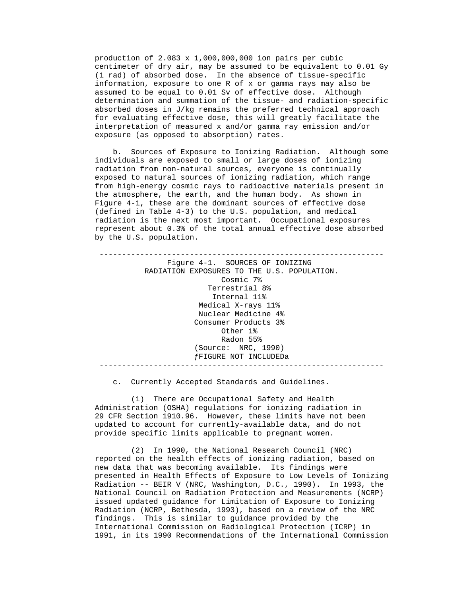production of 2.083 x 1,000,000,000 ion pairs per cubic centimeter of dry air, may be assumed to be equivalent to 0.01 Gy (1 rad) of absorbed dose. In the absence of tissue-specific information, exposure to one R of x or gamma rays may also be assumed to be equal to 0.01 Sv of effective dose. Although determination and summation of the tissue- and radiation-specific absorbed doses in J/kg remains the preferred technical approach for evaluating effective dose, this will greatly facilitate the interpretation of measured x and/or gamma ray emission and/or exposure (as opposed to absorption) rates.

 b. Sources of Exposure to Ionizing Radiation. Although some individuals are exposed to small or large doses of ionizing radiation from non-natural sources, everyone is continually exposed to natural sources of ionizing radiation, which range from high-energy cosmic rays to radioactive materials present in the atmosphere, the earth, and the human body. As shown in Figure 4-1, these are the dominant sources of effective dose (defined in Table 4-3) to the U.S. population, and medical radiation is the next most important. Occupational exposures represent about 0.3% of the total annual effective dose absorbed by the U.S. population.

 --------------------------------------------------------------- Figure 4-1. SOURCES OF IONIZING RADIATION EXPOSURES TO THE U.S. POPULATION. Cosmic 7% Terrestrial 8% Internal 11% Medical X-rays 11% Nuclear Medicine 4% Consumer Products 3% Other 1% Radon 55% (Source: NRC, 1990) ƒFIGURE NOT INCLUDEDa ---------------------------------------------------------------

c. Currently Accepted Standards and Guidelines.

 (1) There are Occupational Safety and Health Administration (OSHA) regulations for ionizing radiation in 29 CFR Section 1910.96. However, these limits have not been updated to account for currently-available data, and do not provide specific limits applicable to pregnant women.

 (2) In 1990, the National Research Council (NRC) reported on the health effects of ionizing radiation, based on new data that was becoming available. Its findings were presented in Health Effects of Exposure to Low Levels of Ionizing Radiation -- BEIR V (NRC, Washington, D.C., 1990). In 1993, the National Council on Radiation Protection and Measurements (NCRP) issued updated guidance for Limitation of Exposure to Ionizing Radiation (NCRP, Bethesda, 1993), based on a review of the NRC findings. This is similar to guidance provided by the International Commission on Radiological Protection (ICRP) in 1991, in its 1990 Recommendations of the International Commission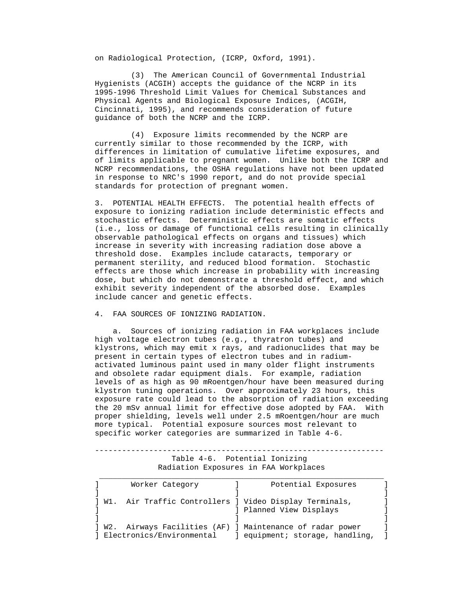on Radiological Protection, (ICRP, Oxford, 1991).

 (3) The American Council of Governmental Industrial Hygienists (ACGIH) accepts the guidance of the NCRP in its 1995-1996 Threshold Limit Values for Chemical Substances and Physical Agents and Biological Exposure Indices, (ACGIH, Cincinnati, 1995), and recommends consideration of future guidance of both the NCRP and the ICRP.

 (4) Exposure limits recommended by the NCRP are currently similar to those recommended by the ICRP, with differences in limitation of cumulative lifetime exposures, and of limits applicable to pregnant women. Unlike both the ICRP and NCRP recommendations, the OSHA regulations have not been updated in response to NRC's 1990 report, and do not provide special standards for protection of pregnant women.

 3. POTENTIAL HEALTH EFFECTS. The potential health effects of exposure to ionizing radiation include deterministic effects and stochastic effects. Deterministic effects are somatic effects (i.e., loss or damage of functional cells resulting in clinically observable pathological effects on organs and tissues) which increase in severity with increasing radiation dose above a threshold dose. Examples include cataracts, temporary or permanent sterility, and reduced blood formation. Stochastic effects are those which increase in probability with increasing dose, but which do not demonstrate a threshold effect, and which exhibit severity independent of the absorbed dose. Examples include cancer and genetic effects.

4. FAA SOURCES OF IONIZING RADIATION.

 a. Sources of ionizing radiation in FAA workplaces include high voltage electron tubes (e.g., thyratron tubes) and klystrons, which may emit x rays, and radionuclides that may be present in certain types of electron tubes and in radium activated luminous paint used in many older flight instruments and obsolete radar equipment dials. For example, radiation levels of as high as 90 mRoentgen/hour have been measured during klystron tuning operations. Over approximately 23 hours, this exposure rate could lead to the absorption of radiation exceeding the 20 mSv annual limit for effective dose adopted by FAA. With proper shielding, levels well under 2.5 mRoentgen/hour are much more typical. Potential exposure sources most relevant to specific worker categories are summarized in Table 4-6.

 ---------------------------------------------------------------- Table 4-6. Potential Ionizing Radiation Exposures in FAA Workplaces

|       | Worker Category             | Potential Exposures                                        |  |
|-------|-----------------------------|------------------------------------------------------------|--|
|       |                             |                                                            |  |
| 1 W1. |                             | Air Traffic Controllers ] Video Display Terminals,         |  |
|       |                             | ] Planned View Displays                                    |  |
|       |                             |                                                            |  |
|       |                             | ] W2. Airways Facilities (AF) ] Maintenance of radar power |  |
|       | ] Electronics/Environmental | equipment; storage, handling,                              |  |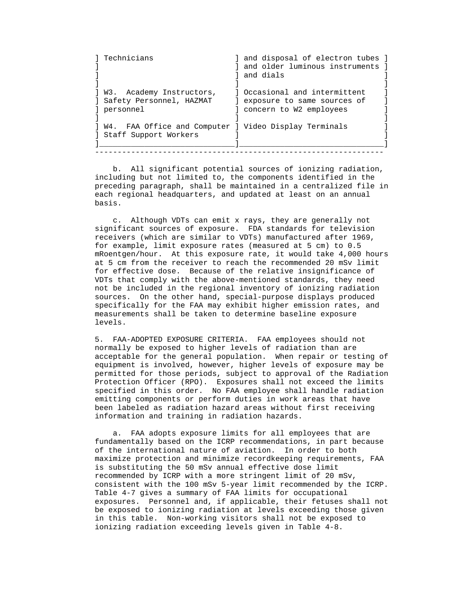| Technicians                                                                      | ] and disposal of electron tubes ]<br>l and older luminous instruments<br>l and dials     |
|----------------------------------------------------------------------------------|-------------------------------------------------------------------------------------------|
| W3. Academy Instructors,<br>] Safety Personnel, HAZMAT<br>] personnel            | 1 Occasional and intermittent<br>exposure to same sources of<br>] concern to W2 employees |
| W4. FAA Office and Computer ] Video Display Terminals<br>] Staff Support Workers |                                                                                           |

 b. All significant potential sources of ionizing radiation, including but not limited to, the components identified in the preceding paragraph, shall be maintained in a centralized file in each regional headquarters, and updated at least on an annual basis.

----------------------------------------------------------------

 c. Although VDTs can emit x rays, they are generally not significant sources of exposure. FDA standards for television receivers (which are similar to VDTs) manufactured after 1969, for example, limit exposure rates (measured at 5 cm) to 0.5 mRoentgen/hour. At this exposure rate, it would take 4,000 hours at 5 cm from the receiver to reach the recommended 20 mSv limit for effective dose. Because of the relative insignificance of VDTs that comply with the above-mentioned standards, they need not be included in the regional inventory of ionizing radiation sources. On the other hand, special-purpose displays produced specifically for the FAA may exhibit higher emission rates, and measurements shall be taken to determine baseline exposure levels.

 5. FAA-ADOPTED EXPOSURE CRITERIA. FAA employees should not normally be exposed to higher levels of radiation than are acceptable for the general population. When repair or testing of equipment is involved, however, higher levels of exposure may be permitted for those periods, subject to approval of the Radiation Protection Officer (RPO). Exposures shall not exceed the limits specified in this order. No FAA employee shall handle radiation emitting components or perform duties in work areas that have been labeled as radiation hazard areas without first receiving information and training in radiation hazards.

 a. FAA adopts exposure limits for all employees that are fundamentally based on the ICRP recommendations, in part because of the international nature of aviation. In order to both maximize protection and minimize recordkeeping requirements, FAA is substituting the 50 mSv annual effective dose limit recommended by ICRP with a more stringent limit of 20 mSv, consistent with the 100 mSv 5-year limit recommended by the ICRP. Table 4-7 gives a summary of FAA limits for occupational exposures. Personnel and, if applicable, their fetuses shall not be exposed to ionizing radiation at levels exceeding those given in this table. Non-working visitors shall not be exposed to ionizing radiation exceeding levels given in Table 4-8.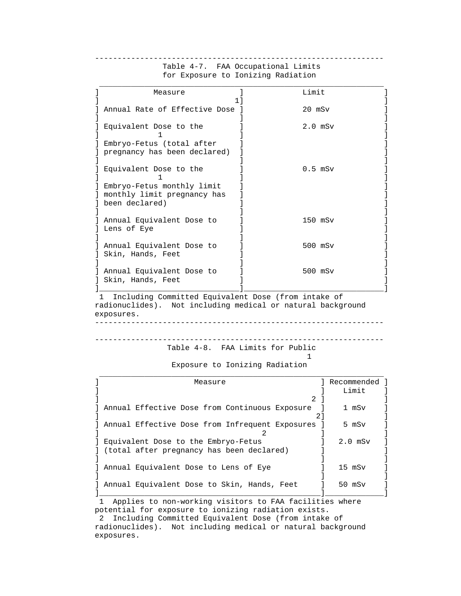| Measure                                                                     | Limit        |  |
|-----------------------------------------------------------------------------|--------------|--|
| Annual Rate of Effective Dose ]                                             | $20$ mS $v$  |  |
| Equivalent Dose to the                                                      | $2.0$ mS $v$ |  |
| Embryo-Fetus (total after<br>pregnancy has been declared)                   |              |  |
| Equivalent Dose to the                                                      | $0.5$ mS $v$ |  |
| Embryo-Fetus monthly limit<br>monthly limit pregnancy has<br>been declared) |              |  |
| Annual Equivalent Dose to<br>Lens of Eye                                    | $150$ mSv    |  |
| Annual Equivalent Dose to<br>Skin, Hands, Feet                              | 500 mSv      |  |
| Annual Equivalent Dose to<br>Skin, Hands, Feet                              | 500 mSv      |  |

## Table 4-7. FAA Occupational Limits for Exposure to Ionizing Radiation

----------------------------------------------------------------

 1 Including Committed Equivalent Dose (from intake of radionuclides). Not including medical or natural background exposures.

```
 ----------------------------------------------------------------
```

```
 ---------------------------------------------------------------- 
              Table 4-8. FAA Limits for Public
```
# 1

Exposure to Ionizing Radiation

| Measure                                             |    | Recommended |
|-----------------------------------------------------|----|-------------|
|                                                     |    | Limit       |
|                                                     | 2. |             |
| Annual Effective Dose from Continuous Exposure      |    | 1 mSv       |
|                                                     | 21 |             |
| Annual Effective Dose from Infrequent Exposures ]   |    | 5 mSv       |
|                                                     |    |             |
| Equivalent Dose to the Embryo-Fetus                 |    | $2.0$ mSv   |
| declared) (total after pregnancy has been declared) |    |             |
|                                                     |    |             |
| Annual Equivalent Dose to Lens of Eye               |    | $15$ mS $v$ |
|                                                     |    |             |
| Annual Equivalent Dose to Skin, Hands, Feet         |    | 50 mSv      |
|                                                     |    |             |

 1 Applies to non-working visitors to FAA facilities where potential for exposure to ionizing radiation exists.

 2 Including Committed Equivalent Dose (from intake of radionuclides). Not including medical or natural background exposures.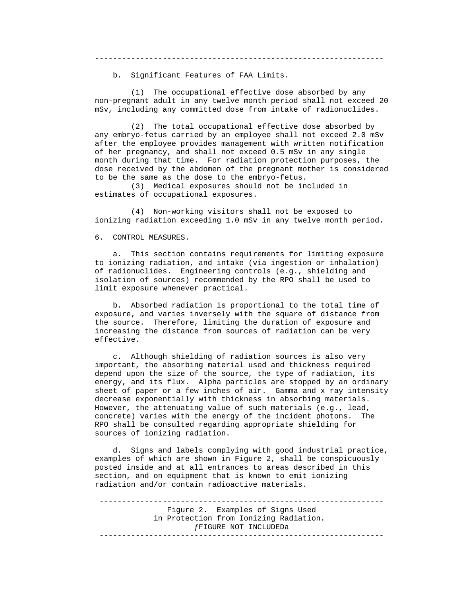----------------------------------------------------------------

b. Significant Features of FAA Limits.

 (1) The occupational effective dose absorbed by any non-pregnant adult in any twelve month period shall not exceed 20 mSv, including any committed dose from intake of radionuclides.

 (2) The total occupational effective dose absorbed by any embryo-fetus carried by an employee shall not exceed 2.0 mSv after the employee provides management with written notification of her pregnancy, and shall not exceed 0.5 mSv in any single month during that time. For radiation protection purposes, the dose received by the abdomen of the pregnant mother is considered to be the same as the dose to the embryo-fetus.

 (3) Medical exposures should not be included in estimates of occupational exposures.

 (4) Non-working visitors shall not be exposed to ionizing radiation exceeding 1.0 mSv in any twelve month period.

6. CONTROL MEASURES.

 a. This section contains requirements for limiting exposure to ionizing radiation, and intake (via ingestion or inhalation) of radionuclides. Engineering controls (e.g., shielding and isolation of sources) recommended by the RPO shall be used to limit exposure whenever practical.

 b. Absorbed radiation is proportional to the total time of exposure, and varies inversely with the square of distance from the source. Therefore, limiting the duration of exposure and increasing the distance from sources of radiation can be very effective.

 c. Although shielding of radiation sources is also very important, the absorbing material used and thickness required depend upon the size of the source, the type of radiation, its energy, and its flux. Alpha particles are stopped by an ordinary sheet of paper or a few inches of air. Gamma and x ray intensity decrease exponentially with thickness in absorbing materials. However, the attenuating value of such materials (e.g., lead, concrete) varies with the energy of the incident photons. The RPO shall be consulted regarding appropriate shielding for sources of ionizing radiation.

 d. Signs and labels complying with good industrial practice, examples of which are shown in Figure 2, shall be conspicuously posted inside and at all entrances to areas described in this section, and on equipment that is known to emit ionizing radiation and/or contain radioactive materials.

 --------------------------------------------------------------- Figure 2. Examples of Signs Used in Protection from Ionizing Radiation. ƒFIGURE NOT INCLUDEDa ---------------------------------------------------------------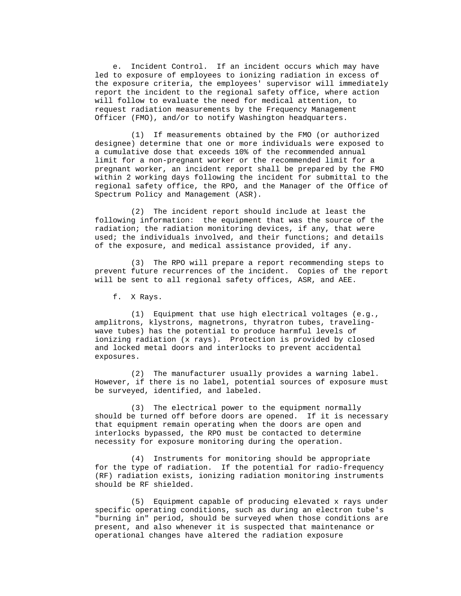e. Incident Control. If an incident occurs which may have led to exposure of employees to ionizing radiation in excess of the exposure criteria, the employees' supervisor will immediately report the incident to the regional safety office, where action will follow to evaluate the need for medical attention, to request radiation measurements by the Frequency Management Officer (FMO), and/or to notify Washington headquarters.

 (1) If measurements obtained by the FMO (or authorized designee) determine that one or more individuals were exposed to a cumulative dose that exceeds 10% of the recommended annual limit for a non-pregnant worker or the recommended limit for a pregnant worker, an incident report shall be prepared by the FMO within 2 working days following the incident for submittal to the regional safety office, the RPO, and the Manager of the Office of Spectrum Policy and Management (ASR).

 (2) The incident report should include at least the following information: the equipment that was the source of the radiation; the radiation monitoring devices, if any, that were used; the individuals involved, and their functions; and details of the exposure, and medical assistance provided, if any.

 (3) The RPO will prepare a report recommending steps to prevent future recurrences of the incident. Copies of the report will be sent to all regional safety offices, ASR, and AEE.

f. X Rays.

 (1) Equipment that use high electrical voltages (e.g., amplitrons, klystrons, magnetrons, thyratron tubes, traveling wave tubes) has the potential to produce harmful levels of ionizing radiation (x rays). Protection is provided by closed and locked metal doors and interlocks to prevent accidental exposures.

 (2) The manufacturer usually provides a warning label. However, if there is no label, potential sources of exposure must be surveyed, identified, and labeled.

 (3) The electrical power to the equipment normally should be turned off before doors are opened. If it is necessary that equipment remain operating when the doors are open and interlocks bypassed, the RPO must be contacted to determine necessity for exposure monitoring during the operation.

 (4) Instruments for monitoring should be appropriate for the type of radiation. If the potential for radio-frequency (RF) radiation exists, ionizing radiation monitoring instruments should be RF shielded.

 (5) Equipment capable of producing elevated x rays under specific operating conditions, such as during an electron tube's "burning in" period, should be surveyed when those conditions are present, and also whenever it is suspected that maintenance or operational changes have altered the radiation exposure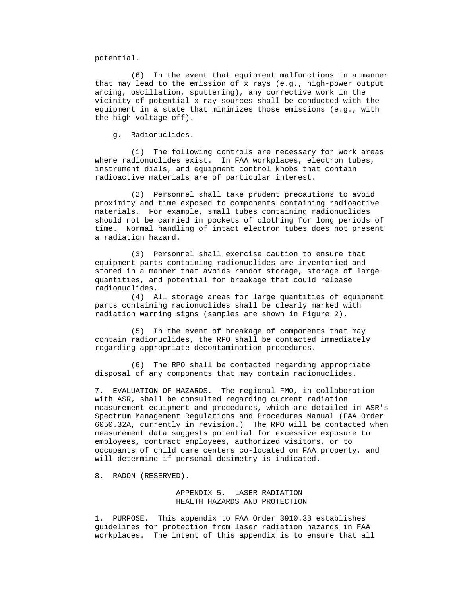potential.

 (6) In the event that equipment malfunctions in a manner that may lead to the emission of x rays (e.g., high-power output arcing, oscillation, sputtering), any corrective work in the vicinity of potential x ray sources shall be conducted with the equipment in a state that minimizes those emissions (e.g., with the high voltage off).

g. Radionuclides.

 (1) The following controls are necessary for work areas where radionuclides exist. In FAA workplaces, electron tubes, instrument dials, and equipment control knobs that contain radioactive materials are of particular interest.

 (2) Personnel shall take prudent precautions to avoid proximity and time exposed to components containing radioactive materials. For example, small tubes containing radionuclides should not be carried in pockets of clothing for long periods of time. Normal handling of intact electron tubes does not present a radiation hazard.

 (3) Personnel shall exercise caution to ensure that equipment parts containing radionuclides are inventoried and stored in a manner that avoids random storage, storage of large quantities, and potential for breakage that could release radionuclides.

 (4) All storage areas for large quantities of equipment parts containing radionuclides shall be clearly marked with radiation warning signs (samples are shown in Figure 2).

 (5) In the event of breakage of components that may contain radionuclides, the RPO shall be contacted immediately regarding appropriate decontamination procedures.

 (6) The RPO shall be contacted regarding appropriate disposal of any components that may contain radionuclides.

 7. EVALUATION OF HAZARDS. The regional FMO, in collaboration with ASR, shall be consulted regarding current radiation measurement equipment and procedures, which are detailed in ASR's Spectrum Management Regulations and Procedures Manual (FAA Order 6050.32A, currently in revision.) The RPO will be contacted when measurement data suggests potential for excessive exposure to employees, contract employees, authorized visitors, or to occupants of child care centers co-located on FAA property, and will determine if personal dosimetry is indicated.

8. RADON (RESERVED).

 APPENDIX 5. LASER RADIATION HEALTH HAZARDS AND PROTECTION

 1. PURPOSE. This appendix to FAA Order 3910.3B establishes guidelines for protection from laser radiation hazards in FAA workplaces. The intent of this appendix is to ensure that all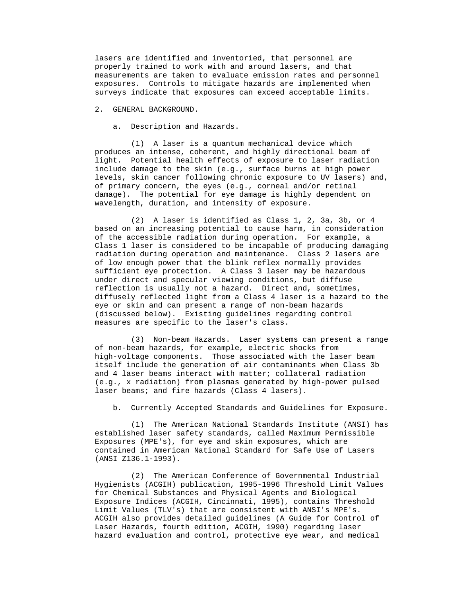lasers are identified and inventoried, that personnel are properly trained to work with and around lasers, and that measurements are taken to evaluate emission rates and personnel exposures. Controls to mitigate hazards are implemented when surveys indicate that exposures can exceed acceptable limits.

### 2. GENERAL BACKGROUND.

a. Description and Hazards.

 (1) A laser is a quantum mechanical device which produces an intense, coherent, and highly directional beam of light. Potential health effects of exposure to laser radiation include damage to the skin (e.g., surface burns at high power levels, skin cancer following chronic exposure to UV lasers) and, of primary concern, the eyes (e.g., corneal and/or retinal damage). The potential for eye damage is highly dependent on wavelength, duration, and intensity of exposure.

 (2) A laser is identified as Class 1, 2, 3a, 3b, or 4 based on an increasing potential to cause harm, in consideration of the accessible radiation during operation. For example, a Class 1 laser is considered to be incapable of producing damaging radiation during operation and maintenance. Class 2 lasers are of low enough power that the blink reflex normally provides sufficient eye protection. A Class 3 laser may be hazardous under direct and specular viewing conditions, but diffuse reflection is usually not a hazard. Direct and, sometimes, diffusely reflected light from a Class 4 laser is a hazard to the eye or skin and can present a range of non-beam hazards (discussed below). Existing guidelines regarding control measures are specific to the laser's class.

 (3) Non-beam Hazards. Laser systems can present a range of non-beam hazards, for example, electric shocks from high-voltage components. Those associated with the laser beam itself include the generation of air contaminants when Class 3b and 4 laser beams interact with matter; collateral radiation (e.g., x radiation) from plasmas generated by high-power pulsed laser beams; and fire hazards (Class 4 lasers).

b. Currently Accepted Standards and Guidelines for Exposure.

 (1) The American National Standards Institute (ANSI) has established laser safety standards, called Maximum Permissible Exposures (MPE's), for eye and skin exposures, which are contained in American National Standard for Safe Use of Lasers (ANSI Z136.1-1993).

 (2) The American Conference of Governmental Industrial Hygienists (ACGIH) publication, 1995-1996 Threshold Limit Values for Chemical Substances and Physical Agents and Biological Exposure Indices (ACGIH, Cincinnati, 1995), contains Threshold Limit Values (TLV's) that are consistent with ANSI's MPE's. ACGIH also provides detailed guidelines (A Guide for Control of Laser Hazards, fourth edition, ACGIH, 1990) regarding laser hazard evaluation and control, protective eye wear, and medical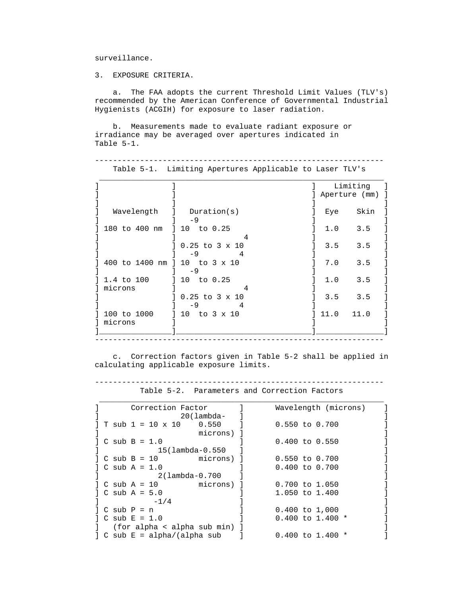surveillance.

3. EXPOSURE CRITERIA.

 a. The FAA adopts the current Threshold Limit Values (TLV's) recommended by the American Conference of Governmental Industrial Hygienists (ACGIH) for exposure to laser radiation.

 b. Measurements made to evaluate radiant exposure or irradiance may be averaged over apertures indicated in Table 5-1.

 ---------------------------------------------------------------- Table 5-1. Limiting Apertures Applicable to Laser TLV's

|             |                               | Limiting      |
|-------------|-------------------------------|---------------|
|             |                               | Aperture (mm) |
|             |                               |               |
| Wavelength  | Duration(s)                   | Skin<br>Eye   |
|             | $-9$                          |               |
|             | 180 to 400 nm 1 10 to 0.25    | 3.5<br>1.0    |
|             | 4                             |               |
|             | $0.25$ to $3 \times 10$       | 3.5<br>3.5    |
|             | -9                            |               |
|             | 400 to 1400 nm ] 10 to 3 x 10 | 7.0<br>3.5    |
|             | $-9$                          |               |
| 1.4 to 100  | $10$ to $0.25$                | 1.0<br>3.5    |
| microns     |                               |               |
|             | $0.25$ to $3 \times 10$       | $3.5$ $3.5$   |
|             | -9                            |               |
| 100 to 1000 | 10 to 3 x 10                  | 11.0<br>11.0  |
| microns     |                               |               |
|             |                               |               |

 c. Correction factors given in Table 5-2 shall be applied in calculating applicable exposure limits.

----------------------------------------------------------------

Table 5-2. Parameters and Correction Factors

|                          | Correction Factor |                                                              | Wavelength (microns) |
|--------------------------|-------------------|--------------------------------------------------------------|----------------------|
|                          |                   | $20$ (lambda-                                                |                      |
|                          |                   | $T \text{ sub } 1 = 10 \times 10$ 0.550 1                    | $0.550$ to $0.700$   |
|                          |                   | microns) ]                                                   |                      |
| $C \text{ sub } B = 1.0$ |                   |                                                              | $0.400$ to $0.550$   |
|                          |                   | 15(lambda-0.550                                              |                      |
|                          |                   | $  C \text{ sub } B = 10$ microns) $  C \text{ sub } B = 10$ | $0.550$ to $0.700$   |
| $C \text{ sub A} = 1.0$  |                   |                                                              | $0.400$ to $0.700$   |
|                          |                   | 2(lambda-0.700                                               |                      |
|                          |                   | $\vert$ C sub A = 10 $\vert$ microns) $\vert$                | 0.700 to 1.050       |
| $C \text{ sub A} = 5.0$  |                   |                                                              | $1.050$ to $1.400$   |
|                          | $-1/4$            |                                                              |                      |
| $\log$ C sub P = n       |                   |                                                              | $0.400$ to $1,000$   |
| $C \text{ sub } E = 1.0$ |                   |                                                              | $0.400$ to 1.400 $*$ |
|                          |                   | (for alpha < alpha sub min) ]                                |                      |
|                          |                   | $\vert$ C sub E = alpha/(alpha sub $\vert$                   | $0.400$ to 1.400 $*$ |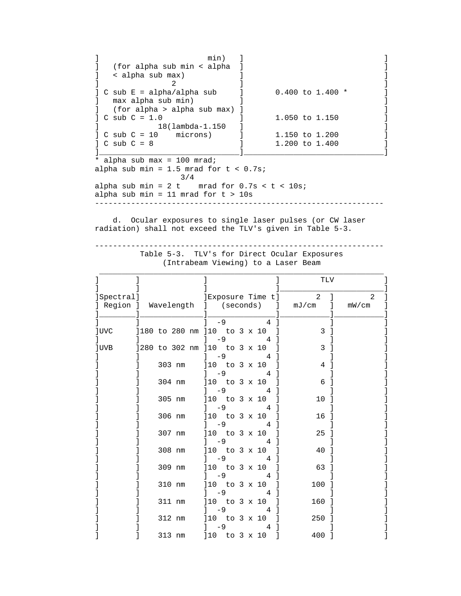]<br>  $\begin{array}{ccc} \text{min} & \text{min} & \text{min} \\ \text{for alpha sub min} < alpha & \text{min} \end{array}$ ] (for alpha sub min < alpha ]<br>] < alpha sub max) ]  $\vert$  < alpha sub max)  $\vert$   $\vert$  $\begin{bmatrix} 1 & 2 & 1 \end{bmatrix}$  $C$  sub  $E = alpha/alpha$  sub  $1$  0.400 to 1.400  $*$  ] ] max alpha sub min) ] ] ] (for alpha > alpha sub max) ]<br>] C sub C = 1.0 1.050 to 1.150 ]  $\begin{bmatrix} 1 & 0.050 & t & 1.150 \\ 0 & 0 & 1.150 & 1.150 \\ 0 & 0 & 0 & 0.1150 \\ 0 & 0 & 0 & 0.1150 \\ 0 & 0 & 0 & 0.1150 \\ 0 & 0 & 0 & 0.1150 \\ 0 & 0 & 0 & 0.1150 \\ 0 & 0 & 0 & 0.1150 \\ 0 & 0 & 0 & 0.1150 \\ 0 & 0 & 0 & 0.1150 \\ 0 & 0 & 0 & 0.1150 \\ 0 & 0 & 0 & 0.1150 \\ 0 & 0$  ] 18(lambda-1.150 ] ] ] C sub C = 10 microns) ] 1.150 to 1.200 ] ] C sub C = 8 <br> 1.200 to 1.400 ] ]\_\_\_\_\_\_\_\_\_\_\_\_\_\_\_\_\_\_\_\_\_\_\_\_\_\_\_\_\_\_\_]\_\_\_\_\_\_\_\_\_\_\_\_\_\_\_\_\_\_\_\_\_\_\_\_\_\_\_\_\_\_\_] \* alpha sub max = 100 mrad; alpha sub min =  $1.5$  mrad for  $t < 0.7$ s; 3/4 alpha sub min =  $2 t$  mrad for  $0.7 s < t < 10 s$ ; alpha sub min = 11 mrad for  $t > 10s$ 

----------------------------------------------------------------

 d. Ocular exposures to single laser pulses (or CW laser radiation) shall not exceed the TLV's given in Table 5-3.

 ---------------------------------------------------------------- Table 5-3. TLV's for Direct Ocular Exposures

(Intrabeam Viewing) to a Laser Beam

|             |                              |                        |                  |  |  |                  |              | TLV            |   |                |
|-------------|------------------------------|------------------------|------------------|--|--|------------------|--------------|----------------|---|----------------|
| Spectral]   |                              |                        |                  |  |  | Exposure Time t] |              | $\overline{2}$ |   | $\mathfrak{D}$ |
| ] Region ]  | Wavelength ]                 |                        | (seconds)        |  |  |                  | $\mathbf{I}$ | mJ/cm          | 1 | mW/cm          |
|             |                              |                        |                  |  |  |                  |              |                |   |                |
|             |                              |                        | $-9$             |  |  | $\overline{4}$   |              |                |   |                |
| <b>luvc</b> | ]180 to 280 nm ]10 to 3 x 10 |                        |                  |  |  |                  |              | 3              |   |                |
|             |                              |                        | $-9$             |  |  | 4                |              |                |   |                |
| ]UVB        | 1280 to 302 nm 110 to 3 x 10 |                        |                  |  |  |                  |              | 3              |   |                |
|             | 303 nm                       | ]10 to 3 x 10          | $-9$             |  |  |                  |              | 4              |   |                |
|             |                              |                        | -9               |  |  | 4                |              |                |   |                |
|             | 304 nm                       | 110                    | to 3 x 10        |  |  |                  |              | 6              |   |                |
|             |                              |                        | $-9$             |  |  | 4                |              |                |   |                |
|             | 305 nm                       | ]10 to 3 x 10          |                  |  |  |                  |              | 10             |   |                |
|             |                              |                        | - 9              |  |  |                  |              |                |   |                |
|             | 306 nm                       | ]10 to 3 x 10          |                  |  |  |                  |              | 16             |   |                |
|             |                              |                        | $-9$             |  |  |                  |              |                |   |                |
|             | 307 nm                       | ]10 to 3 x 10          |                  |  |  |                  |              | 25             |   |                |
|             | 308 nm                       | $110$ to $3 \times 10$ | $-9$             |  |  | 4                |              | 40             |   |                |
|             |                              |                        | - 9              |  |  | 4                |              |                |   |                |
|             | 309 nm                       | 110                    | to $3 \times 10$ |  |  |                  |              | 63             |   |                |
|             |                              |                        | $-9$             |  |  | 4                |              |                |   |                |
|             | 310 nm                       | 10 to 3 x 10           |                  |  |  |                  |              | 100            |   |                |
|             |                              |                        | $-9$             |  |  |                  |              |                |   |                |
|             | 311 nm                       | 110                    | to 3 x 10        |  |  |                  |              | 160            |   |                |
|             |                              |                        | -9               |  |  | 4                |              |                |   |                |
|             | 312 nm                       | 110                    | to $3 \times 10$ |  |  |                  |              | 250            |   |                |
|             |                              |                        | - 9              |  |  |                  |              |                |   |                |
|             | 313 nm                       | 110                    | to $3 \times 10$ |  |  |                  |              | 400            |   |                |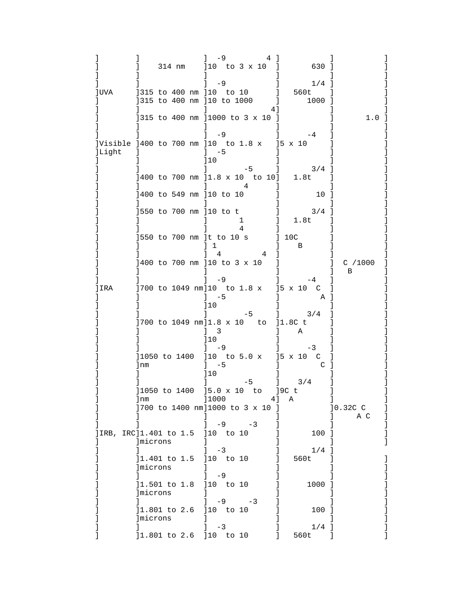|                                                                         |              |                                                                      | -9                                                             |    |                   | 41  |           | 630 ]             |                |  |
|-------------------------------------------------------------------------|--------------|----------------------------------------------------------------------|----------------------------------------------------------------|----|-------------------|-----|-----------|-------------------|----------------|--|
|                                                                         |              | [315 to 400 nm ]10 to 10 ]                                           | $1 -9$                                                         |    |                   |     |           | $1/4$ ]<br>560t   |                |  |
| ]UVA                                                                    |              | [315 to 400 nm ]10 to 1000 ]                                         |                                                                |    |                   | 41  |           | 1000 ]            |                |  |
|                                                                         |              | ]315 to 400 nm ]1000 to 3 x 10 ]                                     |                                                                |    |                   |     |           |                   | 1.0 ]          |  |
| JVisible ]400 to 700 nm ]10 to 1.8 x ]5 x 10<br><b>JLight</b><br>$\Box$ |              |                                                                      | $1 -9$<br>$]-5$                                                |    |                   |     |           | $-4$              |                |  |
|                                                                         |              |                                                                      | 110                                                            |    | $-5$              |     |           | 3/4               |                |  |
|                                                                         |              | 1400 to 700 nm 11.8 x 10 to 10]                                      |                                                                |    | 4                 |     |           | 1.8t              |                |  |
|                                                                         |              | 1400 to 549 nm 110 to 10<br>]550 to 700 nm ]10 to t                  |                                                                |    |                   |     |           | 10<br>$3/4$ ]     |                |  |
|                                                                         |              |                                                                      |                                                                |    | $\mathbf{1}$<br>4 |     |           | 1.8t              |                |  |
|                                                                         |              | ]550 to 700 nm ]t to 10 s                                            |                                                                |    |                   |     | 10C       | B                 |                |  |
|                                                                         |              | 1400 to 700 nm 110 to 3 x 10                                         | 4                                                              |    |                   | 4   |           |                   | $C$ /1000<br>B |  |
| IRA                                                                     |              | ]700 to 1049 nm]10 to 1.8 x ]5 x 10 C                                | $-9$<br>$1 - 5$                                                |    |                   |     |           | $-4$<br>A J       |                |  |
|                                                                         |              | [700 to 1049 nm]1.8 x 10 to                                          | ]10<br>$\mathbf{1}$<br>$\overline{\mathbf{3}}$<br>$\mathbf{L}$ |    | $-5$              |     | $]1.8C$ t | 3/4<br>Α          |                |  |
|                                                                         | lnm          | ]1050 to 1400 ]10 to 5.0 x ]5 x 10 C                                 | 110<br>$1 - 9$<br>$]-5$<br>110                                 |    |                   |     |           | $-3$<br>C         |                |  |
|                                                                         | ]nm          | ]1050 to 1400 ]5.0 x 10 to ]9C t<br>]700 to 1400 nm]1000 to 3 x 10 ] | ]1000                                                          |    | $-5$              | 4 J | Α         | 3/4               | 10.32C C       |  |
| JIRB, IRC]1.401 to 1.5 ]10 to 10                                        | microns      |                                                                      |                                                                | -9 | $-3$              |     |           | 100 ]             | A C            |  |
|                                                                         | 1<br>microns | 11.401 to 1.5 110 to 10                                              | $-3$<br>$\mathbf{I}$                                           |    |                   |     |           | $1/4$ ]<br>560t   |                |  |
|                                                                         | microns      | 11.501 to 1.8 10 to 10                                               | -9                                                             |    |                   |     |           | 1000 ]            |                |  |
|                                                                         | microns      | 11.801 to 2.6 10 to 10                                               |                                                                |    | $-9 -3$           |     |           | 100 ]             |                |  |
|                                                                         |              | 11.801 to 2.6 10 to 10                                               | $-3$<br>$\mathbf{I}$                                           |    |                   |     |           | $1/4$ ]<br>560t ] |                |  |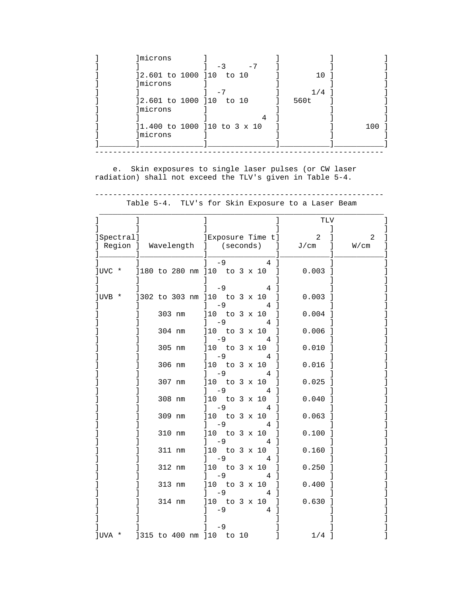| Imicrons                         |         |     |
|----------------------------------|---------|-----|
| $-7$<br>$-3$                     |         |     |
| 12.601 to 1000 110 to 10         | 10 T    |     |
| <i>Imicrons</i>                  |         |     |
| $-7$                             | $1/4$ 1 |     |
| 12.601 to 1000 110 to 10         | 560t    |     |
| microns                          |         |     |
|                                  |         |     |
| $]1.400$ to 1000 $]10$ to 3 x 10 |         | 100 |
| microns                          |         |     |
|                                  |         |     |

 e. Skin exposures to single laser pulses (or CW laser radiation) shall not exceed the TLV's given in Table 5-4.

|            |        |                                                  | TLV                  |      |
|------------|--------|--------------------------------------------------|----------------------|------|
| [Spectral] |        | Exposure Time t]                                 | $\overline{a}$       | 2    |
| Region ]   |        | Wavelength ] (seconds)<br>$\mathbf{I}$           | J/cm<br>$\mathbf{1}$ | W/cm |
| ]UVC *     |        | $-9$<br>4<br>]180 to 280 nm ]10 to 3 x 10        | $0.003$ ]            |      |
|            |        |                                                  |                      |      |
| ]UVB *     |        | $-9$<br>4<br>]302 to 303 nm ]10 to 3 x 10<br>1   | 0.003                |      |
|            |        | $-9$<br>1<br>4                                   |                      |      |
|            | 303 nm | ]10 to 3 x 10<br>1<br>$-9$<br>4                  | $0.004$ ]            |      |
|            | 304 nm | $]10 \tto 3 \times 10$                           | $0.006$ ]            |      |
|            |        | -9<br>4                                          |                      |      |
|            | 305 nm | to 3 x 10<br>110<br>-9<br>4                      | 0.010                |      |
|            | 306 nm | ]10 to 3 x 10                                    | $0.016$ ]            |      |
|            | 307 nm | $-9$<br>4<br>]10 to 3 x 10                       | $0.025$ ]            |      |
|            |        | $-9$<br>4                                        |                      |      |
|            | 308 nm | to $3 \times 10$<br>110<br>-1<br>$-9$<br>4<br>-1 | $0.040$ ]            |      |
|            | 309 nm | to 3 x 10<br>110<br>1                            | $0.063$ ]            |      |
|            | 310 nm | $-9$<br>4<br>to 3 x 10<br>110                    | $0.100$ ]            |      |
|            |        | - 9                                              |                      |      |
|            | 311 nm | to 3 x 10<br>110<br>-9<br>4                      | $0.160$ ]            |      |
|            | 312 nm | to 3 x 10<br>110                                 | 0.250                |      |
|            | 313 nm | -9<br>4<br>]10 to 3 x 10                         | 0.400                |      |
|            |        | -9<br>4                                          |                      |      |
|            | 314 nm | ]10 to 3 x 10<br>-1<br>$-9$                      | $0.630$ ]            |      |
|            |        |                                                  |                      |      |
|            |        | $-9$                                             |                      |      |
| JUVA *     |        | ]315 to 400 nm ]10 to 10                         | $1/4$ ]              |      |

 ---------------------------------------------------------------- Table 5-4. TLV's for Skin Exposure to a Laser Beam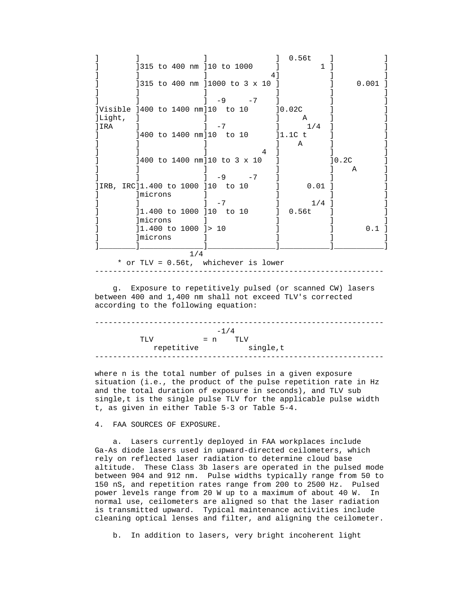] ] ] ] 0.56t ] ] ] ]315 to 400 nm ]10 to 1000 [1] [1] [1] ]<br>
] ] ]<br>
] ] 315 to 400 nm ] 1000 to 3 x 10 ] [ ] [ ] [ 0.001 ] ] ] ]315 to 400 nm ]1000 to 3 x 10 ] ] ] ] ] ] ] ] ] ] ] ] ] -9 -7 ] ] ] ]Visible 1400 to 1400 nm]10 to 10  $[0.02C]$  ] ]Light, ] ] ] A ] ] ]IRA ] ] -7 ] 1/4 ] ] ] ]400 to 1400 nm]10 to 10 ] ]1.1C t ] ] ] ] ] A ] ] ] ] ] 4 ] ] ] ] ]400 to 1400 nm]10 to 3 x 10 ] ]0.2C ] ] ] ] ] ] A ] ] ] ] -9 -7 ] ] ] ]IRB, IRC]1.400 to 1000 ]10 to 10  $\qquad$  ] 0.01 ] ] ] **different gradies**  $\begin{bmatrix} 1 & 0 & 0 \\ 0 & 0 & 0 \\ 0 & 0 & 0 \\ 0 & 0 & 0 \\ 0 & 0 & 0 \\ 0 & 0 & 0 \\ 0 & 0 & 0 \\ 0 & 0 & 0 \\ 0 & 0 & 0 \\ 0 & 0 & 0 \\ 0 & 0 & 0 \\ 0 & 0 & 0 \\ 0 & 0 & 0 \\ 0 & 0 & 0 & 0 \\ 0 & 0 & 0 & 0 \\ 0 & 0 & 0 & 0 \\ 0 & 0 & 0 & 0 \\ 0 & 0 & 0 & 0 \\ 0 & 0 & 0 & 0 & 0$  $\begin{bmatrix} 1 & 1 & 1 & 1 \end{bmatrix}$   $\begin{bmatrix} -7 & 1 & 1/4 & 1 \end{bmatrix}$   $\begin{bmatrix} 1/4 & 1 & 1 \end{bmatrix}$ ] ]1.400 to 1000 ]10 to 10  $\qquad$  ] 0.56t ] ] ] ] ] ] ] ] ] ] ] ] ] ] ] ] ] [1.400 to 1000 ]> 10 ] ] ] [ ] ] 1.400 to 1000 ] > 10 ] ] ] ]microns ] ] ] ] ]\_\_\_\_\_\_\_\_]\_\_\_\_\_\_\_\_\_\_\_\_\_\_]\_\_\_\_\_\_\_\_\_\_\_\_\_\_\_]\_\_\_\_\_\_\_\_\_\_\_]\_\_\_\_\_\_\_\_\_\_\_] 1/4

 \* or TLV = 0.56t, whichever is lower ----------------------------------------------------------------

 g. Exposure to repetitively pulsed (or scanned CW) lasers between 400 and 1,400 nm shall not exceed TLV's corrected according to the following equation:

|            | $-1/4$ |          |
|------------|--------|----------|
| TT JV      | $=$ n  | TLV      |
| repetitive |        | single,t |
|            |        |          |

 where n is the total number of pulses in a given exposure situation (i.e., the product of the pulse repetition rate in Hz and the total duration of exposure in seconds), and TLV sub single,t is the single pulse TLV for the applicable pulse width t, as given in either Table 5-3 or Table 5-4.

### 4. FAA SOURCES OF EXPOSURE.

 a. Lasers currently deployed in FAA workplaces include Ga-As diode lasers used in upward-directed ceilometers, which rely on reflected laser radiation to determine cloud base altitude. These Class 3b lasers are operated in the pulsed mode between 904 and 912 nm. Pulse widths typically range from 50 to 150 nS, and repetition rates range from 200 to 2500 Hz. Pulsed power levels range from 20 W up to a maximum of about 40 W. In normal use, ceilometers are aligned so that the laser radiation is transmitted upward. Typical maintenance activities include cleaning optical lenses and filter, and aligning the ceilometer.

b. In addition to lasers, very bright incoherent light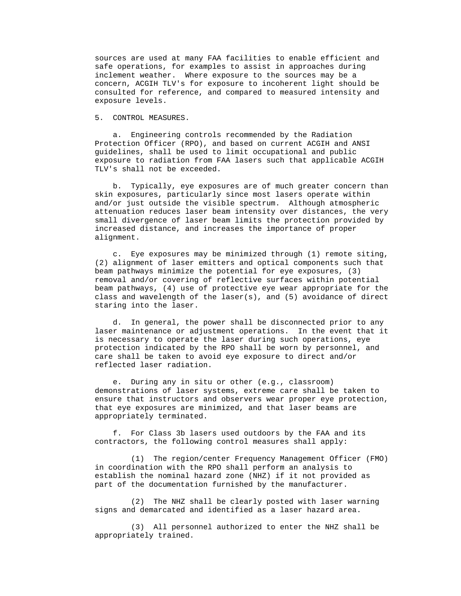sources are used at many FAA facilities to enable efficient and safe operations, for examples to assist in approaches during inclement weather. Where exposure to the sources may be a concern, ACGIH TLV's for exposure to incoherent light should be consulted for reference, and compared to measured intensity and exposure levels.

5. CONTROL MEASURES.

 a. Engineering controls recommended by the Radiation Protection Officer (RPO), and based on current ACGIH and ANSI guidelines, shall be used to limit occupational and public exposure to radiation from FAA lasers such that applicable ACGIH TLV's shall not be exceeded.

 b. Typically, eye exposures are of much greater concern than skin exposures, particularly since most lasers operate within and/or just outside the visible spectrum. Although atmospheric attenuation reduces laser beam intensity over distances, the very small divergence of laser beam limits the protection provided by increased distance, and increases the importance of proper alignment.

 c. Eye exposures may be minimized through (1) remote siting, (2) alignment of laser emitters and optical components such that beam pathways minimize the potential for eye exposures, (3) removal and/or covering of reflective surfaces within potential beam pathways, (4) use of protective eye wear appropriate for the class and wavelength of the laser(s), and (5) avoidance of direct staring into the laser.

 d. In general, the power shall be disconnected prior to any laser maintenance or adjustment operations. In the event that it is necessary to operate the laser during such operations, eye protection indicated by the RPO shall be worn by personnel, and care shall be taken to avoid eye exposure to direct and/or reflected laser radiation.

 e. During any in situ or other (e.g., classroom) demonstrations of laser systems, extreme care shall be taken to ensure that instructors and observers wear proper eye protection, that eye exposures are minimized, and that laser beams are appropriately terminated.

 f. For Class 3b lasers used outdoors by the FAA and its contractors, the following control measures shall apply:

 (1) The region/center Frequency Management Officer (FMO) in coordination with the RPO shall perform an analysis to establish the nominal hazard zone (NHZ) if it not provided as part of the documentation furnished by the manufacturer.

 (2) The NHZ shall be clearly posted with laser warning signs and demarcated and identified as a laser hazard area.

 (3) All personnel authorized to enter the NHZ shall be appropriately trained.